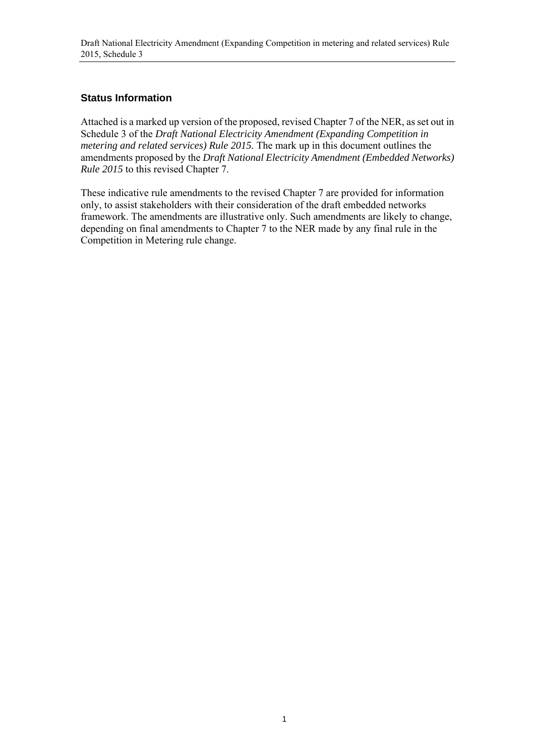#### **Status Information**

Attached is a marked up version of the proposed, revised Chapter 7 of the NER, as set out in Schedule 3 of the *Draft National Electricity Amendment (Expanding Competition in metering and related services) Rule 2015.* The mark up in this document outlines the amendments proposed by the *Draft National Electricity Amendment (Embedded Networks) Rule 2015* to this revised Chapter 7.

These indicative rule amendments to the revised Chapter 7 are provided for information only, to assist stakeholders with their consideration of the draft embedded networks framework. The amendments are illustrative only. Such amendments are likely to change, depending on final amendments to Chapter 7 to the NER made by any final rule in the Competition in Metering rule change.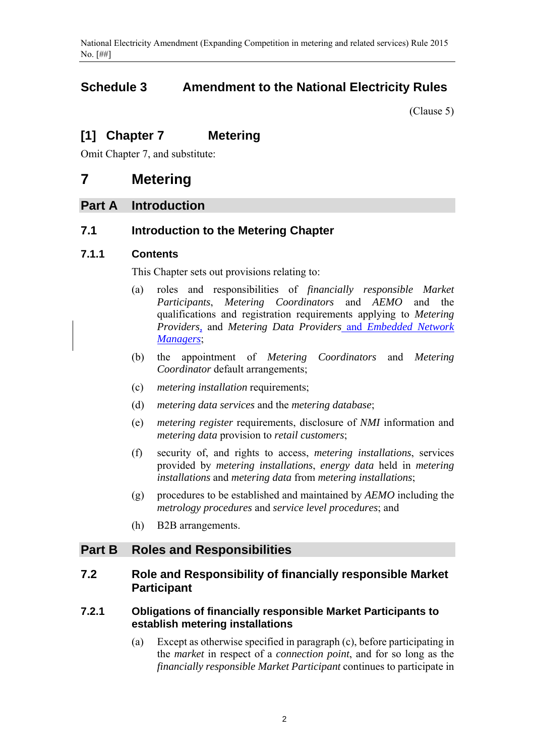# **Schedule 3 Amendment to the National Electricity Rules**

(Clause 5)

# **[1] Chapter 7 Metering**

Omit Chapter 7, and substitute:

# **7 Metering**

# **Part A Introduction**

# **7.1 Introduction to the Metering Chapter**

### **7.1.1 Contents**

This Chapter sets out provisions relating to:

- (a) roles and responsibilities of *financially responsible Market Participants*, *Metering Coordinators* and *AEMO* and the qualifications and registration requirements applying to *Metering Providers,* and *Metering Data Providers* and *Embedded Network Managers*;
- (b) the appointment of *Metering Coordinators* and *Metering Coordinator* default arrangements;
- (c) *metering installation* requirements;
- (d) *metering data services* and the *metering database*;
- (e) *metering register* requirements, disclosure of *NMI* information and *metering data* provision to *retail customers*;
- (f) security of, and rights to access, *metering installations*, services provided by *metering installations*, *energy data* held in *metering installations* and *metering data* from *metering installations*;
- (g) procedures to be established and maintained by *AEMO* including the *metrology procedures* and *service level procedures*; and
- (h) B2B arrangements.

# **Part B Roles and Responsibilities**

# **7.2 Role and Responsibility of financially responsible Market Participant**

#### **7.2.1 Obligations of financially responsible Market Participants to establish metering installations**

(a) Except as otherwise specified in paragraph (c), before participating in the *market* in respect of a *connection point*, and for so long as the *financially responsible Market Participant* continues to participate in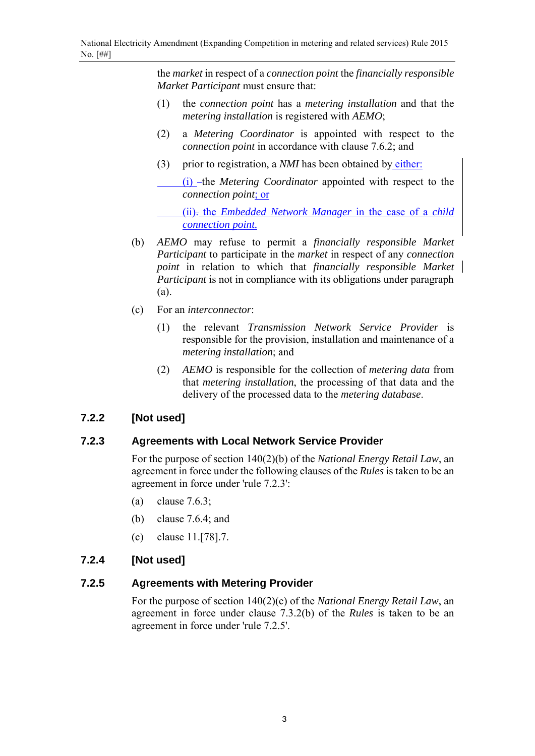the *market* in respect of a *connection point* the *financially responsible Market Participant* must ensure that:

- (1) the *connection point* has a *metering installation* and that the *metering installation* is registered with *AEMO*;
- (2) a *Metering Coordinator* is appointed with respect to the *connection point* in accordance with clause 7.6.2; and
- (3) prior to registration, a *NMI* has been obtained by either:

(i) -the *Metering Coordinator* appointed with respect to the *connection point*; or

 (ii). the *Embedded Network Manager* in the case of a *child connection point.*

- (b) *AEMO* may refuse to permit a *financially responsible Market Participant* to participate in the *market* in respect of any *connection point* in relation to which that *financially responsible Market Participant* is not in compliance with its obligations under paragraph (a).
- (c) For an *interconnector*:
	- (1) the relevant *Transmission Network Service Provider* is responsible for the provision, installation and maintenance of a *metering installation*; and
	- (2) *AEMO* is responsible for the collection of *metering data* from that *metering installation*, the processing of that data and the delivery of the processed data to the *metering database*.

# **7.2.2 [Not used]**

# **7.2.3 Agreements with Local Network Service Provider**

For the purpose of section 140(2)(b) of the *National Energy Retail Law*, an agreement in force under the following clauses of the *Rules* is taken to be an agreement in force under 'rule 7.2.3':

- (a) clause 7.6.3;
- (b) clause 7.6.4; and
- (c) clause 11.[78].7.

# **7.2.4 [Not used]**

# **7.2.5 Agreements with Metering Provider**

For the purpose of section 140(2)(c) of the *National Energy Retail Law*, an agreement in force under clause 7.3.2(b) of the *Rules* is taken to be an agreement in force under 'rule 7.2.5'.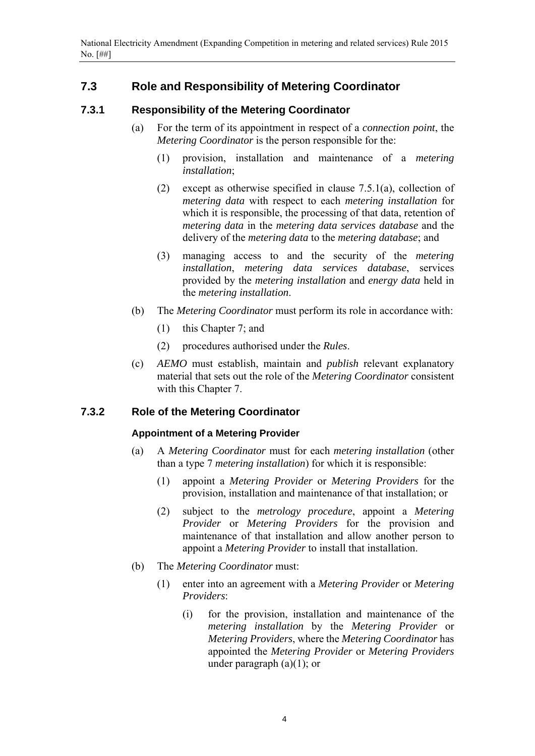# **7.3 Role and Responsibility of Metering Coordinator**

#### **7.3.1 Responsibility of the Metering Coordinator**

- (a) For the term of its appointment in respect of a *connection point*, the *Metering Coordinator* is the person responsible for the:
	- (1) provision, installation and maintenance of a *metering installation*;
	- (2) except as otherwise specified in clause 7.5.1(a), collection of *metering data* with respect to each *metering installation* for which it is responsible, the processing of that data, retention of *metering data* in the *metering data services database* and the delivery of the *metering data* to the *metering database*; and
	- (3) managing access to and the security of the *metering installation*, *metering data services database*, services provided by the *metering installation* and *energy data* held in the *metering installation*.
- (b) The *Metering Coordinator* must perform its role in accordance with:
	- (1) this Chapter 7; and
	- (2) procedures authorised under the *Rules*.
- (c) *AEMO* must establish, maintain and *publish* relevant explanatory material that sets out the role of the *Metering Coordinator* consistent with this Chapter 7.

#### **7.3.2 Role of the Metering Coordinator**

#### **Appointment of a Metering Provider**

- (a) A *Metering Coordinator* must for each *metering installation* (other than a type 7 *metering installation*) for which it is responsible:
	- (1) appoint a *Metering Provider* or *Metering Providers* for the provision, installation and maintenance of that installation; or
	- (2) subject to the *metrology procedure*, appoint a *Metering Provider* or *Metering Providers* for the provision and maintenance of that installation and allow another person to appoint a *Metering Provider* to install that installation.
- (b) The *Metering Coordinator* must:
	- (1) enter into an agreement with a *Metering Provider* or *Metering Providers*:
		- (i) for the provision, installation and maintenance of the *metering installation* by the *Metering Provider* or *Metering Providers*, where the *Metering Coordinator* has appointed the *Metering Provider* or *Metering Providers* under paragraph  $(a)(1)$ ; or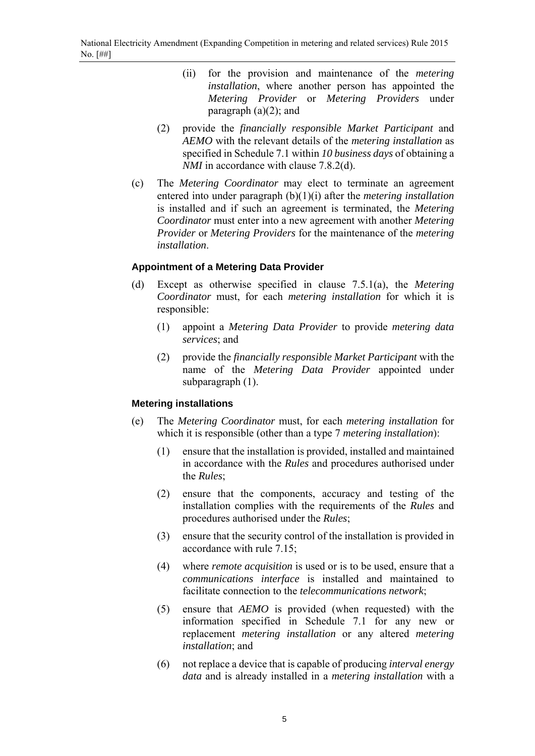- (ii) for the provision and maintenance of the *metering installation*, where another person has appointed the *Metering Provider* or *Metering Providers* under paragraph  $(a)(2)$ ; and
- (2) provide the *financially responsible Market Participant* and *AEMO* with the relevant details of the *metering installation* as specified in Schedule 7.1 within *10 business days* of obtaining a *NMI* in accordance with clause 7.8.2(d).
- (c) The *Metering Coordinator* may elect to terminate an agreement entered into under paragraph (b)(1)(i) after the *metering installation* is installed and if such an agreement is terminated, the *Metering Coordinator* must enter into a new agreement with another *Metering Provider* or *Metering Providers* for the maintenance of the *metering installation*.

#### **Appointment of a Metering Data Provider**

- (d) Except as otherwise specified in clause 7.5.1(a), the *Metering Coordinator* must, for each *metering installation* for which it is responsible:
	- (1) appoint a *Metering Data Provider* to provide *metering data services*; and
	- (2) provide the *financially responsible Market Participant* with the name of the *Metering Data Provider* appointed under subparagraph (1).

#### **Metering installations**

- (e) The *Metering Coordinator* must, for each *metering installation* for which it is responsible (other than a type 7 *metering installation*):
	- (1) ensure that the installation is provided, installed and maintained in accordance with the *Rules* and procedures authorised under the *Rules*;
	- (2) ensure that the components, accuracy and testing of the installation complies with the requirements of the *Rules* and procedures authorised under the *Rules*;
	- (3) ensure that the security control of the installation is provided in accordance with rule 7.15;
	- (4) where *remote acquisition* is used or is to be used, ensure that a *communications interface* is installed and maintained to facilitate connection to the *telecommunications network*;
	- (5) ensure that *AEMO* is provided (when requested) with the information specified in Schedule 7.1 for any new or replacement *metering installation* or any altered *metering installation*; and
	- (6) not replace a device that is capable of producing *interval energy data* and is already installed in a *metering installation* with a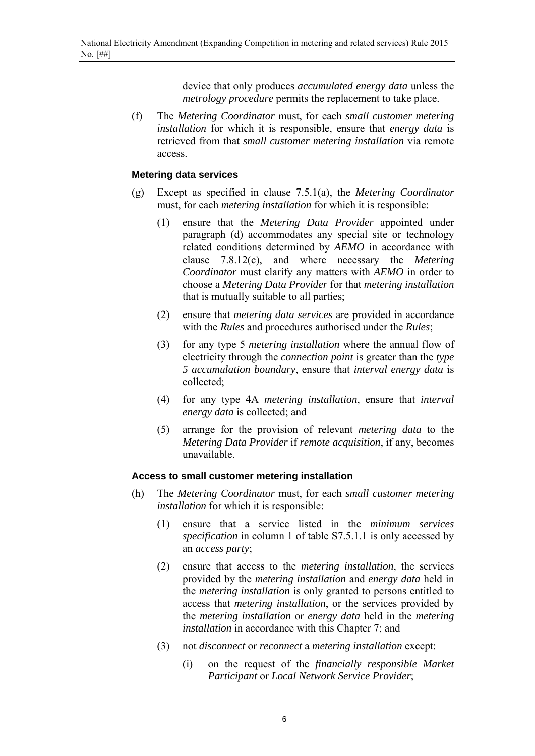device that only produces *accumulated energy data* unless the *metrology procedure* permits the replacement to take place.

(f) The *Metering Coordinator* must, for each *small customer metering installation* for which it is responsible, ensure that *energy data* is retrieved from that *small customer metering installation* via remote access.

#### **Metering data services**

- (g) Except as specified in clause 7.5.1(a), the *Metering Coordinator* must, for each *metering installation* for which it is responsible:
	- (1) ensure that the *Metering Data Provider* appointed under paragraph (d) accommodates any special site or technology related conditions determined by *AEMO* in accordance with clause 7.8.12(c), and where necessary the *Metering Coordinator* must clarify any matters with *AEMO* in order to choose a *Metering Data Provider* for that *metering installation* that is mutually suitable to all parties;
	- (2) ensure that *metering data services* are provided in accordance with the *Rules* and procedures authorised under the *Rules*;
	- (3) for any type 5 *metering installation* where the annual flow of electricity through the *connection point* is greater than the *type 5 accumulation boundary*, ensure that *interval energy data* is collected;
	- (4) for any type 4A *metering installation*, ensure that *interval energy data* is collected; and
	- (5) arrange for the provision of relevant *metering data* to the *Metering Data Provider* if *remote acquisition*, if any, becomes unavailable.

#### **Access to small customer metering installation**

- (h) The *Metering Coordinator* must, for each *small customer metering installation* for which it is responsible:
	- (1) ensure that a service listed in the *minimum services specification* in column 1 of table S7.5.1.1 is only accessed by an *access party*;
	- (2) ensure that access to the *metering installation*, the services provided by the *metering installation* and *energy data* held in the *metering installation* is only granted to persons entitled to access that *metering installation*, or the services provided by the *metering installation* or *energy data* held in the *metering installation* in accordance with this Chapter 7; and
	- (3) not *disconnect* or *reconnect* a *metering installation* except:
		- (i) on the request of the *financially responsible Market Participant* or *Local Network Service Provider*;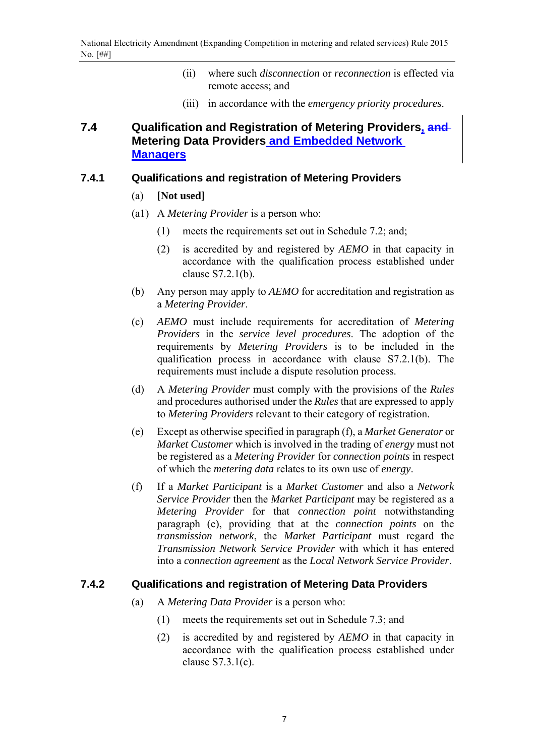- (ii) where such *disconnection* or *reconnection* is effected via remote access; and
- (iii) in accordance with the *emergency priority procedures*.

# **7.4 Qualification and Registration of Metering Providers, and Metering Data Providers and Embedded Network Managers**

#### **7.4.1 Qualifications and registration of Metering Providers**

- (a) **[Not used]**
- (a1) A *Metering Provider* is a person who:
	- (1) meets the requirements set out in Schedule 7.2; and;
	- (2) is accredited by and registered by *AEMO* in that capacity in accordance with the qualification process established under clause S7.2.1(b).
- (b) Any person may apply to *AEMO* for accreditation and registration as a *Metering Provider*.
- (c) *AEMO* must include requirements for accreditation of *Metering Providers* in the *service level procedures*. The adoption of the requirements by *Metering Providers* is to be included in the qualification process in accordance with clause S7.2.1(b). The requirements must include a dispute resolution process.
- (d) A *Metering Provider* must comply with the provisions of the *Rules* and procedures authorised under the *Rules* that are expressed to apply to *Metering Providers* relevant to their category of registration.
- (e) Except as otherwise specified in paragraph (f), a *Market Generator* or *Market Customer* which is involved in the trading of *energy* must not be registered as a *Metering Provider* for *connection points* in respect of which the *metering data* relates to its own use of *energy*.
- (f) If a *Market Participant* is a *Market Customer* and also a *Network Service Provider* then the *Market Participant* may be registered as a *Metering Provider* for that *connection point* notwithstanding paragraph (e), providing that at the *connection points* on the *transmission network*, the *Market Participant* must regard the *Transmission Network Service Provider* with which it has entered into a *connection agreement* as the *Local Network Service Provider*.

#### **7.4.2 Qualifications and registration of Metering Data Providers**

- (a) A *Metering Data Provider* is a person who:
	- (1) meets the requirements set out in Schedule 7.3; and
	- (2) is accredited by and registered by *AEMO* in that capacity in accordance with the qualification process established under clause S7.3.1(c).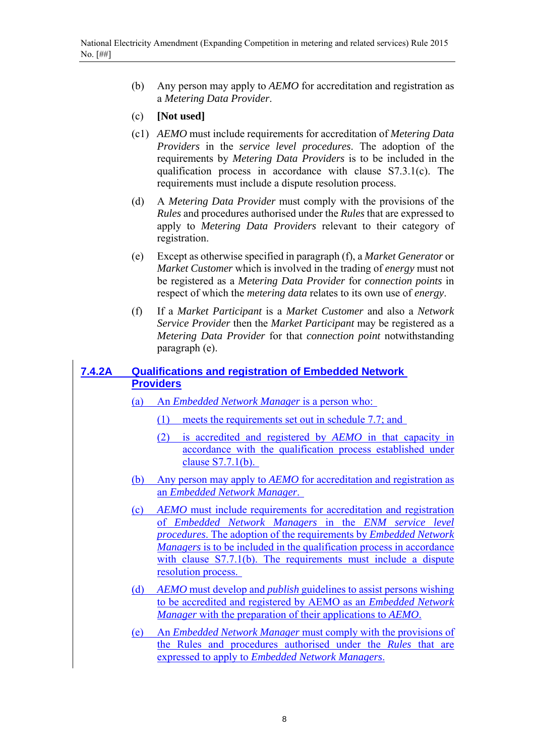- (b) Any person may apply to *AEMO* for accreditation and registration as a *Metering Data Provider*.
- (c) **[Not used]**
- (c1) *AEMO* must include requirements for accreditation of *Metering Data Providers* in the *service level procedures*. The adoption of the requirements by *Metering Data Providers* is to be included in the qualification process in accordance with clause S7.3.1(c). The requirements must include a dispute resolution process.
- (d) A *Metering Data Provider* must comply with the provisions of the *Rules* and procedures authorised under the *Rules* that are expressed to apply to *Metering Data Providers* relevant to their category of registration.
- (e) Except as otherwise specified in paragraph (f), a *Market Generator* or *Market Customer* which is involved in the trading of *energy* must not be registered as a *Metering Data Provider* for *connection points* in respect of which the *metering data* relates to its own use of *energy*.
- (f) If a *Market Participant* is a *Market Customer* and also a *Network Service Provider* then the *Market Participant* may be registered as a *Metering Data Provider* for that *connection point* notwithstanding paragraph (e).

### **7.4.2A Qualifications and registration of Embedded Network Providers**

- (a) An *Embedded Network Manager* is a person who:
	- (1) meets the requirements set out in schedule 7.7; and
	- (2) is accredited and registered by *AEMO* in that capacity in accordance with the qualification process established under clause S7.7.1(b).
- (b) Any person may apply to *AEMO* for accreditation and registration as an *Embedded Network Manager*.
- (c) *AEMO* must include requirements for accreditation and registration of *Embedded Network Managers* in the *ENM service level procedures*. The adoption of the requirements by *Embedded Network Managers* is to be included in the qualification process in accordance with clause S7.7.1(b). The requirements must include a dispute resolution process.
- (d) *AEMO* must develop and *publish* guidelines to assist persons wishing to be accredited and registered by AEMO as an *Embedded Network Manager* with the preparation of their applications to *AEMO*.
- (e) An *Embedded Network Manager* must comply with the provisions of the Rules and procedures authorised under the *Rules* that are expressed to apply to *Embedded Network Managers*.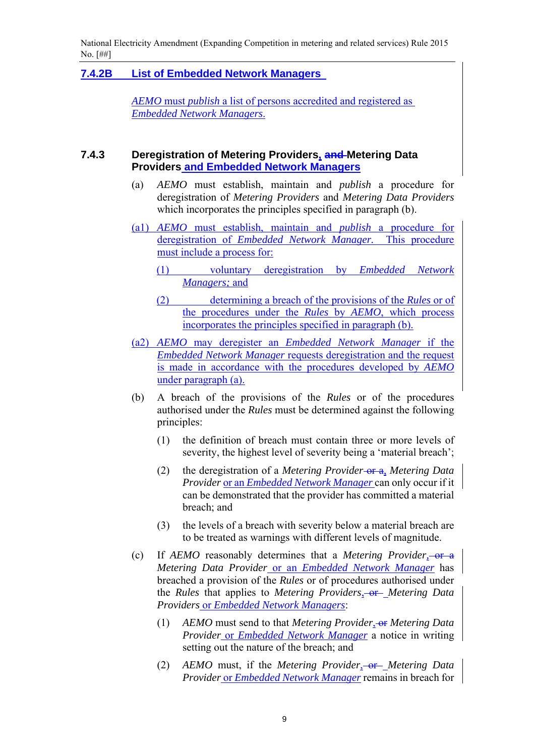National Electricity Amendment (Expanding Competition in metering and related services) Rule 2015 No. [##]

#### **7.4.2B List of Embedded Network Managers**

*AEMO* must *publish* a list of persons accredited and registered as *Embedded Network Managers*.

#### **7.4.3 Deregistration of Metering Providers, and Metering Data Providers and Embedded Network Managers**

- (a) *AEMO* must establish, maintain and *publish* a procedure for deregistration of *Metering Providers* and *Metering Data Providers* which incorporates the principles specified in paragraph (b).
- (a1) *AEMO* must establish, maintain and *publish* a procedure for deregistration of *Embedded Network Manager.* This procedure must include a process for:
	- (1) voluntary deregistration by *Embedded Network Managers;* and
	- (2) determining a breach of the provisions of the *Rules* or of the procedures under the *Rules* by *AEMO*, which process incorporates the principles specified in paragraph (b).
- (a2) *AEMO* may deregister an *Embedded Network Manager* if the *Embedded Network Manager* requests deregistration and the request is made in accordance with the procedures developed by *AEMO* under paragraph (a).
- (b) A breach of the provisions of the *Rules* or of the procedures authorised under the *Rules* must be determined against the following principles:
	- (1) the definition of breach must contain three or more levels of severity, the highest level of severity being a 'material breach';
	- (2) the deregistration of a *Metering Provider* or a, *Metering Data Provider* or an *Embedded Network Manager* can only occur if it can be demonstrated that the provider has committed a material breach; and
	- (3) the levels of a breach with severity below a material breach are to be treated as warnings with different levels of magnitude.
- (c) If *AEMO* reasonably determines that a *Metering Provider,* or a *Metering Data Provider* or an *Embedded Network Manager* has breached a provision of the *Rules* or of procedures authorised under the *Rules* that applies to *Metering Providers*, or *Metering Data Providers* or *Embedded Network Managers*:
	- (1) *AEMO* must send to that *Metering Provider*, or *Metering Data Provider* or *Embedded Network Manager* a notice in writing setting out the nature of the breach; and
	- (2) *AEMO* must, if the *Metering Provider*, or *Metering Data Provider* or *Embedded Network Manager* remains in breach for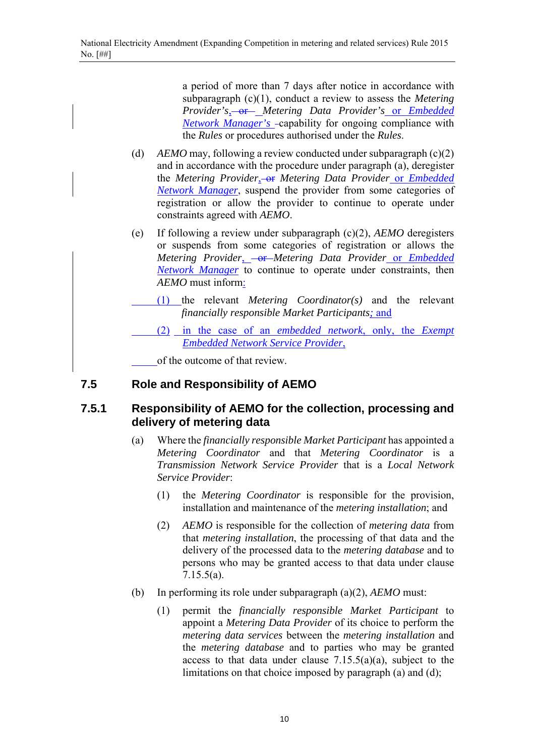a period of more than 7 days after notice in accordance with subparagraph (c)(1), conduct a review to assess the *Metering Provider's*<sub>3</sub>-or-*Metering Data Provider's* or *Embedded Network Manager's* capability for ongoing compliance with the *Rules* or procedures authorised under the *Rules*.

- (d) *AEMO* may, following a review conducted under subparagraph (c)(2) and in accordance with the procedure under paragraph (a), deregister the *Metering Provider*, or *Metering Data Provider* or *Embedded Network Manager*, suspend the provider from some categories of registration or allow the provider to continue to operate under constraints agreed with *AEMO*.
- (e) If following a review under subparagraph (c)(2), *AEMO* deregisters or suspends from some categories of registration or allows the *Metering Provider*, - or *Metering Data Provider* or *Embedded Network Manager* to continue to operate under constraints, then *AEMO* must inform:
	- (1) the relevant *Metering Coordinator(s)* and the relevant *financially responsible Market Participants;* and
- (2) in the case of an *embedded network*, only, the *Exempt Embedded Network Service Provider*,

of the outcome of that review.

# **7.5 Role and Responsibility of AEMO**

# **7.5.1 Responsibility of AEMO for the collection, processing and delivery of metering data**

- (a) Where the *financially responsible Market Participant* has appointed a *Metering Coordinator* and that *Metering Coordinator* is a *Transmission Network Service Provider* that is a *Local Network Service Provider*:
	- (1) the *Metering Coordinator* is responsible for the provision, installation and maintenance of the *metering installation*; and
	- (2) *AEMO* is responsible for the collection of *metering data* from that *metering installation*, the processing of that data and the delivery of the processed data to the *metering database* and to persons who may be granted access to that data under clause 7.15.5(a).
- (b) In performing its role under subparagraph (a)(2), *AEMO* must:
	- (1) permit the *financially responsible Market Participant* to appoint a *Metering Data Provider* of its choice to perform the *metering data services* between the *metering installation* and the *metering database* and to parties who may be granted access to that data under clause  $7.15.5(a)(a)$ , subject to the limitations on that choice imposed by paragraph (a) and (d);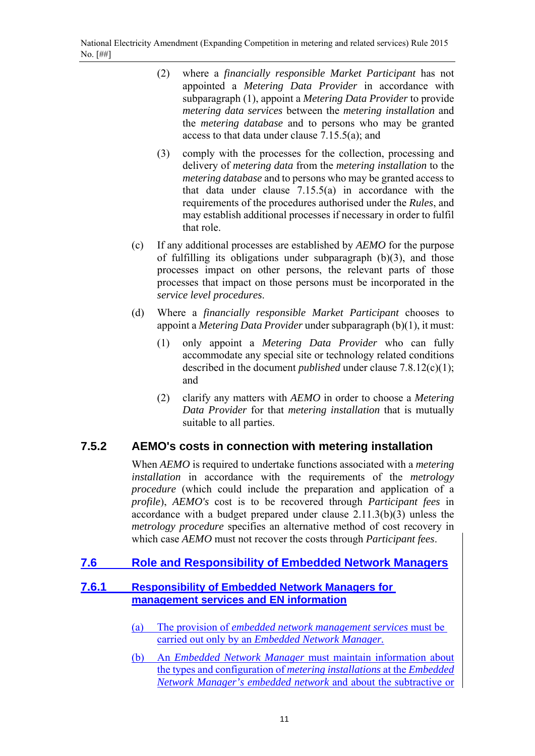- (2) where a *financially responsible Market Participant* has not appointed a *Metering Data Provider* in accordance with subparagraph (1), appoint a *Metering Data Provider* to provide *metering data services* between the *metering installation* and the *metering database* and to persons who may be granted access to that data under clause 7.15.5(a); and
- (3) comply with the processes for the collection, processing and delivery of *metering data* from the *metering installation* to the *metering database* and to persons who may be granted access to that data under clause 7.15.5(a) in accordance with the requirements of the procedures authorised under the *Rules*, and may establish additional processes if necessary in order to fulfil that role.
- (c) If any additional processes are established by *AEMO* for the purpose of fulfilling its obligations under subparagraph (b)(3), and those processes impact on other persons, the relevant parts of those processes that impact on those persons must be incorporated in the *service level procedures*.
- (d) Where a *financially responsible Market Participant* chooses to appoint a *Metering Data Provider* under subparagraph (b)(1), it must:
	- (1) only appoint a *Metering Data Provider* who can fully accommodate any special site or technology related conditions described in the document *published* under clause 7.8.12(c)(1); and
	- (2) clarify any matters with *AEMO* in order to choose a *Metering Data Provider* for that *metering installation* that is mutually suitable to all parties.

# **7.5.2 AEMO's costs in connection with metering installation**

When *AEMO* is required to undertake functions associated with a *metering installation* in accordance with the requirements of the *metrology procedure* (which could include the preparation and application of a *profile*), *AEMO's* cost is to be recovered through *Participant fees* in accordance with a budget prepared under clause 2.11.3(b)(3) unless the *metrology procedure* specifies an alternative method of cost recovery in which case *AEMO* must not recover the costs through *Participant fees*.

# **7.6 Role and Responsibility of Embedded Network Managers**

### **7.6.1 Responsibility of Embedded Network Managers for management services and EN information**

- (a) The provision of *embedded network management services* must be carried out only by an *Embedded Network Manager.*
- (b) An *Embedded Network Manager* must maintain information about the types and configuration of *metering installations* at the *Embedded Network Manager's embedded network* and about the subtractive or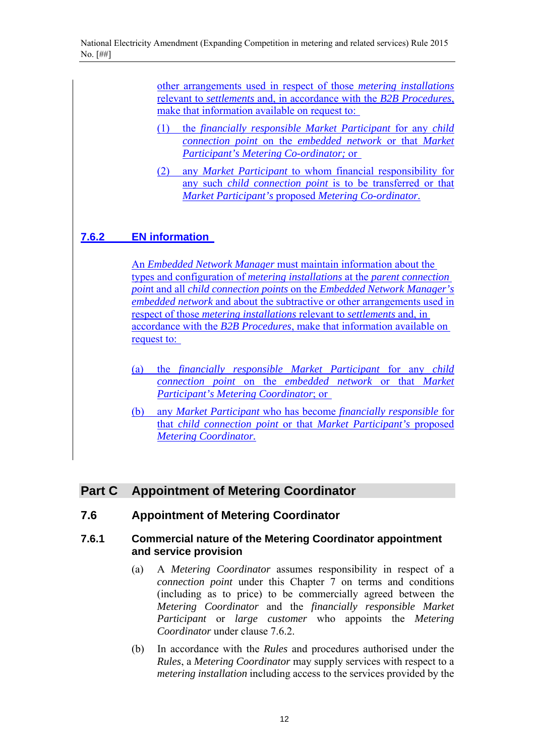other arrangements used in respect of those *metering installations*  relevant to *settlements* and, in accordance with the *B2B Procedures*, make that information available on request to:

- (1) the *financially responsible Market Participant* for any *child connection point* on the *embedded network* or that *Market Participant's Metering Co-ordinator;* or
- (2) any *Market Participant* to whom financial responsibility for any such *child connection point* is to be transferred or that *Market Participant's* proposed *Metering Co-ordinator.*

# **7.6.2 EN information**

An *Embedded Network Manager* must maintain information about the types and configuration of *metering installations* at the *parent connection poin*t and all *child connection points* on the *Embedded Network Manager's embedded network* and about the subtractive or other arrangements used in respect of those *metering installations* relevant to *settlements* and, in accordance with the *B2B Procedures*, make that information available on request to:

- (a) the *financially responsible Market Participant* for any *child connection point* on the *embedded network* or that *Market Participant's Metering Coordinator*; or
- (b) any *Market Participant* who has become *financially responsible* for that *child connection point* or that *Market Participant's* proposed *Metering Coordinator.*

# **Part C Appointment of Metering Coordinator**

# **7.6 Appointment of Metering Coordinator**

#### **7.6.1 Commercial nature of the Metering Coordinator appointment and service provision**

- (a) A *Metering Coordinator* assumes responsibility in respect of a *connection point* under this Chapter 7 on terms and conditions (including as to price) to be commercially agreed between the *Metering Coordinator* and the *financially responsible Market Participant* or *large customer* who appoints the *Metering Coordinator* under clause 7.6.2.
- (b) In accordance with the *Rules* and procedures authorised under the *Rules*, a *Metering Coordinator* may supply services with respect to a *metering installation* including access to the services provided by the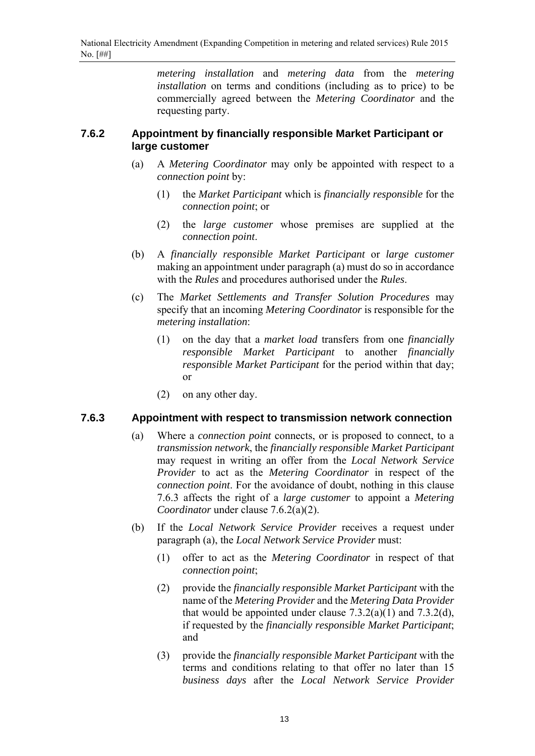*metering installation* and *metering data* from the *metering installation* on terms and conditions (including as to price) to be commercially agreed between the *Metering Coordinator* and the requesting party.

#### **7.6.2 Appointment by financially responsible Market Participant or large customer**

- (a) A *Metering Coordinator* may only be appointed with respect to a *connection point* by:
	- (1) the *Market Participant* which is *financially responsible* for the *connection point*; or
	- (2) the *large customer* whose premises are supplied at the *connection point*.
- (b) A *financially responsible Market Participant* or *large customer* making an appointment under paragraph (a) must do so in accordance with the *Rules* and procedures authorised under the *Rules*.
- (c) The *Market Settlements and Transfer Solution Procedures* may specify that an incoming *Metering Coordinator* is responsible for the *metering installation*:
	- (1) on the day that a *market load* transfers from one *financially responsible Market Participant* to another *financially responsible Market Participant* for the period within that day; or
	- (2) on any other day.

#### **7.6.3 Appointment with respect to transmission network connection**

- (a) Where a *connection point* connects, or is proposed to connect, to a *transmission network*, the *financially responsible Market Participant* may request in writing an offer from the *Local Network Service Provider* to act as the *Metering Coordinator* in respect of the *connection point*. For the avoidance of doubt, nothing in this clause 7.6.3 affects the right of a *large customer* to appoint a *Metering Coordinator* under clause 7.6.2(a)(2).
- (b) If the *Local Network Service Provider* receives a request under paragraph (a), the *Local Network Service Provider* must:
	- (1) offer to act as the *Metering Coordinator* in respect of that *connection point*;
	- (2) provide the *financially responsible Market Participant* with the name of the *Metering Provider* and the *Metering Data Provider* that would be appointed under clause  $7.3.2(a)(1)$  and  $7.3.2(d)$ , if requested by the *financially responsible Market Participant*; and
	- (3) provide the *financially responsible Market Participant* with the terms and conditions relating to that offer no later than 15 *business days* after the *Local Network Service Provider*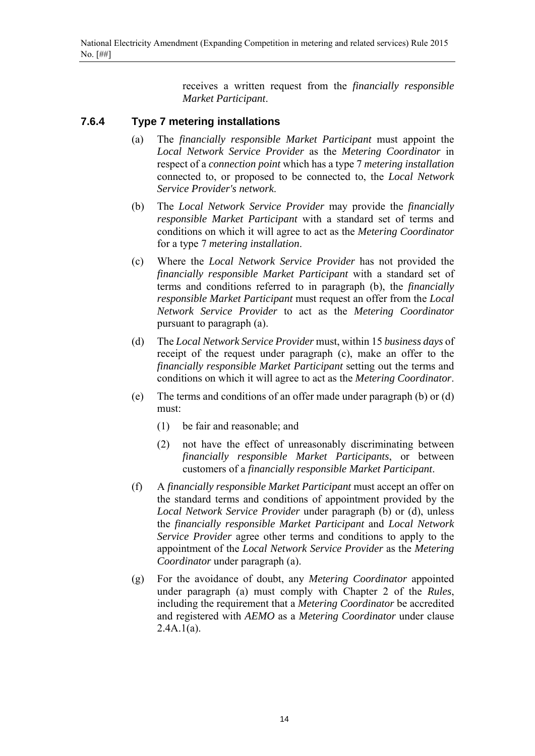receives a written request from the *financially responsible Market Participant*.

#### **7.6.4 Type 7 metering installations**

- (a) The *financially responsible Market Participant* must appoint the *Local Network Service Provider* as the *Metering Coordinator* in respect of a *connection point* which has a type 7 *metering installation* connected to, or proposed to be connected to, the *Local Network Service Provider's network*.
- (b) The *Local Network Service Provider* may provide the *financially responsible Market Participant* with a standard set of terms and conditions on which it will agree to act as the *Metering Coordinator* for a type 7 *metering installation*.
- (c) Where the *Local Network Service Provider* has not provided the *financially responsible Market Participant* with a standard set of terms and conditions referred to in paragraph (b), the *financially responsible Market Participant* must request an offer from the *Local Network Service Provider* to act as the *Metering Coordinator* pursuant to paragraph (a).
- (d) The *Local Network Service Provider* must, within 15 *business days* of receipt of the request under paragraph (c), make an offer to the *financially responsible Market Participant* setting out the terms and conditions on which it will agree to act as the *Metering Coordinator*.
- (e) The terms and conditions of an offer made under paragraph (b) or (d) must:
	- (1) be fair and reasonable; and
	- (2) not have the effect of unreasonably discriminating between *financially responsible Market Participants*, or between customers of a *financially responsible Market Participant*.
- (f) A *financially responsible Market Participant* must accept an offer on the standard terms and conditions of appointment provided by the *Local Network Service Provider* under paragraph (b) or (d), unless the *financially responsible Market Participant* and *Local Network Service Provider* agree other terms and conditions to apply to the appointment of the *Local Network Service Provider* as the *Metering Coordinator* under paragraph (a).
- (g) For the avoidance of doubt, any *Metering Coordinator* appointed under paragraph (a) must comply with Chapter 2 of the *Rules*, including the requirement that a *Metering Coordinator* be accredited and registered with *AEMO* as a *Metering Coordinator* under clause  $2.4A.1(a)$ .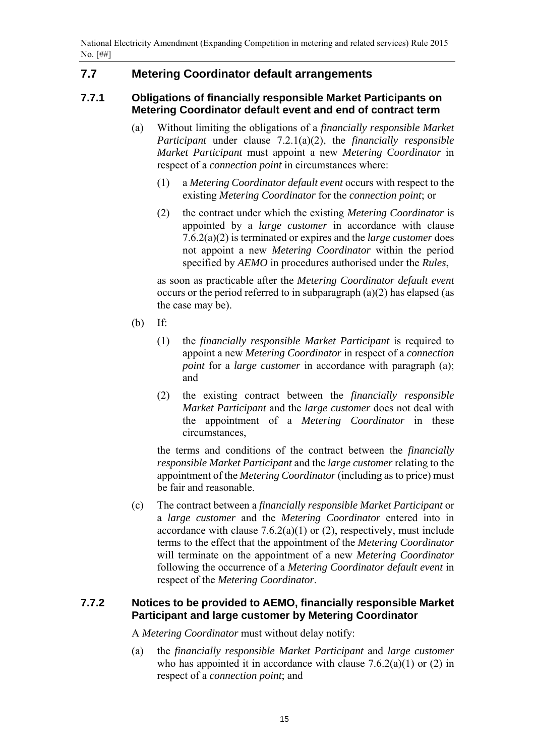# **7.7 Metering Coordinator default arrangements**

#### **7.7.1 Obligations of financially responsible Market Participants on Metering Coordinator default event and end of contract term**

- (a) Without limiting the obligations of a *financially responsible Market Participant* under clause 7.2.1(a)(2), the *financially responsible Market Participant* must appoint a new *Metering Coordinator* in respect of a *connection point* in circumstances where:
	- (1) a *Metering Coordinator default event* occurs with respect to the existing *Metering Coordinator* for the *connection point*; or
	- (2) the contract under which the existing *Metering Coordinator* is appointed by a *large customer* in accordance with clause 7.6.2(a)(2) is terminated or expires and the *large customer* does not appoint a new *Metering Coordinator* within the period specified by *AEMO* in procedures authorised under the *Rules*,

as soon as practicable after the *Metering Coordinator default event* occurs or the period referred to in subparagraph (a)(2) has elapsed (as the case may be).

- (b) If:
	- (1) the *financially responsible Market Participant* is required to appoint a new *Metering Coordinator* in respect of a *connection point* for a *large customer* in accordance with paragraph (a); and
	- (2) the existing contract between the *financially responsible Market Participant* and the *large customer* does not deal with the appointment of a *Metering Coordinator* in these circumstances,

the terms and conditions of the contract between the *financially responsible Market Participant* and the *large customer* relating to the appointment of the *Metering Coordinator* (including as to price) must be fair and reasonable.

(c) The contract between a *financially responsible Market Participant* or a *large customer* and the *Metering Coordinator* entered into in accordance with clause  $7.6.2(a)(1)$  or (2), respectively, must include terms to the effect that the appointment of the *Metering Coordinator* will terminate on the appointment of a new *Metering Coordinator* following the occurrence of a *Metering Coordinator default event* in respect of the *Metering Coordinator*.

#### **7.7.2 Notices to be provided to AEMO, financially responsible Market Participant and large customer by Metering Coordinator**

A *Metering Coordinator* must without delay notify:

(a) the *financially responsible Market Participant* and *large customer* who has appointed it in accordance with clause  $7.6.2(a)(1)$  or  $(2)$  in respect of a *connection point*; and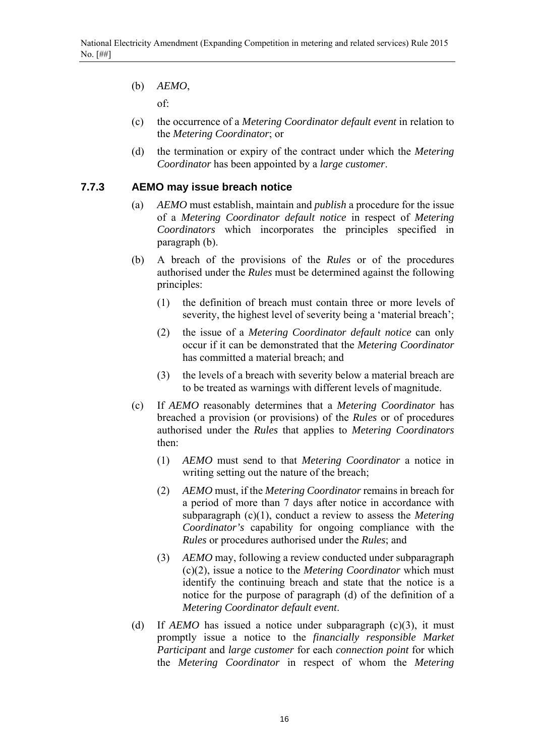(b) *AEMO*,

of:

- (c) the occurrence of a *Metering Coordinator default event* in relation to the *Metering Coordinator*; or
- (d) the termination or expiry of the contract under which the *Metering Coordinator* has been appointed by a *large customer*.

#### **7.7.3 AEMO may issue breach notice**

- (a) *AEMO* must establish, maintain and *publish* a procedure for the issue of a *Metering Coordinator default notice* in respect of *Metering Coordinators* which incorporates the principles specified in paragraph (b).
- (b) A breach of the provisions of the *Rules* or of the procedures authorised under the *Rules* must be determined against the following principles:
	- (1) the definition of breach must contain three or more levels of severity, the highest level of severity being a 'material breach';
	- (2) the issue of a *Metering Coordinator default notice* can only occur if it can be demonstrated that the *Metering Coordinator* has committed a material breach; and
	- (3) the levels of a breach with severity below a material breach are to be treated as warnings with different levels of magnitude.
- (c) If *AEMO* reasonably determines that a *Metering Coordinator* has breached a provision (or provisions) of the *Rules* or of procedures authorised under the *Rules* that applies to *Metering Coordinators* then:
	- (1) *AEMO* must send to that *Metering Coordinator* a notice in writing setting out the nature of the breach;
	- (2) *AEMO* must, if the *Metering Coordinator* remains in breach for a period of more than 7 days after notice in accordance with subparagraph (c)(1), conduct a review to assess the *Metering Coordinator's* capability for ongoing compliance with the *Rules* or procedures authorised under the *Rules*; and
	- (3) *AEMO* may, following a review conducted under subparagraph (c)(2), issue a notice to the *Metering Coordinator* which must identify the continuing breach and state that the notice is a notice for the purpose of paragraph (d) of the definition of a *Metering Coordinator default event*.
- (d) If *AEMO* has issued a notice under subparagraph (c)(3), it must promptly issue a notice to the *financially responsible Market Participant* and *large customer* for each *connection point* for which the *Metering Coordinator* in respect of whom the *Metering*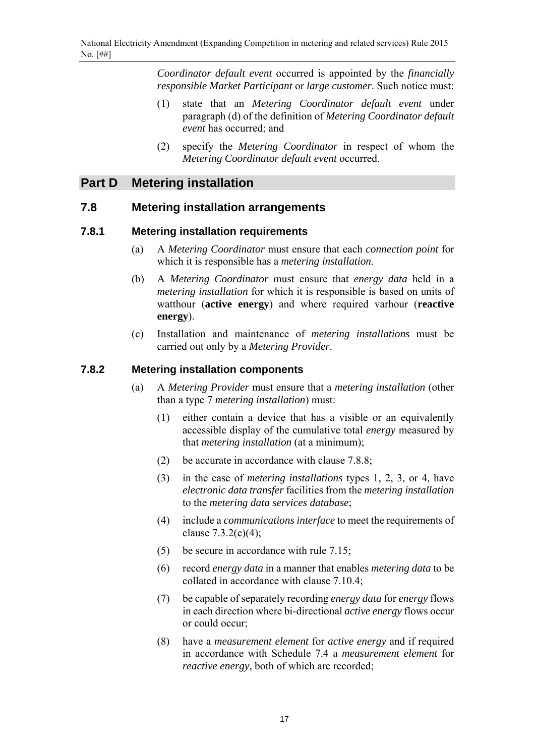*Coordinator default event* occurred is appointed by the *financially responsible Market Participant* or *large customer*. Such notice must:

- (1) state that an *Metering Coordinator default event* under paragraph (d) of the definition of *Metering Coordinator default event* has occurred; and
- (2) specify the *Metering Coordinator* in respect of whom the *Metering Coordinator default event* occurred.

# **Part D Metering installation**

### **7.8 Metering installation arrangements**

#### **7.8.1 Metering installation requirements**

- (a) A *Metering Coordinator* must ensure that each *connection point* for which it is responsible has a *metering installation*.
- (b) A *Metering Coordinator* must ensure that *energy data* held in a *metering installation* for which it is responsible is based on units of watthour (**active energy**) and where required varhour (**reactive energy**).
- (c) Installation and maintenance of *metering installations* must be carried out only by a *Metering Provider*.

#### **7.8.2 Metering installation components**

- (a) A *Metering Provider* must ensure that a *metering installation* (other than a type 7 *metering installation*) must:
	- (1) either contain a device that has a visible or an equivalently accessible display of the cumulative total *energy* measured by that *metering installation* (at a minimum);
	- (2) be accurate in accordance with clause 7.8.8;
	- (3) in the case of *metering installations* types 1, 2, 3, or 4, have *electronic data transfer* facilities from the *metering installation* to the *metering data services database*;
	- (4) include a *communications interface* to meet the requirements of clause  $7.3.2(e)(4)$ ;
	- (5) be secure in accordance with rule 7.15;
	- (6) record *energy data* in a manner that enables *metering data* to be collated in accordance with clause 7.10.4;
	- (7) be capable of separately recording *energy data* for *energy* flows in each direction where bi-directional *active energy* flows occur or could occur;
	- (8) have a *measurement element* for *active energy* and if required in accordance with Schedule 7.4 a *measurement element* for *reactive energy*, both of which are recorded;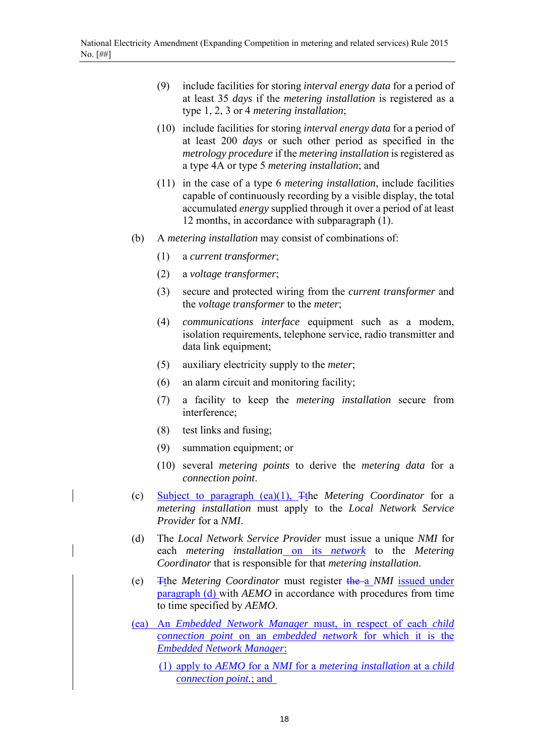- (9) include facilities for storing *interval energy data* for a period of at least 35 *days* if the *metering installation* is registered as a type 1, 2, 3 or 4 *metering installation*;
- (10) include facilities for storing *interval energy data* for a period of at least 200 *days* or such other period as specified in the *metrology procedure* if the *metering installation* is registered as a type 4A or type 5 *metering installation*; and
- (11) in the case of a type 6 *metering installation*, include facilities capable of continuously recording by a visible display, the total accumulated *energy* supplied through it over a period of at least 12 months, in accordance with subparagraph (1).
- (b) A *metering installation* may consist of combinations of:
	- (1) a *current transformer*;
	- (2) a *voltage transformer*;
	- (3) secure and protected wiring from the *current transformer* and the *voltage transformer* to the *meter*;
	- (4) *communications interface* equipment such as a modem, isolation requirements, telephone service, radio transmitter and data link equipment;
	- (5) auxiliary electricity supply to the *meter*;
	- (6) an alarm circuit and monitoring facility;
	- (7) a facility to keep the *metering installation* secure from interference;
	- (8) test links and fusing;
	- (9) summation equipment; or
	- (10) several *metering points* to derive the *metering data* for a *connection point*.
- (c) Subject to paragraph (ea)(1), Tthe *Metering Coordinator* for a *metering installation* must apply to the *Local Network Service Provider* for a *NMI*.
- (d) The *Local Network Service Provider* must issue a unique *NMI* for each *metering installation* on its *network* to the *Metering Coordinator* that is responsible for that *metering installation*.
- (e) Tthe *Metering Coordinator* must register the a *NMI* issued under paragraph (d) with *AEMO* in accordance with procedures from time to time specified by *AEMO*.
- (ea) An *Embedded Network Manager* must, in respect of each *child connection point* on an *embedded network* for which it is the *Embedded Network Manager*:
	- (1) apply to *AEMO* for a *NMI* for a *metering installation* at a *child connection point.*; and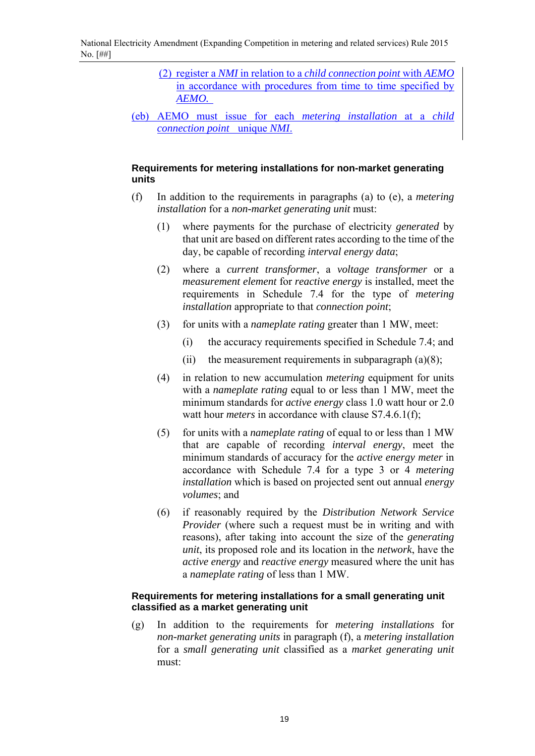- (2) register a *NMI* in relation to a *child connection point* with *AEMO* in accordance with procedures from time to time specified by *AEMO.*
- (eb) AEMO must issue for each *metering installation* at a *child connection point* unique *NMI*.

#### **Requirements for metering installations for non-market generating units**

- (f) In addition to the requirements in paragraphs (a) to (e), a *metering installation* for a *non-market generating unit* must:
	- (1) where payments for the purchase of electricity *generated* by that unit are based on different rates according to the time of the day, be capable of recording *interval energy data*;
	- (2) where a *current transformer*, a *voltage transformer* or a *measurement element* for *reactive energy* is installed, meet the requirements in Schedule 7.4 for the type of *metering installation* appropriate to that *connection point*;
	- (3) for units with a *nameplate rating* greater than 1 MW, meet:
		- (i) the accuracy requirements specified in Schedule 7.4; and
		- (ii) the measurement requirements in subparagraph  $(a)(8)$ ;
	- (4) in relation to new accumulation *metering* equipment for units with a *nameplate rating* equal to or less than 1 MW, meet the minimum standards for *active energy* class 1.0 watt hour or 2.0 watt hour *meters* in accordance with clause S7.4.6.1(f);
	- (5) for units with a *nameplate rating* of equal to or less than 1 MW that are capable of recording *interval energy*, meet the minimum standards of accuracy for the *active energy meter* in accordance with Schedule 7.4 for a type 3 or 4 *metering installation* which is based on projected sent out annual *energy volumes*; and
	- (6) if reasonably required by the *Distribution Network Service Provider* (where such a request must be in writing and with reasons), after taking into account the size of the *generating unit*, its proposed role and its location in the *network*, have the *active energy* and *reactive energy* measured where the unit has a *nameplate rating* of less than 1 MW.

#### **Requirements for metering installations for a small generating unit classified as a market generating unit**

(g) In addition to the requirements for *metering installations* for *non-market generating units* in paragraph (f), a *metering installation* for a *small generating unit* classified as a *market generating unit* must: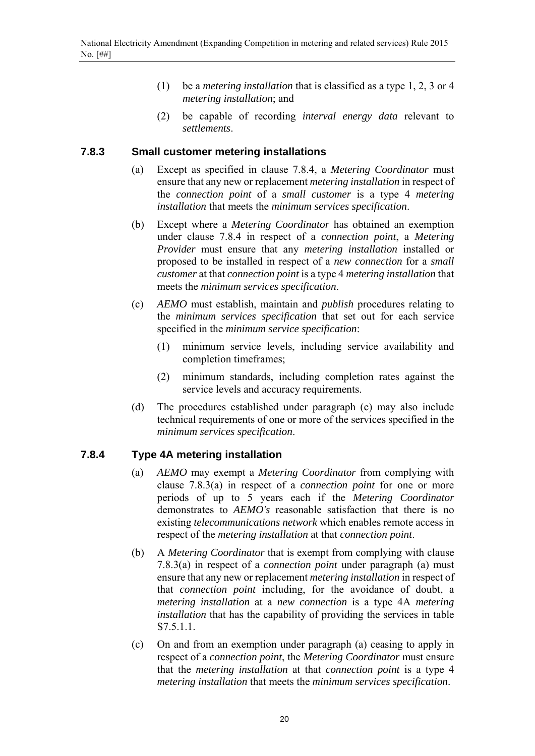- (1) be a *metering installation* that is classified as a type 1, 2, 3 or 4 *metering installation*; and
- (2) be capable of recording *interval energy data* relevant to *settlements*.

#### **7.8.3 Small customer metering installations**

- (a) Except as specified in clause 7.8.4, a *Metering Coordinator* must ensure that any new or replacement *metering installation* in respect of the *connection point* of a *small customer* is a type 4 *metering installation* that meets the *minimum services specification*.
- (b) Except where a *Metering Coordinator* has obtained an exemption under clause 7.8.4 in respect of a *connection point*, a *Metering Provider* must ensure that any *metering installation* installed or proposed to be installed in respect of a *new connection* for a *small customer* at that *connection point* is a type 4 *metering installation* that meets the *minimum services specification*.
- (c) *AEMO* must establish, maintain and *publish* procedures relating to the *minimum services specification* that set out for each service specified in the *minimum service specification*:
	- (1) minimum service levels, including service availability and completion timeframes;
	- (2) minimum standards, including completion rates against the service levels and accuracy requirements.
- (d) The procedures established under paragraph (c) may also include technical requirements of one or more of the services specified in the *minimum services specification*.

#### **7.8.4 Type 4A metering installation**

- (a) *AEMO* may exempt a *Metering Coordinator* from complying with clause 7.8.3(a) in respect of a *connection point* for one or more periods of up to 5 years each if the *Metering Coordinator* demonstrates to *AEMO's* reasonable satisfaction that there is no existing *telecommunications network* which enables remote access in respect of the *metering installation* at that *connection point*.
- (b) A *Metering Coordinator* that is exempt from complying with clause 7.8.3(a) in respect of a *connection point* under paragraph (a) must ensure that any new or replacement *metering installation* in respect of that *connection point* including, for the avoidance of doubt, a *metering installation* at a *new connection* is a type 4A *metering installation* that has the capability of providing the services in table S7.5.1.1.
- (c) On and from an exemption under paragraph (a) ceasing to apply in respect of a *connection point*, the *Metering Coordinator* must ensure that the *metering installation* at that *connection point* is a type 4 *metering installation* that meets the *minimum services specification*.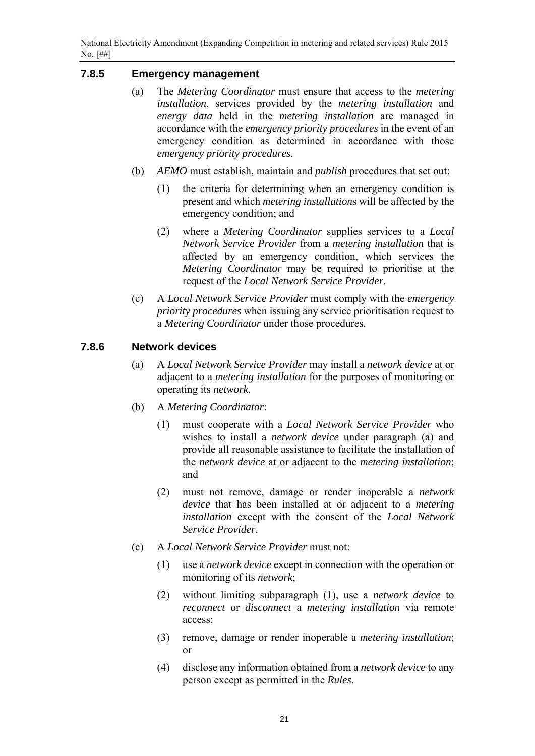### **7.8.5 Emergency management**

- (a) The *Metering Coordinator* must ensure that access to the *metering installation*, services provided by the *metering installation* and *energy data* held in the *metering installation* are managed in accordance with the *emergency priority procedures* in the event of an emergency condition as determined in accordance with those *emergency priority procedures*.
- (b) *AEMO* must establish, maintain and *publish* procedures that set out:
	- (1) the criteria for determining when an emergency condition is present and which *metering installation*s will be affected by the emergency condition; and
	- (2) where a *Metering Coordinator* supplies services to a *Local Network Service Provider* from a *metering installation* that is affected by an emergency condition, which services the *Metering Coordinator* may be required to prioritise at the request of the *Local Network Service Provider*.
- (c) A *Local Network Service Provider* must comply with the *emergency priority procedures* when issuing any service prioritisation request to a *Metering Coordinator* under those procedures.

#### **7.8.6 Network devices**

- (a) A *Local Network Service Provider* may install a *network device* at or adjacent to a *metering installation* for the purposes of monitoring or operating its *network*.
- (b) A *Metering Coordinator*:
	- (1) must cooperate with a *Local Network Service Provider* who wishes to install a *network device* under paragraph (a) and provide all reasonable assistance to facilitate the installation of the *network device* at or adjacent to the *metering installation*; and
	- (2) must not remove, damage or render inoperable a *network device* that has been installed at or adjacent to a *metering installation* except with the consent of the *Local Network Service Provider*.
- (c) A *Local Network Service Provider* must not:
	- (1) use a *network device* except in connection with the operation or monitoring of its *network*;
	- (2) without limiting subparagraph (1), use a *network device* to *reconnect* or *disconnect* a *metering installation* via remote access;
	- (3) remove, damage or render inoperable a *metering installation*; or
	- (4) disclose any information obtained from a *network device* to any person except as permitted in the *Rules*.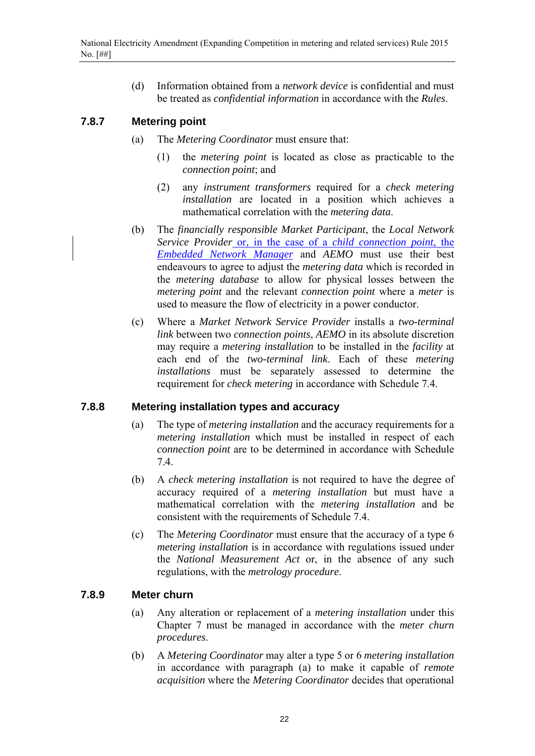(d) Information obtained from a *network device* is confidential and must be treated as *confidential information* in accordance with the *Rules*.

### **7.8.7 Metering point**

- (a) The *Metering Coordinator* must ensure that:
	- (1) the *metering point* is located as close as practicable to the *connection point*; and
	- (2) any *instrument transformers* required for a *check metering installation* are located in a position which achieves a mathematical correlation with the *metering data*.
- (b) The *financially responsible Market Participant*, the *Local Network Service Provider* or, in the case of a *child connection point*, the *Embedded Network Manager* and *AEMO* must use their best endeavours to agree to adjust the *metering data* which is recorded in the *metering database* to allow for physical losses between the *metering point* and the relevant *connection point* where a *meter* is used to measure the flow of electricity in a power conductor.
- (c) Where a *Market Network Service Provider* installs a *two-terminal link* between two *connection points*, *AEMO* in its absolute discretion may require a *metering installation* to be installed in the *facility* at each end of the *two-terminal link*. Each of these *metering installations* must be separately assessed to determine the requirement for *check metering* in accordance with Schedule 7.4.

#### **7.8.8 Metering installation types and accuracy**

- (a) The type of *metering installation* and the accuracy requirements for a *metering installation* which must be installed in respect of each *connection point* are to be determined in accordance with Schedule 7.4.
- (b) A *check metering installation* is not required to have the degree of accuracy required of a *metering installation* but must have a mathematical correlation with the *metering installation* and be consistent with the requirements of Schedule 7.4.
- (c) The *Metering Coordinator* must ensure that the accuracy of a type 6 *metering installation* is in accordance with regulations issued under the *National Measurement Act* or, in the absence of any such regulations, with the *metrology procedure*.

#### **7.8.9 Meter churn**

- (a) Any alteration or replacement of a *metering installation* under this Chapter 7 must be managed in accordance with the *meter churn procedures*.
- (b) A *Metering Coordinator* may alter a type 5 or 6 *metering installation* in accordance with paragraph (a) to make it capable of *remote acquisition* where the *Metering Coordinator* decides that operational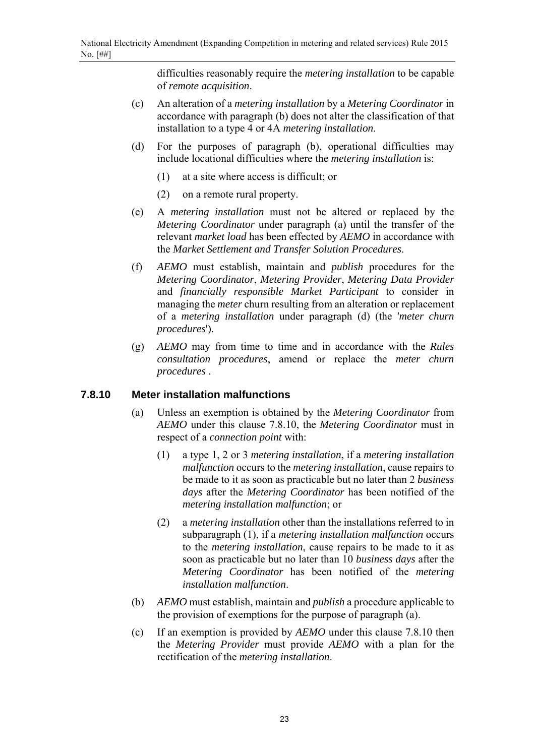difficulties reasonably require the *metering installation* to be capable of *remote acquisition*.

- (c) An alteration of a *metering installation* by a *Metering Coordinator* in accordance with paragraph (b) does not alter the classification of that installation to a type 4 or 4A *metering installation*.
- (d) For the purposes of paragraph (b), operational difficulties may include locational difficulties where the *metering installation* is:
	- (1) at a site where access is difficult; or
	- (2) on a remote rural property.
- (e) A *metering installation* must not be altered or replaced by the *Metering Coordinator* under paragraph (a) until the transfer of the relevant *market load* has been effected by *AEMO* in accordance with the *Market Settlement and Transfer Solution Procedures*.
- (f) *AEMO* must establish, maintain and *publish* procedures for the *Metering Coordinator*, *Metering Provider*, *Metering Data Provider* and *financially responsible Market Participant* to consider in managing the *meter* churn resulting from an alteration or replacement of a *metering installation* under paragraph (d) (the '*meter churn procedures*').
- (g) *AEMO* may from time to time and in accordance with the *Rules consultation procedures*, amend or replace the *meter churn procedures* .

#### **7.8.10 Meter installation malfunctions**

- (a) Unless an exemption is obtained by the *Metering Coordinator* from *AEMO* under this clause 7.8.10, the *Metering Coordinator* must in respect of a *connection point* with:
	- (1) a type 1, 2 or 3 *metering installation*, if a *metering installation malfunction* occurs to the *metering installation*, cause repairs to be made to it as soon as practicable but no later than 2 *business days* after the *Metering Coordinator* has been notified of the *metering installation malfunction*; or
	- (2) a *metering installation* other than the installations referred to in subparagraph (1), if a *metering installation malfunction* occurs to the *metering installation*, cause repairs to be made to it as soon as practicable but no later than 10 *business days* after the *Metering Coordinator* has been notified of the *metering installation malfunction*.
- (b) *AEMO* must establish, maintain and *publish* a procedure applicable to the provision of exemptions for the purpose of paragraph (a).
- (c) If an exemption is provided by *AEMO* under this clause 7.8.10 then the *Metering Provider* must provide *AEMO* with a plan for the rectification of the *metering installation*.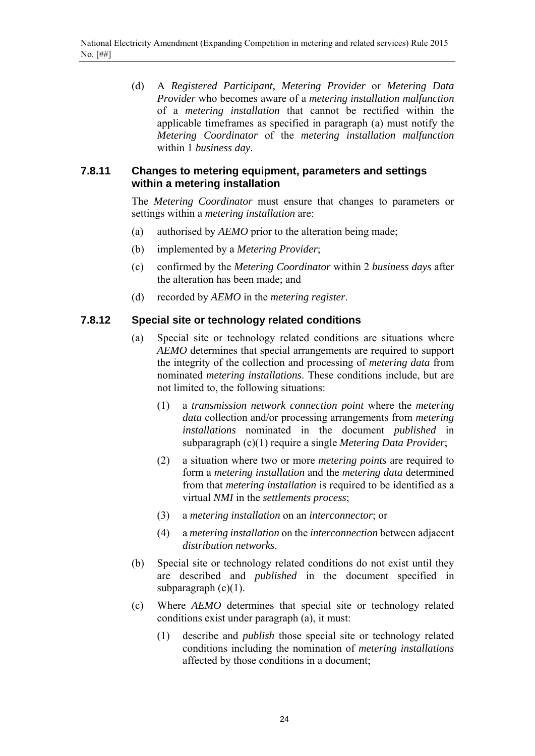(d) A *Registered Participant*, *Metering Provider* or *Metering Data Provider* who becomes aware of a *metering installation malfunction* of a *metering installation* that cannot be rectified within the applicable timeframes as specified in paragraph (a) must notify the *Metering Coordinator* of the *metering installation malfunction* within 1 *business day*.

#### **7.8.11 Changes to metering equipment, parameters and settings within a metering installation**

The *Metering Coordinator* must ensure that changes to parameters or settings within a *metering installation* are:

- (a) authorised by *AEMO* prior to the alteration being made;
- (b) implemented by a *Metering Provider*;
- (c) confirmed by the *Metering Coordinator* within 2 *business days* after the alteration has been made; and
- (d) recorded by *AEMO* in the *metering register*.

#### **7.8.12 Special site or technology related conditions**

- (a) Special site or technology related conditions are situations where *AEMO* determines that special arrangements are required to support the integrity of the collection and processing of *metering data* from nominated *metering installations*. These conditions include, but are not limited to, the following situations:
	- (1) a *transmission network connection point* where the *metering data* collection and/or processing arrangements from *metering installations* nominated in the document *published* in subparagraph (c)(1) require a single *Metering Data Provider*;
	- (2) a situation where two or more *metering points* are required to form a *metering installation* and the *metering data* determined from that *metering installation* is required to be identified as a virtual *NMI* in the *settlements process*;
	- (3) a *metering installation* on an *interconnector*; or
	- (4) a *metering installation* on the *interconnection* between adjacent *distribution networks*.
- (b) Special site or technology related conditions do not exist until they are described and *published* in the document specified in subparagraph  $(c)(1)$ .
- (c) Where *AEMO* determines that special site or technology related conditions exist under paragraph (a), it must:
	- (1) describe and *publish* those special site or technology related conditions including the nomination of *metering installations* affected by those conditions in a document;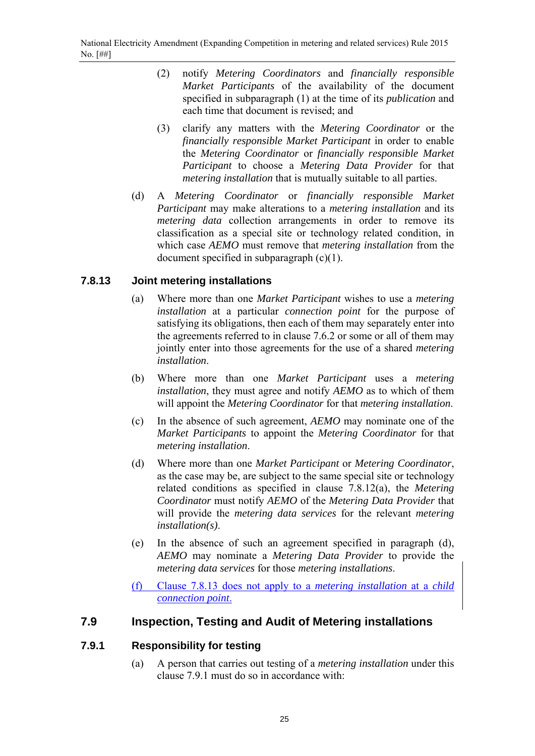- (2) notify *Metering Coordinators* and *financially responsible Market Participants* of the availability of the document specified in subparagraph (1) at the time of its *publication* and each time that document is revised; and
- (3) clarify any matters with the *Metering Coordinator* or the *financially responsible Market Participant* in order to enable the *Metering Coordinator* or *financially responsible Market Participant* to choose a *Metering Data Provider* for that *metering installation* that is mutually suitable to all parties.
- (d) A *Metering Coordinator* or *financially responsible Market Participant* may make alterations to a *metering installation* and its *metering data* collection arrangements in order to remove its classification as a special site or technology related condition, in which case *AEMO* must remove that *metering installation* from the document specified in subparagraph (c)(1).

# **7.8.13 Joint metering installations**

- (a) Where more than one *Market Participant* wishes to use a *metering installation* at a particular *connection point* for the purpose of satisfying its obligations, then each of them may separately enter into the agreements referred to in clause 7.6.2 or some or all of them may jointly enter into those agreements for the use of a shared *metering installation*.
- (b) Where more than one *Market Participant* uses a *metering installation*, they must agree and notify *AEMO* as to which of them will appoint the *Metering Coordinator* for that *metering installation*.
- (c) In the absence of such agreement, *AEMO* may nominate one of the *Market Participants* to appoint the *Metering Coordinator* for that *metering installation*.
- (d) Where more than one *Market Participant* or *Metering Coordinator*, as the case may be, are subject to the same special site or technology related conditions as specified in clause 7.8.12(a), the *Metering Coordinator* must notify *AEMO* of the *Metering Data Provider* that will provide the *metering data services* for the relevant *metering installation(s)*.
- (e) In the absence of such an agreement specified in paragraph (d), *AEMO* may nominate a *Metering Data Provider* to provide the *metering data services* for those *metering installations*.
- (f) Clause 7.8.13 does not apply to a *metering installation* at a *child connection point*.

# **7.9 Inspection, Testing and Audit of Metering installations**

# **7.9.1 Responsibility for testing**

(a) A person that carries out testing of a *metering installation* under this clause 7.9.1 must do so in accordance with: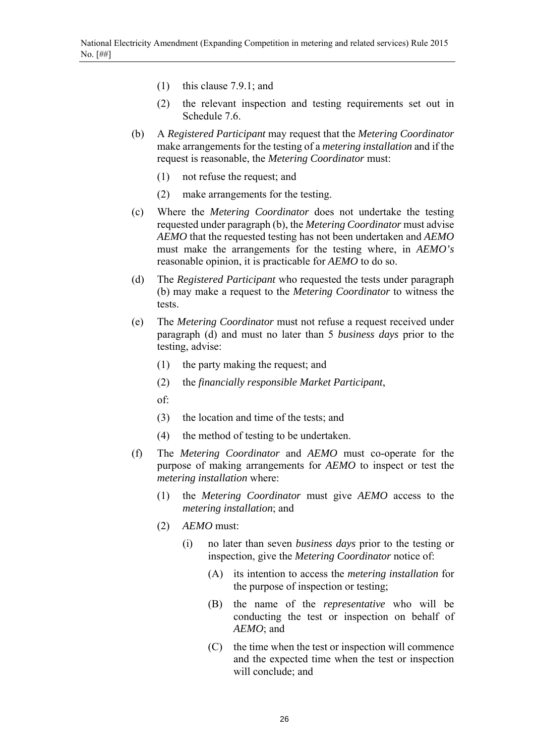- (1) this clause 7.9.1; and
- (2) the relevant inspection and testing requirements set out in Schedule 7.6.
- (b) A *Registered Participant* may request that the *Metering Coordinator* make arrangements for the testing of a *metering installation* and if the request is reasonable, the *Metering Coordinator* must:
	- (1) not refuse the request; and
	- (2) make arrangements for the testing.
- (c) Where the *Metering Coordinator* does not undertake the testing requested under paragraph (b), the *Metering Coordinator* must advise *AEMO* that the requested testing has not been undertaken and *AEMO* must make the arrangements for the testing where, in *AEMO's* reasonable opinion, it is practicable for *AEMO* to do so.
- (d) The *Registered Participant* who requested the tests under paragraph (b) may make a request to the *Metering Coordinator* to witness the tests.
- (e) The *Metering Coordinator* must not refuse a request received under paragraph (d) and must no later than 5 *business days* prior to the testing, advise:
	- (1) the party making the request; and
	- (2) the *financially responsible Market Participant*,
	- of:
	- (3) the location and time of the tests; and
	- (4) the method of testing to be undertaken.
- (f) The *Metering Coordinator* and *AEMO* must co-operate for the purpose of making arrangements for *AEMO* to inspect or test the *metering installation* where:
	- (1) the *Metering Coordinator* must give *AEMO* access to the *metering installation*; and
	- (2) *AEMO* must:
		- (i) no later than seven *business days* prior to the testing or inspection, give the *Metering Coordinator* notice of:
			- (A) its intention to access the *metering installation* for the purpose of inspection or testing;
			- (B) the name of the *representative* who will be conducting the test or inspection on behalf of *AEMO*; and
			- (C) the time when the test or inspection will commence and the expected time when the test or inspection will conclude; and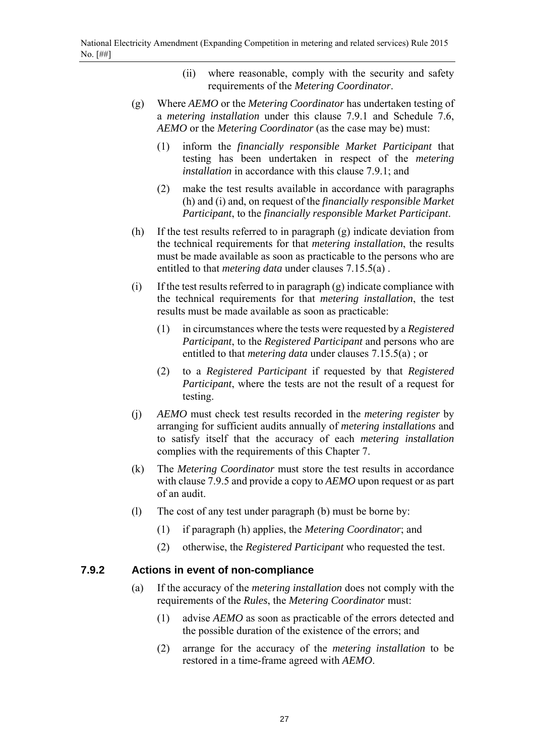- (ii) where reasonable, comply with the security and safety requirements of the *Metering Coordinator*.
- (g) Where *AEMO* or the *Metering Coordinator* has undertaken testing of a *metering installation* under this clause 7.9.1 and Schedule 7.6, *AEMO* or the *Metering Coordinator* (as the case may be) must:
	- (1) inform the *financially responsible Market Participant* that testing has been undertaken in respect of the *metering installation* in accordance with this clause 7.9.1; and
	- (2) make the test results available in accordance with paragraphs (h) and (i) and, on request of the *financially responsible Market Participant*, to the *financially responsible Market Participant*.
- (h) If the test results referred to in paragraph (g) indicate deviation from the technical requirements for that *metering installation*, the results must be made available as soon as practicable to the persons who are entitled to that *metering data* under clauses 7.15.5(a) .
- (i) If the test results referred to in paragraph (g) indicate compliance with the technical requirements for that *metering installation*, the test results must be made available as soon as practicable:
	- (1) in circumstances where the tests were requested by a *Registered Participant*, to the *Registered Participant* and persons who are entitled to that *metering data* under clauses 7.15.5(a) ; or
	- (2) to a *Registered Participant* if requested by that *Registered Participant*, where the tests are not the result of a request for testing.
- (j) *AEMO* must check test results recorded in the *metering register* by arranging for sufficient audits annually of *metering installations* and to satisfy itself that the accuracy of each *metering installation* complies with the requirements of this Chapter 7.
- (k) The *Metering Coordinator* must store the test results in accordance with clause 7.9.5 and provide a copy to *AEMO* upon request or as part of an audit.
- (l) The cost of any test under paragraph (b) must be borne by:
	- (1) if paragraph (h) applies, the *Metering Coordinator*; and
	- (2) otherwise, the *Registered Participant* who requested the test.

#### **7.9.2 Actions in event of non-compliance**

- (a) If the accuracy of the *metering installation* does not comply with the requirements of the *Rules*, the *Metering Coordinator* must:
	- (1) advise *AEMO* as soon as practicable of the errors detected and the possible duration of the existence of the errors; and
	- (2) arrange for the accuracy of the *metering installation* to be restored in a time-frame agreed with *AEMO*.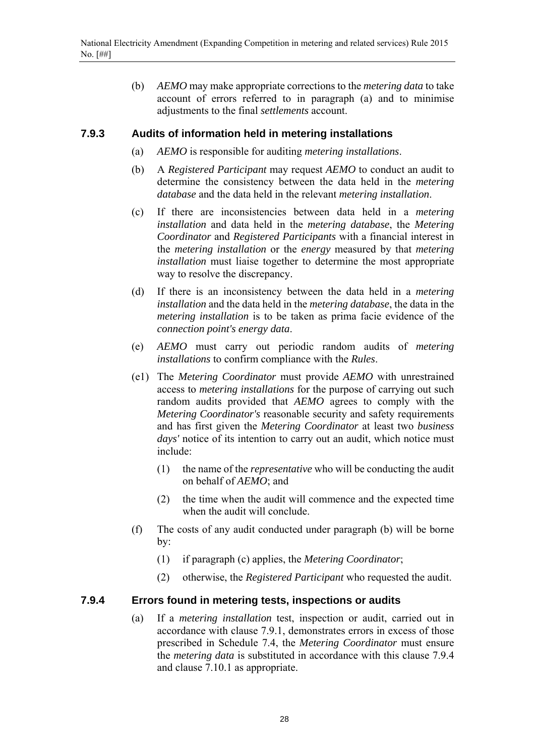(b) *AEMO* may make appropriate corrections to the *metering data* to take account of errors referred to in paragraph (a) and to minimise adjustments to the final *settlements* account.

#### **7.9.3 Audits of information held in metering installations**

- (a) *AEMO* is responsible for auditing *metering installations*.
- (b) A *Registered Participant* may request *AEMO* to conduct an audit to determine the consistency between the data held in the *metering database* and the data held in the relevant *metering installation*.
- (c) If there are inconsistencies between data held in a *metering installation* and data held in the *metering database*, the *Metering Coordinator* and *Registered Participants* with a financial interest in the *metering installation* or the *energy* measured by that *metering installation* must liaise together to determine the most appropriate way to resolve the discrepancy.
- (d) If there is an inconsistency between the data held in a *metering installation* and the data held in the *metering database*, the data in the *metering installation* is to be taken as prima facie evidence of the *connection point's energy data*.
- (e) *AEMO* must carry out periodic random audits of *metering installations* to confirm compliance with the *Rules*.
- (e1) The *Metering Coordinator* must provide *AEMO* with unrestrained access to *metering installations* for the purpose of carrying out such random audits provided that *AEMO* agrees to comply with the *Metering Coordinator's* reasonable security and safety requirements and has first given the *Metering Coordinator* at least two *business days'* notice of its intention to carry out an audit, which notice must include:
	- (1) the name of the *representative* who will be conducting the audit on behalf of *AEMO*; and
	- (2) the time when the audit will commence and the expected time when the audit will conclude.
- (f) The costs of any audit conducted under paragraph (b) will be borne by:
	- (1) if paragraph (c) applies, the *Metering Coordinator*;
	- (2) otherwise, the *Registered Participant* who requested the audit.

#### **7.9.4 Errors found in metering tests, inspections or audits**

(a) If a *metering installation* test, inspection or audit, carried out in accordance with clause 7.9.1, demonstrates errors in excess of those prescribed in Schedule 7.4, the *Metering Coordinator* must ensure the *metering data* is substituted in accordance with this clause 7.9.4 and clause 7.10.1 as appropriate.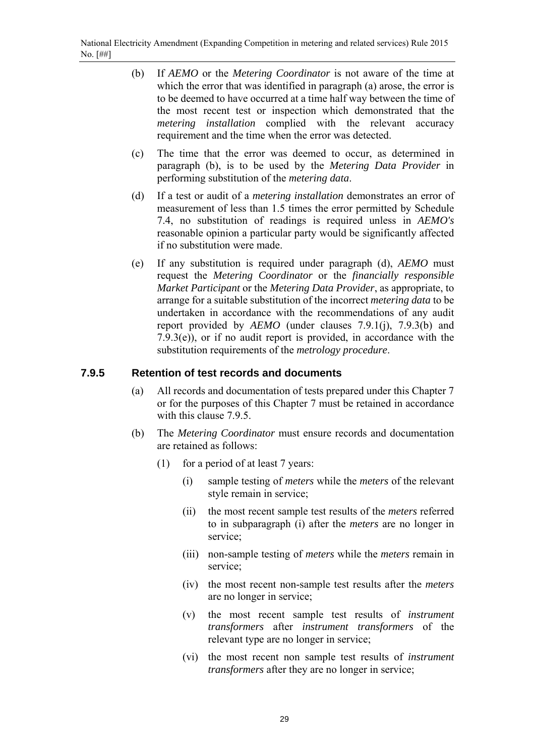- (b) If *AEMO* or the *Metering Coordinator* is not aware of the time at which the error that was identified in paragraph (a) arose, the error is to be deemed to have occurred at a time half way between the time of the most recent test or inspection which demonstrated that the *metering installation* complied with the relevant accuracy requirement and the time when the error was detected.
- (c) The time that the error was deemed to occur, as determined in paragraph (b), is to be used by the *Metering Data Provider* in performing substitution of the *metering data*.
- (d) If a test or audit of a *metering installation* demonstrates an error of measurement of less than 1.5 times the error permitted by Schedule 7.4, no substitution of readings is required unless in *AEMO's* reasonable opinion a particular party would be significantly affected if no substitution were made.
- (e) If any substitution is required under paragraph (d), *AEMO* must request the *Metering Coordinator* or the *financially responsible Market Participant* or the *Metering Data Provider*, as appropriate, to arrange for a suitable substitution of the incorrect *metering data* to be undertaken in accordance with the recommendations of any audit report provided by *AEMO* (under clauses 7.9.1(j), 7.9.3(b) and 7.9.3(e)), or if no audit report is provided, in accordance with the substitution requirements of the *metrology procedure*.

### **7.9.5 Retention of test records and documents**

- (a) All records and documentation of tests prepared under this Chapter 7 or for the purposes of this Chapter 7 must be retained in accordance with this clause 7.9.5.
- (b) The *Metering Coordinator* must ensure records and documentation are retained as follows:
	- (1) for a period of at least 7 years:
		- (i) sample testing of *meters* while the *meters* of the relevant style remain in service;
		- (ii) the most recent sample test results of the *meters* referred to in subparagraph (i) after the *meters* are no longer in service;
		- (iii) non-sample testing of *meters* while the *meters* remain in service;
		- (iv) the most recent non-sample test results after the *meters* are no longer in service;
		- (v) the most recent sample test results of *instrument transformers* after *instrument transformers* of the relevant type are no longer in service;
		- (vi) the most recent non sample test results of *instrument transformers* after they are no longer in service;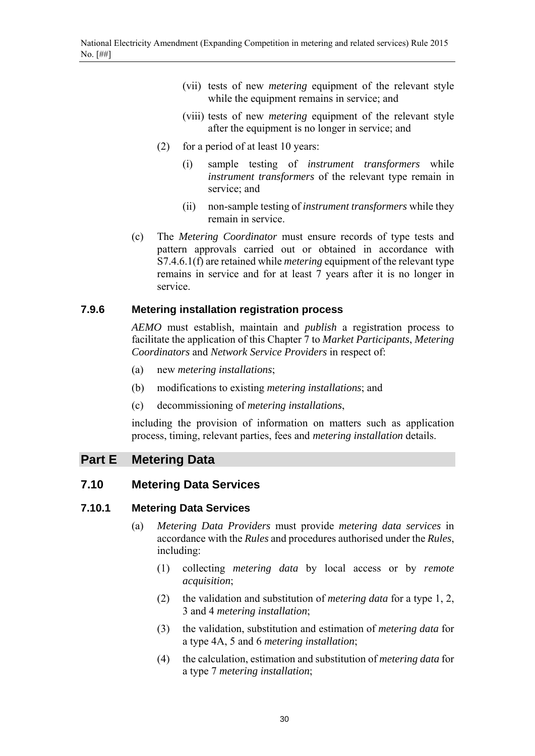- (vii) tests of new *metering* equipment of the relevant style while the equipment remains in service; and
- (viii) tests of new *metering* equipment of the relevant style after the equipment is no longer in service; and
- (2) for a period of at least 10 years:
	- (i) sample testing of *instrument transformers* while *instrument transformers* of the relevant type remain in service; and
	- (ii) non-sample testing of *instrument transformers* while they remain in service.
- (c) The *Metering Coordinator* must ensure records of type tests and pattern approvals carried out or obtained in accordance with S7.4.6.1(f) are retained while *metering* equipment of the relevant type remains in service and for at least 7 years after it is no longer in service.

#### **7.9.6 Metering installation registration process**

*AEMO* must establish, maintain and *publish* a registration process to facilitate the application of this Chapter 7 to *Market Participants*, *Metering Coordinators* and *Network Service Providers* in respect of:

- (a) new *metering installations*;
- (b) modifications to existing *metering installations*; and
- (c) decommissioning of *metering installations*,

including the provision of information on matters such as application process, timing, relevant parties, fees and *metering installation* details.

#### **Part E Metering Data**

#### **7.10 Metering Data Services**

#### **7.10.1 Metering Data Services**

- (a) *Metering Data Providers* must provide *metering data services* in accordance with the *Rules* and procedures authorised under the *Rules*, including:
	- (1) collecting *metering data* by local access or by *remote acquisition*;
	- (2) the validation and substitution of *metering data* for a type 1, 2, 3 and 4 *metering installation*;
	- (3) the validation, substitution and estimation of *metering data* for a type 4A, 5 and 6 *metering installation*;
	- (4) the calculation, estimation and substitution of *metering data* for a type 7 *metering installation*;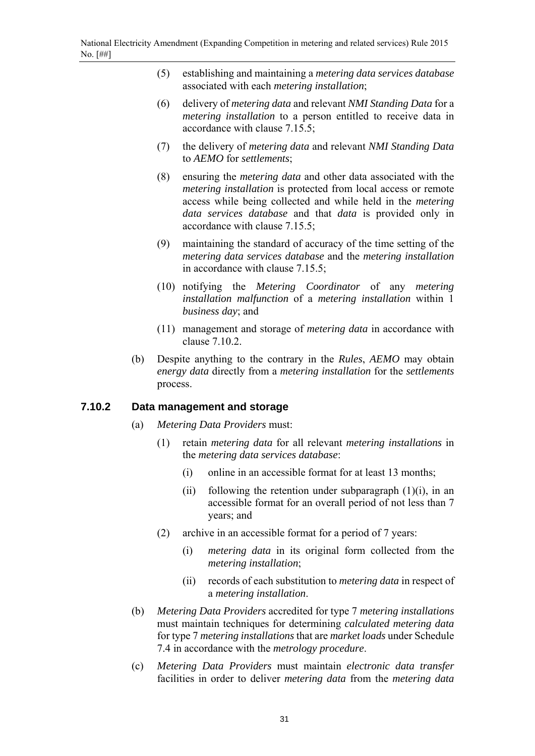- (5) establishing and maintaining a *metering data services database* associated with each *metering installation*;
- (6) delivery of *metering data* and relevant *NMI Standing Data* for a *metering installation* to a person entitled to receive data in accordance with clause 7.15.5;
- (7) the delivery of *metering data* and relevant *NMI Standing Data* to *AEMO* for *settlements*;
- (8) ensuring the *metering data* and other data associated with the *metering installation* is protected from local access or remote access while being collected and while held in the *metering data services database* and that *data* is provided only in accordance with clause 7.15.5;
- (9) maintaining the standard of accuracy of the time setting of the *metering data services database* and the *metering installation* in accordance with clause 7.15.5;
- (10) notifying the *Metering Coordinator* of any *metering installation malfunction* of a *metering installation* within 1 *business day*; and
- (11) management and storage of *metering data* in accordance with clause 7.10.2.
- (b) Despite anything to the contrary in the *Rules*, *AEMO* may obtain *energy data* directly from a *metering installation* for the *settlements* process.

#### **7.10.2 Data management and storage**

- (a) *Metering Data Providers* must:
	- (1) retain *metering data* for all relevant *metering installations* in the *metering data services database*:
		- (i) online in an accessible format for at least 13 months;
		- (ii) following the retention under subparagraph  $(1)(i)$ , in an accessible format for an overall period of not less than 7 years; and
	- (2) archive in an accessible format for a period of 7 years:
		- (i) *metering data* in its original form collected from the *metering installation*;
		- (ii) records of each substitution to *metering data* in respect of a *metering installation*.
- (b) *Metering Data Providers* accredited for type 7 *metering installations* must maintain techniques for determining *calculated metering data* for type 7 *metering installations* that are *market loads* under Schedule 7.4 in accordance with the *metrology procedure*.
- (c) *Metering Data Providers* must maintain *electronic data transfer* facilities in order to deliver *metering data* from the *metering data*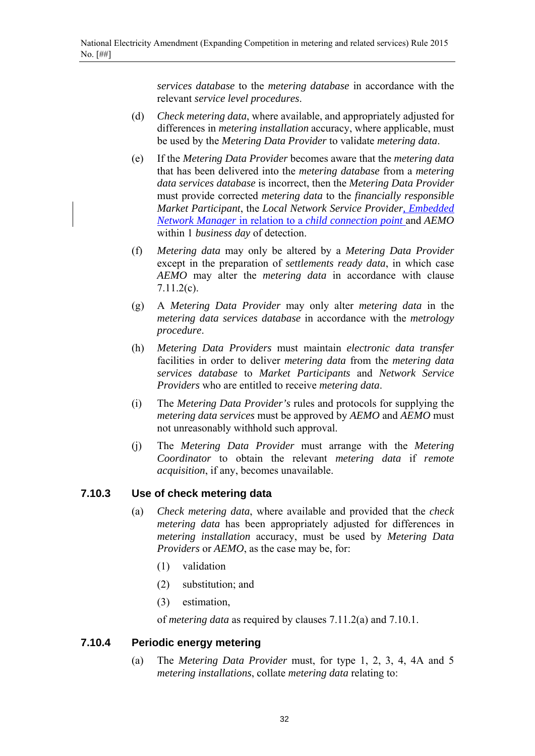*services database* to the *metering database* in accordance with the relevant *service level procedures*.

- (d) *Check metering data*, where available, and appropriately adjusted for differences in *metering installation* accuracy, where applicable, must be used by the *Metering Data Provider* to validate *metering data*.
- (e) If the *Metering Data Provider* becomes aware that the *metering data* that has been delivered into the *metering database* from a *metering data services database* is incorrect, then the *Metering Data Provider* must provide corrected *metering data* to the *financially responsible Market Participant*, the *Local Network Service Provider, Embedded Network Manager* in relation to a *child connection point* and *AEMO* within 1 *business day* of detection.
- (f) *Metering data* may only be altered by a *Metering Data Provider* except in the preparation of *settlements ready data*, in which case *AEMO* may alter the *metering data* in accordance with clause 7.11.2(c).
- (g) A *Metering Data Provider* may only alter *metering data* in the *metering data services database* in accordance with the *metrology procedure*.
- (h) *Metering Data Providers* must maintain *electronic data transfer*  facilities in order to deliver *metering data* from the *metering data services database* to *Market Participants* and *Network Service Providers* who are entitled to receive *metering data*.
- (i) The *Metering Data Provider's* rules and protocols for supplying the *metering data services* must be approved by *AEMO* and *AEMO* must not unreasonably withhold such approval.
- (j) The *Metering Data Provider* must arrange with the *Metering Coordinator* to obtain the relevant *metering data* if *remote acquisition*, if any, becomes unavailable.

#### **7.10.3 Use of check metering data**

- (a) *Check metering data*, where available and provided that the *check metering data* has been appropriately adjusted for differences in *metering installation* accuracy, must be used by *Metering Data Providers* or *AEMO*, as the case may be, for:
	- (1) validation
	- (2) substitution; and
	- (3) estimation,

of *metering data* as required by clauses 7.11.2(a) and 7.10.1.

#### **7.10.4 Periodic energy metering**

(a) The *Metering Data Provider* must, for type 1, 2, 3, 4, 4A and 5 *metering installations*, collate *metering data* relating to: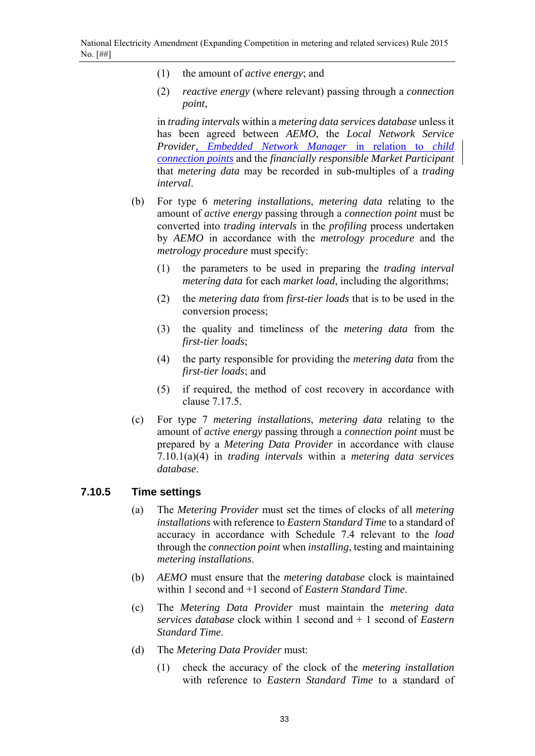- (1) the amount of *active energy*; and
- (2) *reactive energy* (where relevant) passing through a *connection point*,

in *trading intervals* within a *metering data services database* unless it has been agreed between *AEMO*, the *Local Network Service Provider, Embedded Network Manager* in relation to *child connection points* and the *financially responsible Market Participant* that *metering data* may be recorded in sub-multiples of a *trading interval*.

- (b) For type 6 *metering installations*, *metering data* relating to the amount of *active energy* passing through a *connection point* must be converted into *trading intervals* in the *profiling* process undertaken by *AEMO* in accordance with the *metrology procedure* and the *metrology procedure* must specify:
	- (1) the parameters to be used in preparing the *trading interval metering data* for each *market load*, including the algorithms;
	- (2) the *metering data* from *first-tier loads* that is to be used in the conversion process;
	- (3) the quality and timeliness of the *metering data* from the *first-tier loads*;
	- (4) the party responsible for providing the *metering data* from the *first-tier loads*; and
	- (5) if required, the method of cost recovery in accordance with clause 7.17.5.
- (c) For type 7 *metering installations*, *metering data* relating to the amount of *active energy* passing through a *connection point* must be prepared by a *Metering Data Provider* in accordance with clause 7.10.1(a)(4) in *trading intervals* within a *metering data services database*.

#### **7.10.5 Time settings**

- (a) The *Metering Provider* must set the times of clocks of all *metering installations* with reference to *Eastern Standard Time* to a standard of accuracy in accordance with Schedule 7.4 relevant to the *load* through the *connection point* when *installing*, testing and maintaining *metering installations*.
- (b) *AEMO* must ensure that the *metering database* clock is maintained within 1 second and +1 second of *Eastern Standard Time*.
- (c) The *Metering Data Provider* must maintain the *metering data services database* clock within 1 second and + 1 second of *Eastern Standard Time*.
- (d) The *Metering Data Provider* must:
	- (1) check the accuracy of the clock of the *metering installation* with reference to *Eastern Standard Time* to a standard of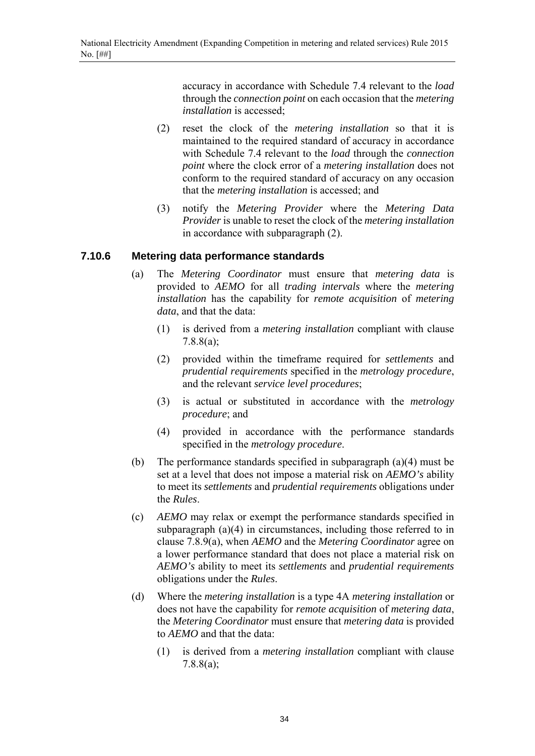accuracy in accordance with Schedule 7.4 relevant to the *load* through the *connection point* on each occasion that the *metering installation* is accessed;

- (2) reset the clock of the *metering installation* so that it is maintained to the required standard of accuracy in accordance with Schedule 7.4 relevant to the *load* through the *connection point* where the clock error of a *metering installation* does not conform to the required standard of accuracy on any occasion that the *metering installation* is accessed; and
- (3) notify the *Metering Provider* where the *Metering Data Provider* is unable to reset the clock of the *metering installation* in accordance with subparagraph (2).

#### **7.10.6 Metering data performance standards**

- (a) The *Metering Coordinator* must ensure that *metering data* is provided to *AEMO* for all *trading intervals* where the *metering installation* has the capability for *remote acquisition* of *metering data*, and that the data:
	- (1) is derived from a *metering installation* compliant with clause 7.8.8(a);
	- (2) provided within the timeframe required for *settlements* and *prudential requirements* specified in the *metrology procedure*, and the relevant *service level procedures*;
	- (3) is actual or substituted in accordance with the *metrology procedure*; and
	- (4) provided in accordance with the performance standards specified in the *metrology procedure*.
- (b) The performance standards specified in subparagraph (a)(4) must be set at a level that does not impose a material risk on *AEMO's* ability to meet its *settlements* and *prudential requirements* obligations under the *Rules*.
- (c) *AEMO* may relax or exempt the performance standards specified in subparagraph (a)(4) in circumstances, including those referred to in clause 7.8.9(a), when *AEMO* and the *Metering Coordinator* agree on a lower performance standard that does not place a material risk on *AEMO's* ability to meet its *settlements* and *prudential requirements* obligations under the *Rules*.
- (d) Where the *metering installation* is a type 4A *metering installation* or does not have the capability for *remote acquisition* of *metering data*, the *Metering Coordinator* must ensure that *metering data* is provided to *AEMO* and that the data:
	- (1) is derived from a *metering installation* compliant with clause 7.8.8(a);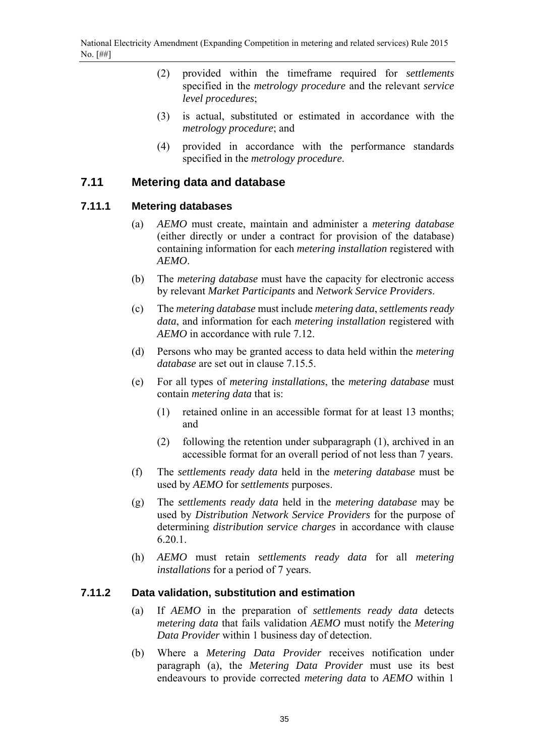- (2) provided within the timeframe required for *settlements*  specified in the *metrology procedure* and the relevant *service level procedures*;
- (3) is actual, substituted or estimated in accordance with the *metrology procedure*; and
- (4) provided in accordance with the performance standards specified in the *metrology procedure*.

### **7.11 Metering data and database**

#### **7.11.1 Metering databases**

- (a) *AEMO* must create, maintain and administer a *metering database* (either directly or under a contract for provision of the database) containing information for each *metering installation* registered with *AEMO*.
- (b) The *metering database* must have the capacity for electronic access by relevant *Market Participants* and *Network Service Providers*.
- (c) The *metering database* must include *metering data*, *settlements ready data*, and information for each *metering installation* registered with *AEMO* in accordance with rule 7.12.
- (d) Persons who may be granted access to data held within the *metering database* are set out in clause 7.15.5.
- (e) For all types of *metering installations*, the *metering database* must contain *metering data* that is:
	- (1) retained online in an accessible format for at least 13 months; and
	- (2) following the retention under subparagraph (1), archived in an accessible format for an overall period of not less than 7 years.
- (f) The *settlements ready data* held in the *metering database* must be used by *AEMO* for *settlements* purposes.
- (g) The *settlements ready data* held in the *metering database* may be used by *Distribution Network Service Providers* for the purpose of determining *distribution service charges* in accordance with clause 6.20.1.
- (h) *AEMO* must retain *settlements ready data* for all *metering installations* for a period of 7 years.

#### **7.11.2 Data validation, substitution and estimation**

- (a) If *AEMO* in the preparation of *settlements ready data* detects *metering data* that fails validation *AEMO* must notify the *Metering Data Provider* within 1 business day of detection.
- (b) Where a *Metering Data Provider* receives notification under paragraph (a), the *Metering Data Provider* must use its best endeavours to provide corrected *metering data* to *AEMO* within 1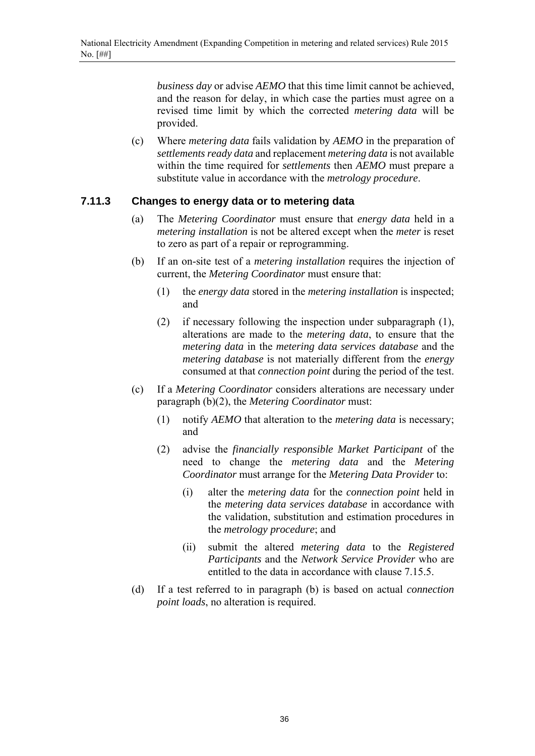*business day* or advise *AEMO* that this time limit cannot be achieved, and the reason for delay, in which case the parties must agree on a revised time limit by which the corrected *metering data* will be provided.

(c) Where *metering data* fails validation by *AEMO* in the preparation of *settlements ready data* and replacement *metering data* is not available within the time required for *settlements* then *AEMO* must prepare a substitute value in accordance with the *metrology procedure*.

#### **7.11.3 Changes to energy data or to metering data**

- (a) The *Metering Coordinator* must ensure that *energy data* held in a *metering installation* is not be altered except when the *meter* is reset to zero as part of a repair or reprogramming.
- (b) If an on-site test of a *metering installation* requires the injection of current, the *Metering Coordinator* must ensure that:
	- (1) the *energy data* stored in the *metering installation* is inspected; and
	- (2) if necessary following the inspection under subparagraph (1), alterations are made to the *metering data*, to ensure that the *metering data* in the *metering data services database* and the *metering database* is not materially different from the *energy* consumed at that *connection point* during the period of the test.
- (c) If a *Metering Coordinator* considers alterations are necessary under paragraph (b)(2), the *Metering Coordinator* must:
	- (1) notify *AEMO* that alteration to the *metering data* is necessary; and
	- (2) advise the *financially responsible Market Participant* of the need to change the *metering data* and the *Metering Coordinator* must arrange for the *Metering Data Provider* to:
		- (i) alter the *metering data* for the *connection point* held in the *metering data services database* in accordance with the validation, substitution and estimation procedures in the *metrology procedure*; and
		- (ii) submit the altered *metering data* to the *Registered Participants* and the *Network Service Provider* who are entitled to the data in accordance with clause 7.15.5.
- (d) If a test referred to in paragraph (b) is based on actual *connection point loads*, no alteration is required.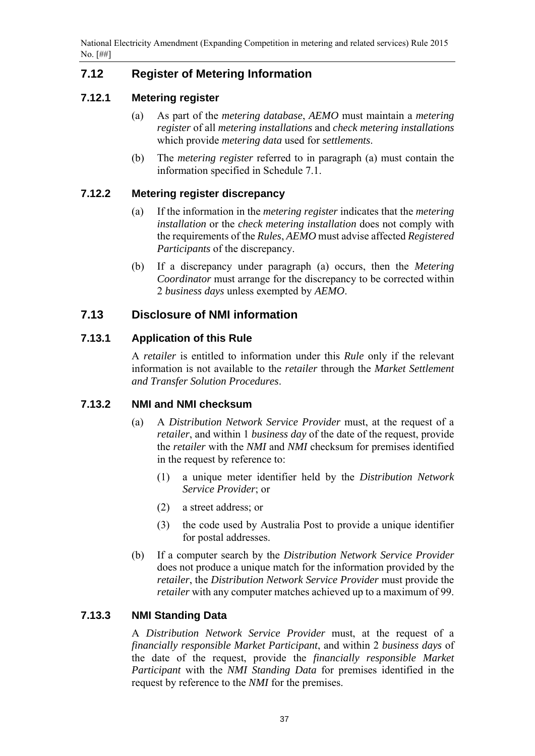# **7.12 Register of Metering Information**

## **7.12.1 Metering register**

- (a) As part of the *metering database*, *AEMO* must maintain a *metering register* of all *metering installations* and *check metering installations* which provide *metering data* used for *settlements*.
- (b) The *metering register* referred to in paragraph (a) must contain the information specified in Schedule 7.1.

## **7.12.2 Metering register discrepancy**

- (a) If the information in the *metering register* indicates that the *metering installation* or the *check metering installation* does not comply with the requirements of the *Rules*, *AEMO* must advise affected *Registered Participants* of the discrepancy.
- (b) If a discrepancy under paragraph (a) occurs, then the *Metering Coordinator* must arrange for the discrepancy to be corrected within 2 *business days* unless exempted by *AEMO*.

## **7.13 Disclosure of NMI information**

## **7.13.1 Application of this Rule**

A *retailer* is entitled to information under this *Rule* only if the relevant information is not available to the *retailer* through the *Market Settlement and Transfer Solution Procedures*.

## **7.13.2 NMI and NMI checksum**

- (a) A *Distribution Network Service Provider* must, at the request of a *retailer*, and within 1 *business day* of the date of the request, provide the *retailer* with the *NMI* and *NMI* checksum for premises identified in the request by reference to:
	- (1) a unique meter identifier held by the *Distribution Network Service Provider*; or
	- (2) a street address; or
	- (3) the code used by Australia Post to provide a unique identifier for postal addresses.
- (b) If a computer search by the *Distribution Network Service Provider* does not produce a unique match for the information provided by the *retailer*, the *Distribution Network Service Provider* must provide the *retailer* with any computer matches achieved up to a maximum of 99.

## **7.13.3 NMI Standing Data**

A *Distribution Network Service Provider* must, at the request of a *financially responsible Market Participant*, and within 2 *business days* of the date of the request, provide the *financially responsible Market Participant* with the *NMI Standing Data* for premises identified in the request by reference to the *NMI* for the premises.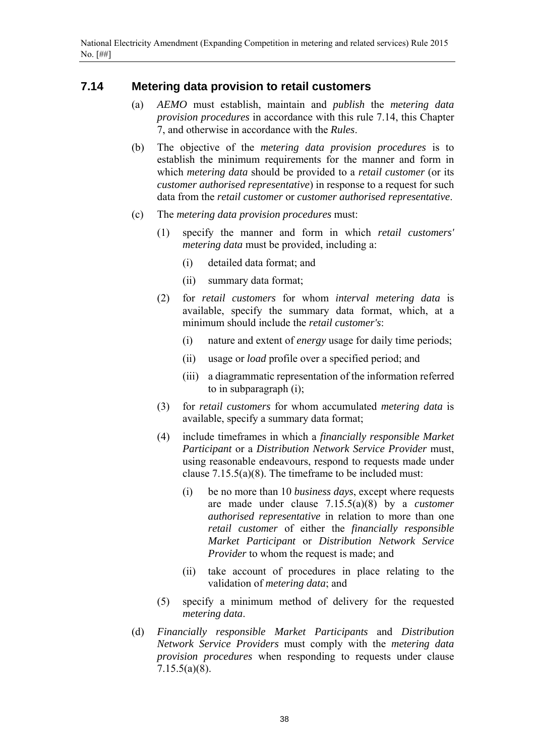## **7.14 Metering data provision to retail customers**

- (a) *AEMO* must establish, maintain and *publish* the *metering data provision procedures* in accordance with this rule 7.14, this Chapter 7, and otherwise in accordance with the *Rules*.
- (b) The objective of the *metering data provision procedures* is to establish the minimum requirements for the manner and form in which *metering data* should be provided to a *retail customer* (or its *customer authorised representative*) in response to a request for such data from the *retail customer* or *customer authorised representative*.
- (c) The *metering data provision procedures* must:
	- (1) specify the manner and form in which *retail customers' metering data* must be provided, including a:
		- (i) detailed data format; and
		- (ii) summary data format;
	- (2) for *retail customers* for whom *interval metering data* is available, specify the summary data format, which, at a minimum should include the *retail customer's*:
		- (i) nature and extent of *energy* usage for daily time periods;
		- (ii) usage or *load* profile over a specified period; and
		- (iii) a diagrammatic representation of the information referred to in subparagraph (i);
	- (3) for *retail customers* for whom accumulated *metering data* is available, specify a summary data format;
	- (4) include timeframes in which a *financially responsible Market Participant* or a *Distribution Network Service Provider* must, using reasonable endeavours, respond to requests made under clause 7.15.5(a)(8). The timeframe to be included must:
		- (i) be no more than 10 *business days*, except where requests are made under clause 7.15.5(a)(8) by a *customer authorised representative* in relation to more than one *retail customer* of either the *financially responsible Market Participant* or *Distribution Network Service Provider* to whom the request is made; and
		- (ii) take account of procedures in place relating to the validation of *metering data*; and
	- (5) specify a minimum method of delivery for the requested *metering data*.
- (d) *Financially responsible Market Participants* and *Distribution Network Service Providers* must comply with the *metering data provision procedures* when responding to requests under clause 7.15.5(a)(8).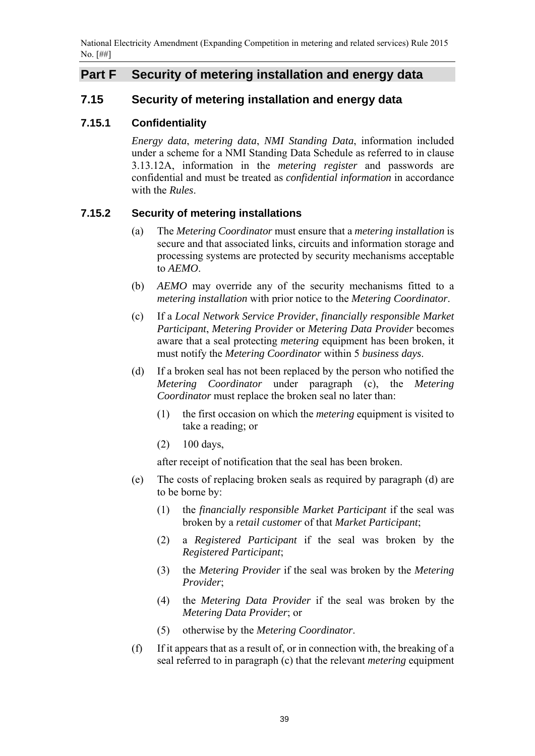National Electricity Amendment (Expanding Competition in metering and related services) Rule 2015 No. [##]

## **Part F Security of metering installation and energy data**

## **7.15 Security of metering installation and energy data**

### **7.15.1 Confidentiality**

*Energy data*, *metering data*, *NMI Standing Data*, information included under a scheme for a NMI Standing Data Schedule as referred to in clause 3.13.12A, information in the *metering register* and passwords are confidential and must be treated as *confidential information* in accordance with the *Rules*.

### **7.15.2 Security of metering installations**

- (a) The *Metering Coordinator* must ensure that a *metering installation* is secure and that associated links, circuits and information storage and processing systems are protected by security mechanisms acceptable to *AEMO*.
- (b) *AEMO* may override any of the security mechanisms fitted to a *metering installation* with prior notice to the *Metering Coordinator*.
- (c) If a *Local Network Service Provider*, *financially responsible Market Participant*, *Metering Provider* or *Metering Data Provider* becomes aware that a seal protecting *metering* equipment has been broken, it must notify the *Metering Coordinator* within 5 *business days*.
- (d) If a broken seal has not been replaced by the person who notified the *Metering Coordinator* under paragraph (c), the *Metering Coordinator* must replace the broken seal no later than:
	- (1) the first occasion on which the *metering* equipment is visited to take a reading; or
	- (2) 100 days,

after receipt of notification that the seal has been broken.

- (e) The costs of replacing broken seals as required by paragraph (d) are to be borne by:
	- (1) the *financially responsible Market Participant* if the seal was broken by a *retail customer* of that *Market Participant*;
	- (2) a *Registered Participant* if the seal was broken by the *Registered Participant*;
	- (3) the *Metering Provider* if the seal was broken by the *Metering Provider*;
	- (4) the *Metering Data Provider* if the seal was broken by the *Metering Data Provider*; or
	- (5) otherwise by the *Metering Coordinator*.
- (f) If it appears that as a result of, or in connection with, the breaking of a seal referred to in paragraph (c) that the relevant *metering* equipment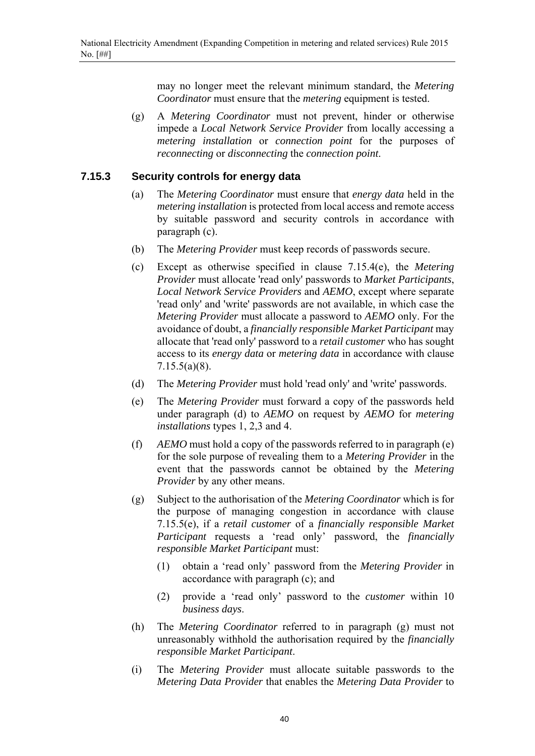may no longer meet the relevant minimum standard, the *Metering Coordinator* must ensure that the *metering* equipment is tested.

(g) A *Metering Coordinator* must not prevent, hinder or otherwise impede a *Local Network Service Provider* from locally accessing a *metering installation* or *connection point* for the purposes of *reconnecting* or *disconnecting* the *connection point*.

### **7.15.3 Security controls for energy data**

- (a) The *Metering Coordinator* must ensure that *energy data* held in the *metering installation* is protected from local access and remote access by suitable password and security controls in accordance with paragraph (c).
- (b) The *Metering Provider* must keep records of passwords secure.
- (c) Except as otherwise specified in clause 7.15.4(e), the *Metering Provider* must allocate 'read only' passwords to *Market Participants*, *Local Network Service Providers* and *AEMO*, except where separate 'read only' and 'write' passwords are not available, in which case the *Metering Provider* must allocate a password to *AEMO* only. For the avoidance of doubt, a *financially responsible Market Participant* may allocate that 'read only' password to a *retail customer* who has sought access to its *energy data* or *metering data* in accordance with clause 7.15.5(a)(8).
- (d) The *Metering Provider* must hold 'read only' and 'write' passwords.
- (e) The *Metering Provider* must forward a copy of the passwords held under paragraph (d) to *AEMO* on request by *AEMO* for *metering installations* types 1, 2,3 and 4.
- (f) *AEMO* must hold a copy of the passwords referred to in paragraph (e) for the sole purpose of revealing them to a *Metering Provider* in the event that the passwords cannot be obtained by the *Metering Provider* by any other means.
- (g) Subject to the authorisation of the *Metering Coordinator* which is for the purpose of managing congestion in accordance with clause 7.15.5(e), if a *retail customer* of a *financially responsible Market Participant* requests a 'read only' password, the *financially responsible Market Participant* must:
	- (1) obtain a 'read only' password from the *Metering Provider* in accordance with paragraph (c); and
	- (2) provide a 'read only' password to the *customer* within 10 *business days*.
- (h) The *Metering Coordinator* referred to in paragraph (g) must not unreasonably withhold the authorisation required by the *financially responsible Market Participant*.
- (i) The *Metering Provider* must allocate suitable passwords to the *Metering Data Provider* that enables the *Metering Data Provider* to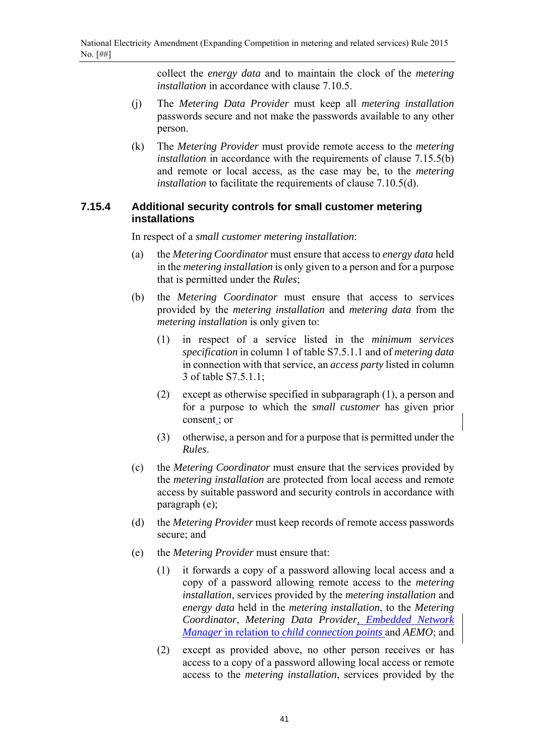collect the *energy data* and to maintain the clock of the *metering installation* in accordance with clause 7.10.5.

- (j) The *Metering Data Provider* must keep all *metering installation* passwords secure and not make the passwords available to any other person.
- (k) The *Metering Provider* must provide remote access to the *metering installation* in accordance with the requirements of clause 7.15.5(b) and remote or local access, as the case may be, to the *metering installation* to facilitate the requirements of clause 7.10.5(d).

## **7.15.4 Additional security controls for small customer metering installations**

In respect of a *small customer metering installation*:

- (a) the *Metering Coordinator* must ensure that access to *energy data* held in the *metering installation* is only given to a person and for a purpose that is permitted under the *Rules*;
- (b) the *Metering Coordinator* must ensure that access to services provided by the *metering installation* and *metering data* from the *metering installation* is only given to:
	- (1) in respect of a service listed in the *minimum services specification* in column 1 of table S7.5.1.1 and of *metering data* in connection with that service, an *access party* listed in column 3 of table S7.5.1.1;
	- (2) except as otherwise specified in subparagraph (1), a person and for a purpose to which the *small customer* has given prior consent ; or
	- (3) otherwise, a person and for a purpose that is permitted under the *Rules*.
- (c) the *Metering Coordinator* must ensure that the services provided by the *metering installation* are protected from local access and remote access by suitable password and security controls in accordance with paragraph (e);
- (d) the *Metering Provider* must keep records of remote access passwords secure; and
- (e) the *Metering Provider* must ensure that:
	- (1) it forwards a copy of a password allowing local access and a copy of a password allowing remote access to the *metering installation*, services provided by the *metering installation* and *energy data* held in the *metering installation*, to the *Metering Coordinator*, *Metering Data Provider, Embedded Network Manager* in relation to *child connection points* and *AEMO*; and
	- (2) except as provided above, no other person receives or has access to a copy of a password allowing local access or remote access to the *metering installation*, services provided by the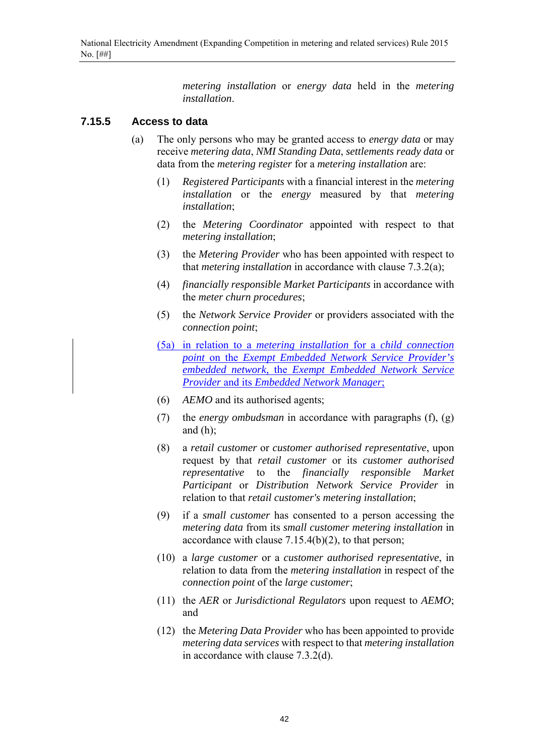*metering installation* or *energy data* held in the *metering installation*.

### **7.15.5 Access to data**

- (a) The only persons who may be granted access to *energy data* or may receive *metering data*, *NMI Standing Data*, *settlements ready data* or data from the *metering register* for a *metering installation* are:
	- (1) *Registered Participants* with a financial interest in the *metering installation* or the *energy* measured by that *metering installation*;
	- (2) the *Metering Coordinator* appointed with respect to that *metering installation*;
	- (3) the *Metering Provider* who has been appointed with respect to that *metering installation* in accordance with clause 7.3.2(a);
	- (4) *financially responsible Market Participants* in accordance with the *meter churn procedures*;
	- (5) the *Network Service Provider* or providers associated with the *connection point*;
	- (5a) in relation to a *metering installation* for a *child connection point* on the *Exempt Embedded Network Service Provider's embedded network,* the *Exempt Embedded Network Service Provider* and its *Embedded Network Manager*;
	- (6) *AEMO* and its authorised agents;
	- (7) the *energy ombudsman* in accordance with paragraphs (f), (g) and  $(h)$ ;
	- (8) a *retail customer* or *customer authorised representative*, upon request by that *retail customer* or its *customer authorised representative* to the *financially responsible Market Participant* or *Distribution Network Service Provider* in relation to that *retail customer's metering installation*;
	- (9) if a *small customer* has consented to a person accessing the *metering data* from its *small customer metering installation* in accordance with clause 7.15.4(b)(2), to that person;
	- (10) a *large customer* or a *customer authorised representative*, in relation to data from the *metering installation* in respect of the *connection point* of the *large customer*;
	- (11) the *AER* or *Jurisdictional Regulators* upon request to *AEMO*; and
	- (12) the *Metering Data Provider* who has been appointed to provide *metering data services* with respect to that *metering installation* in accordance with clause 7.3.2(d).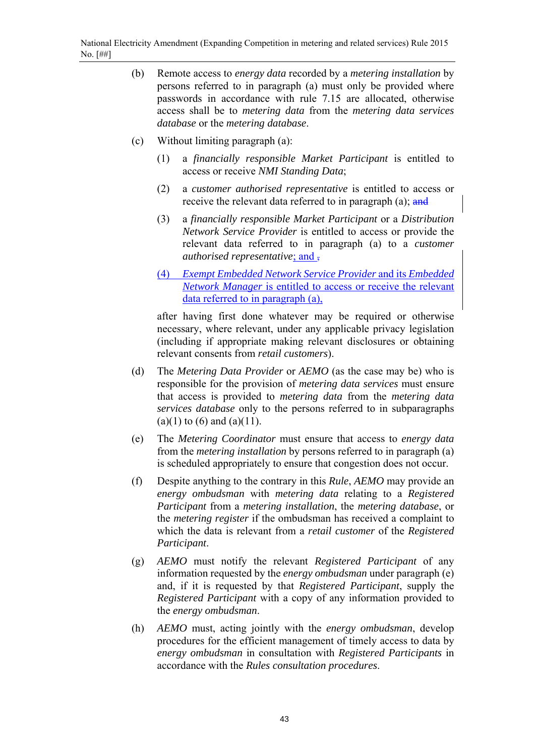- (b) Remote access to *energy data* recorded by a *metering installation* by persons referred to in paragraph (a) must only be provided where passwords in accordance with rule 7.15 are allocated, otherwise access shall be to *metering data* from the *metering data services database* or the *metering database*.
- (c) Without limiting paragraph (a):
	- (1) a *financially responsible Market Participant* is entitled to access or receive *NMI Standing Data*;
	- (2) a *customer authorised representative* is entitled to access or receive the relevant data referred to in paragraph (a); and
	- (3) a *financially responsible Market Participant* or a *Distribution Network Service Provider* is entitled to access or provide the relevant data referred to in paragraph (a) to a *customer authorised representative*; and ,
	- (4) *Exempt Embedded Network Service Provider* and its *Embedded Network Manager* is entitled to access or receive the relevant data referred to in paragraph (a),

after having first done whatever may be required or otherwise necessary, where relevant, under any applicable privacy legislation (including if appropriate making relevant disclosures or obtaining relevant consents from *retail customers*).

- (d) The *Metering Data Provider* or *AEMO* (as the case may be) who is responsible for the provision of *metering data services* must ensure that access is provided to *metering data* from the *metering data services database* only to the persons referred to in subparagraphs  $(a)(1)$  to  $(6)$  and  $(a)(11)$ .
- (e) The *Metering Coordinator* must ensure that access to *energy data* from the *metering installation* by persons referred to in paragraph (a) is scheduled appropriately to ensure that congestion does not occur.
- (f) Despite anything to the contrary in this *Rule*, *AEMO* may provide an *energy ombudsman* with *metering data* relating to a *Registered Participant* from a *metering installation*, the *metering database*, or the *metering register* if the ombudsman has received a complaint to which the data is relevant from a *retail customer* of the *Registered Participant*.
- (g) *AEMO* must notify the relevant *Registered Participant* of any information requested by the *energy ombudsman* under paragraph (e) and, if it is requested by that *Registered Participant*, supply the *Registered Participant* with a copy of any information provided to the *energy ombudsman*.
- (h) *AEMO* must, acting jointly with the *energy ombudsman*, develop procedures for the efficient management of timely access to data by *energy ombudsman* in consultation with *Registered Participants* in accordance with the *Rules consultation procedures*.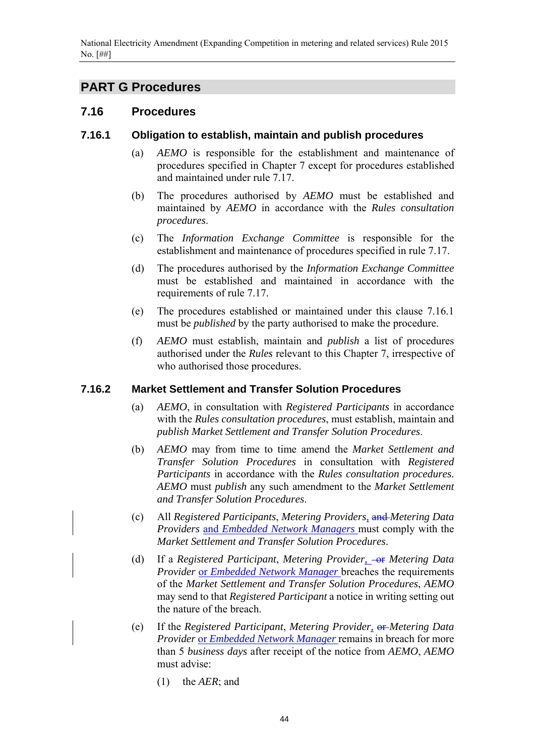# **PART G Procedures**

## **7.16 Procedures**

## **7.16.1 Obligation to establish, maintain and publish procedures**

- (a) *AEMO* is responsible for the establishment and maintenance of procedures specified in Chapter 7 except for procedures established and maintained under rule 7.17.
- (b) The procedures authorised by *AEMO* must be established and maintained by *AEMO* in accordance with the *Rules consultation procedures*.
- (c) The *Information Exchange Committee* is responsible for the establishment and maintenance of procedures specified in rule 7.17.
- (d) The procedures authorised by the *Information Exchange Committee* must be established and maintained in accordance with the requirements of rule 7.17.
- (e) The procedures established or maintained under this clause 7.16.1 must be *published* by the party authorised to make the procedure.
- (f) *AEMO* must establish, maintain and *publish* a list of procedures authorised under the *Rules* relevant to this Chapter 7, irrespective of who authorised those procedures.

## **7.16.2 Market Settlement and Transfer Solution Procedures**

- (a) *AEMO*, in consultation with *Registered Participants* in accordance with the *Rules consultation procedures*, must establish, maintain and *publish Market Settlement and Transfer Solution Procedures*.
- (b) *AEMO* may from time to time amend the *Market Settlement and Transfer Solution Procedures* in consultation with *Registered Participants* in accordance with the *Rules consultation procedures*. *AEMO* must *publish* any such amendment to the *Market Settlement and Transfer Solution Procedures*.
- (c) All *Registered Participants*, *Metering Providers,* and *Metering Data Providers* and *Embedded Network Managers* must comply with the *Market Settlement and Transfer Solution Procedures*.
- (d) If a *Registered Participant*, *Metering Provider*, *-or Metering Data Provider* or *Embedded Network Manager* breaches the requirements of the *Market Settlement and Transfer Solution Procedures*, *AEMO* may send to that *Registered Participant* a notice in writing setting out the nature of the breach.
- (e) If the *Registered Participant*, *Metering Provider,* or *Metering Data Provider* or *Embedded Network Manager* remains in breach for more than 5 *business days* after receipt of the notice from *AEMO*, *AEMO* must advise:
	- (1) the *AER*; and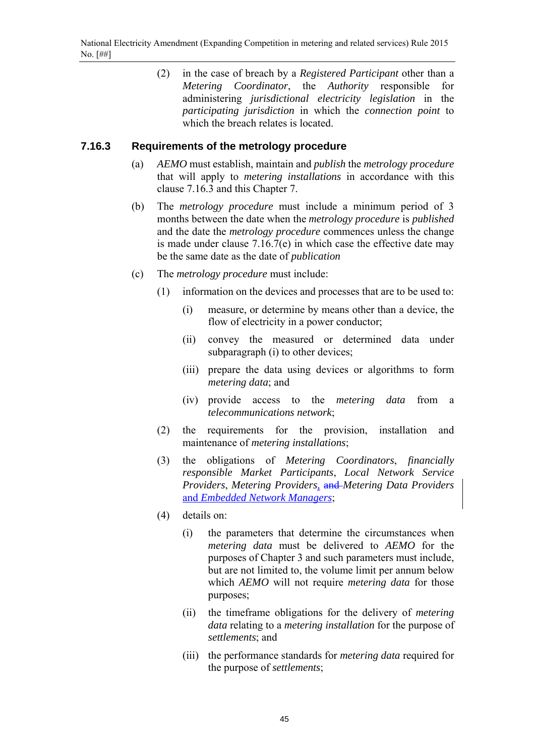(2) in the case of breach by a *Registered Participant* other than a *Metering Coordinator*, the *Authority* responsible for administering *jurisdictional electricity legislation* in the *participating jurisdiction* in which the *connection point* to which the breach relates is located.

## **7.16.3 Requirements of the metrology procedure**

- (a) *AEMO* must establish, maintain and *publish* the *metrology procedure* that will apply to *metering installations* in accordance with this clause 7.16.3 and this Chapter 7.
- (b) The *metrology procedure* must include a minimum period of 3 months between the date when the *metrology procedure* is *published* and the date the *metrology procedure* commences unless the change is made under clause 7.16.7(e) in which case the effective date may be the same date as the date of *publication*
- (c) The *metrology procedure* must include:
	- (1) information on the devices and processes that are to be used to:
		- (i) measure, or determine by means other than a device, the flow of electricity in a power conductor;
		- (ii) convey the measured or determined data under subparagraph (i) to other devices;
		- (iii) prepare the data using devices or algorithms to form *metering data*; and
		- (iv) provide access to the *metering data* from a *telecommunications network*;
	- (2) the requirements for the provision, installation and maintenance of *metering installations*;
	- (3) the obligations of *Metering Coordinators*, *financially responsible Market Participants*, *Local Network Service Providers*, *Metering Providers,* and *Metering Data Providers* and *Embedded Network Managers*;
	- (4) details on:
		- (i) the parameters that determine the circumstances when *metering data* must be delivered to *AEMO* for the purposes of Chapter 3 and such parameters must include, but are not limited to, the volume limit per annum below which *AEMO* will not require *metering data* for those purposes;
		- (ii) the timeframe obligations for the delivery of *metering data* relating to a *metering installation* for the purpose of *settlements*; and
		- (iii) the performance standards for *metering data* required for the purpose of *settlements*;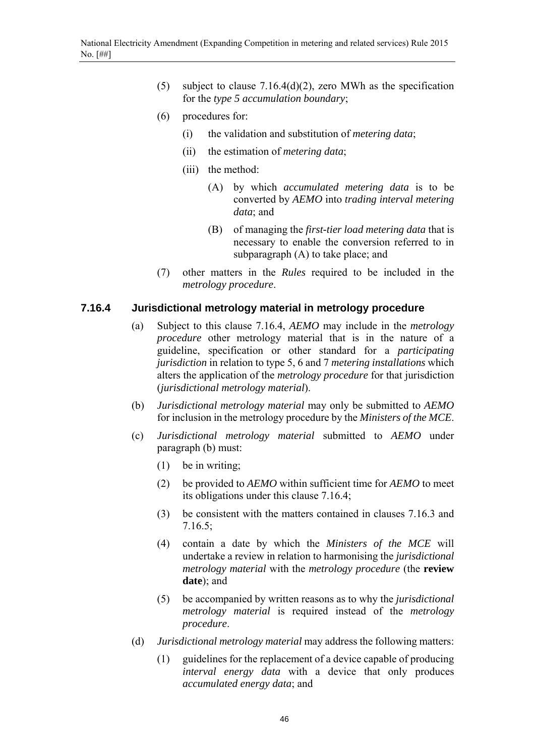- (5) subject to clause 7.16.4(d)(2), zero MWh as the specification for the *type 5 accumulation boundary*;
- (6) procedures for:
	- (i) the validation and substitution of *metering data*;
	- (ii) the estimation of *metering data*;
	- (iii) the method:
		- (A) by which *accumulated metering data* is to be converted by *AEMO* into *trading interval metering data*; and
		- (B) of managing the *first-tier load metering data* that is necessary to enable the conversion referred to in subparagraph (A) to take place; and
- (7) other matters in the *Rules* required to be included in the *metrology procedure*.

### **7.16.4 Jurisdictional metrology material in metrology procedure**

- (a) Subject to this clause 7.16.4, *AEMO* may include in the *metrology procedure* other metrology material that is in the nature of a guideline, specification or other standard for a *participating jurisdiction* in relation to type 5, 6 and 7 *metering installations* which alters the application of the *metrology procedure* for that jurisdiction (*jurisdictional metrology material*).
- (b) *Jurisdictional metrology material* may only be submitted to *AEMO* for inclusion in the metrology procedure by the *Ministers of the MCE*.
- (c) *Jurisdictional metrology material* submitted to *AEMO* under paragraph (b) must:
	- (1) be in writing;
	- (2) be provided to *AEMO* within sufficient time for *AEMO* to meet its obligations under this clause 7.16.4;
	- (3) be consistent with the matters contained in clauses 7.16.3 and 7.16.5;
	- (4) contain a date by which the *Ministers of the MCE* will undertake a review in relation to harmonising the *jurisdictional metrology material* with the *metrology procedure* (the **review date**); and
	- (5) be accompanied by written reasons as to why the *jurisdictional metrology material* is required instead of the *metrology procedure*.
- (d) *Jurisdictional metrology material* may address the following matters:
	- (1) guidelines for the replacement of a device capable of producing *interval energy data* with a device that only produces *accumulated energy data*; and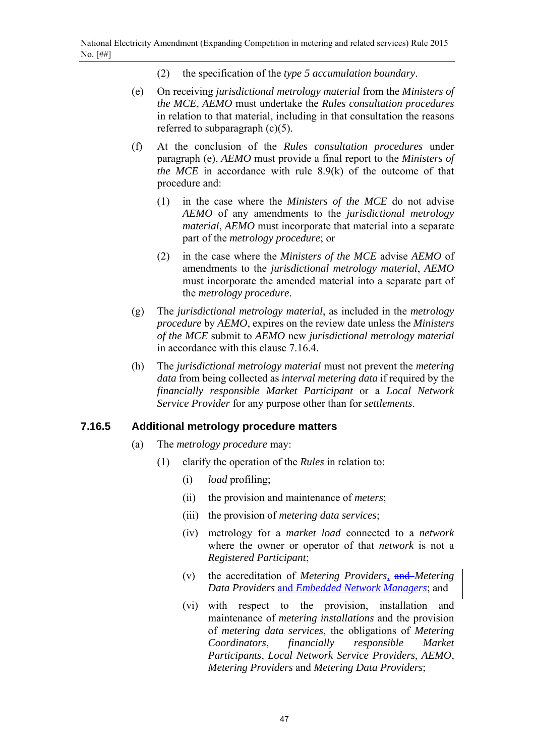- (2) the specification of the *type 5 accumulation boundary*.
- (e) On receiving *jurisdictional metrology material* from the *Ministers of the MCE*, *AEMO* must undertake the *Rules consultation procedures* in relation to that material, including in that consultation the reasons referred to subparagraph  $(c)(5)$ .
- (f) At the conclusion of the *Rules consultation procedures* under paragraph (e), *AEMO* must provide a final report to the *Ministers of the MCE* in accordance with rule 8.9(k) of the outcome of that procedure and:
	- (1) in the case where the *Ministers of the MCE* do not advise *AEMO* of any amendments to the *jurisdictional metrology material*, *AEMO* must incorporate that material into a separate part of the *metrology procedure*; or
	- (2) in the case where the *Ministers of the MCE* advise *AEMO* of amendments to the *jurisdictional metrology material*, *AEMO* must incorporate the amended material into a separate part of the *metrology procedure*.
- (g) The *jurisdictional metrology material*, as included in the *metrology procedure* by *AEMO*, expires on the review date unless the *Ministers of the MCE* submit to *AEMO* new *jurisdictional metrology material* in accordance with this clause 7.16.4.
- (h) The *jurisdictional metrology material* must not prevent the *metering data* from being collected as *interval metering data* if required by the *financially responsible Market Participant* or a *Local Network Service Provider* for any purpose other than for *settlements*.

## **7.16.5 Additional metrology procedure matters**

- (a) The *metrology procedure* may:
	- (1) clarify the operation of the *Rules* in relation to:
		- (i) *load* profiling;
		- (ii) the provision and maintenance of *meters*;
		- (iii) the provision of *metering data services*;
		- (iv) metrology for a *market load* connected to a *network* where the owner or operator of that *network* is not a *Registered Participant*;
		- (v) the accreditation of *Metering Providers,* and *Metering Data Providers* and *Embedded Network Managers*; and
		- (vi) with respect to the provision, installation and maintenance of *metering installations* and the provision of *metering data services*, the obligations of *Metering Coordinators*, *financially responsible Market Participants*, *Local Network Service Providers*, *AEMO*, *Metering Providers* and *Metering Data Providers*;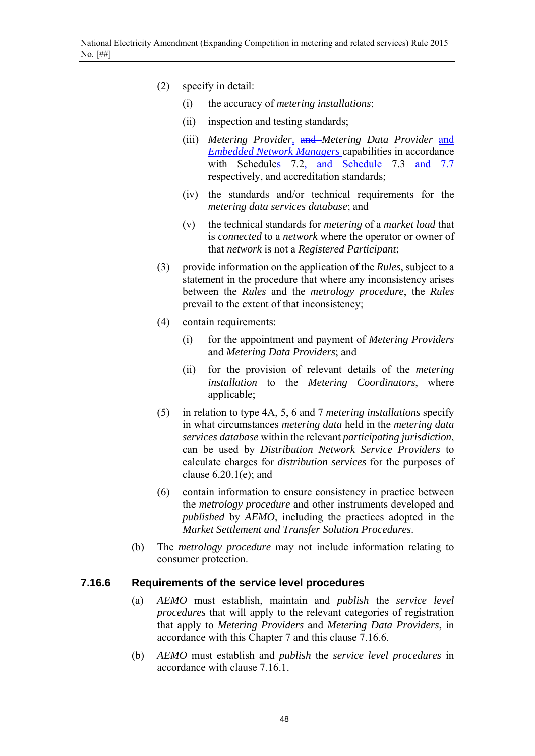- (2) specify in detail:
	- (i) the accuracy of *metering installations*;
	- (ii) inspection and testing standards;
	- (iii) *Metering Provider,* and *Metering Data Provider* and *Embedded Network Managers* capabilities in accordance with Schedules 7.2, and Schedule 7.3 and 7.7 respectively, and accreditation standards;
	- (iv) the standards and/or technical requirements for the *metering data services database*; and
	- (v) the technical standards for *metering* of a *market load* that is *connected* to a *network* where the operator or owner of that *network* is not a *Registered Participant*;
- (3) provide information on the application of the *Rules*, subject to a statement in the procedure that where any inconsistency arises between the *Rules* and the *metrology procedure*, the *Rules* prevail to the extent of that inconsistency;
- (4) contain requirements:
	- (i) for the appointment and payment of *Metering Providers*  and *Metering Data Providers*; and
	- (ii) for the provision of relevant details of the *metering installation* to the *Metering Coordinators*, where applicable;
- (5) in relation to type 4A, 5, 6 and 7 *metering installations* specify in what circumstances *metering data* held in the *metering data services database* within the relevant *participating jurisdiction*, can be used by *Distribution Network Service Providers* to calculate charges for *distribution services* for the purposes of clause  $6.20.1(e)$ ; and
- (6) contain information to ensure consistency in practice between the *metrology procedure* and other instruments developed and *published* by *AEMO*, including the practices adopted in the *Market Settlement and Transfer Solution Procedures*.
- (b) The *metrology procedure* may not include information relating to consumer protection.

## **7.16.6 Requirements of the service level procedures**

- (a) *AEMO* must establish, maintain and *publish* the *service level procedures* that will apply to the relevant categories of registration that apply to *Metering Providers* and *Metering Data Providers*, in accordance with this Chapter 7 and this clause 7.16.6.
- (b) *AEMO* must establish and *publish* the *service level procedures* in accordance with clause 7.16.1.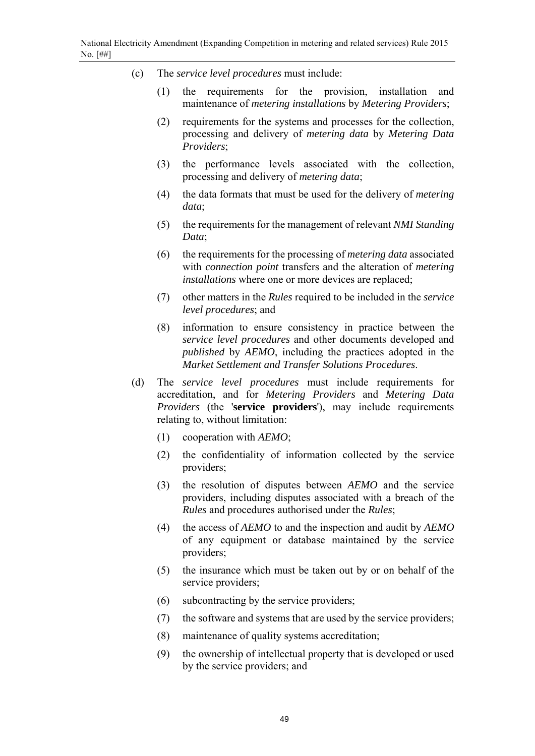- (c) The *service level procedures* must include:
	- (1) the requirements for the provision, installation and maintenance of *metering installations* by *Metering Providers*;
	- (2) requirements for the systems and processes for the collection, processing and delivery of *metering data* by *Metering Data Providers*;
	- (3) the performance levels associated with the collection, processing and delivery of *metering data*;
	- (4) the data formats that must be used for the delivery of *metering data*;
	- (5) the requirements for the management of relevant *NMI Standing Data*;
	- (6) the requirements for the processing of *metering data* associated with *connection point* transfers and the alteration of *metering installations* where one or more devices are replaced;
	- (7) other matters in the *Rules* required to be included in the *service level procedures*; and
	- (8) information to ensure consistency in practice between the *service level procedures* and other documents developed and *published* by *AEMO*, including the practices adopted in the *Market Settlement and Transfer Solutions Procedures*.
- (d) The *service level procedures* must include requirements for accreditation, and for *Metering Providers* and *Metering Data Providers* (the '**service providers**'), may include requirements relating to, without limitation:
	- (1) cooperation with *AEMO*;
	- (2) the confidentiality of information collected by the service providers;
	- (3) the resolution of disputes between *AEMO* and the service providers, including disputes associated with a breach of the *Rules* and procedures authorised under the *Rules*;
	- (4) the access of *AEMO* to and the inspection and audit by *AEMO* of any equipment or database maintained by the service providers;
	- (5) the insurance which must be taken out by or on behalf of the service providers;
	- (6) subcontracting by the service providers;
	- (7) the software and systems that are used by the service providers;
	- (8) maintenance of quality systems accreditation;
	- (9) the ownership of intellectual property that is developed or used by the service providers; and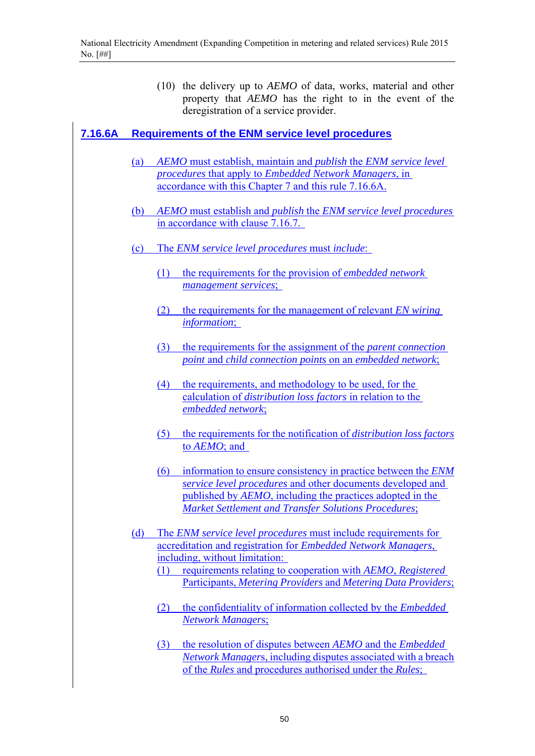(10) the delivery up to *AEMO* of data, works, material and other property that *AEMO* has the right to in the event of the deregistration of a service provider.

## **7.16.6A Requirements of the ENM service level procedures**

- (a) *AEMO* must establish, maintain and *publish* the *ENM service level procedures* that apply to *Embedded Network Managers*, in accordance with this Chapter 7 and this rule 7.16.6A.
- (b) *AEMO* must establish and *publish* the *ENM service level procedures*  in accordance with clause 7.16.7.
- (c) The *ENM service level procedures* must *include*:
	- (1) the requirements for the provision of *embedded network management services*;
	- (2) the requirements for the management of relevant *EN wiring information*;
	- (3) the requirements for the assignment of the *parent connection point* and *child connection points* on an *embedded network*;
	- (4) the requirements, and methodology to be used, for the calculation of *distribution loss factors* in relation to the *embedded network*;
	- (5) the requirements for the notification of *distribution loss factors* to *AEMO*; and
	- (6) information to ensure consistency in practice between the *ENM service level procedures* and other documents developed and published by *AEMO*, including the practices adopted in the *Market Settlement and Transfer Solutions Procedures*;
- (d) The *ENM service level procedures* must include requirements for accreditation and registration for *Embedded Network Managers*, including, without limitation:
	- (1) requirements relating to cooperation with *AEMO*, *Registered*  Participants, *Metering Providers* and *Metering Data Providers*;
	- (2) the confidentiality of information collected by the *Embedded Network Manager*s;
	- (3) the resolution of disputes between *AEMO* and the *Embedded Network Manager*s, including disputes associated with a breach of the *Rules* and procedures authorised under the *Rules*;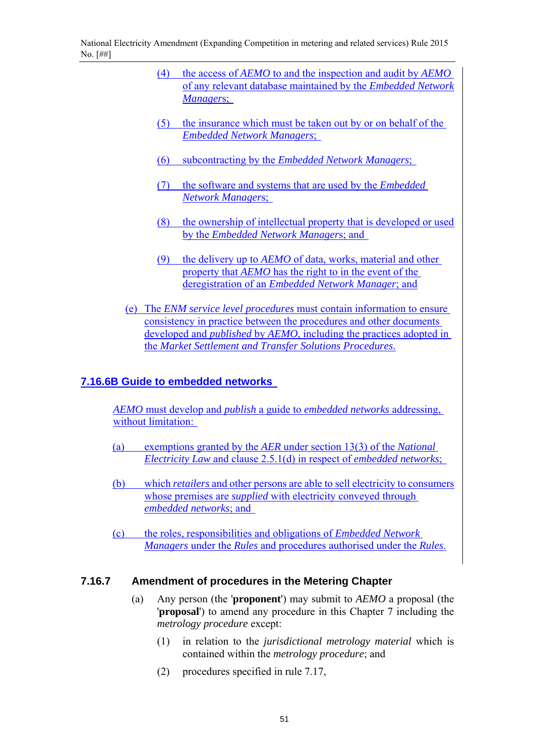National Electricity Amendment (Expanding Competition in metering and related services) Rule 2015 No. [##]

- (4) the access of *AEMO* to and the inspection and audit by *AEMO*  of any relevant database maintained by the *Embedded Network Manager*s;
- (5) the insurance which must be taken out by or on behalf of the *Embedded Network Managers*;
- (6) subcontracting by the *Embedded Network Managers*;
- (7) the software and systems that are used by the *Embedded Network Manager*s;
- (8) the ownership of intellectual property that is developed or used by the *Embedded Network Manager*s; and
- (9) the delivery up to *AEMO* of data, works, material and other property that *AEMO* has the right to in the event of the deregistration of an *Embedded Network Manager*; and
- (e) The *ENM service level procedures* must contain information to ensure consistency in practice between the procedures and other documents developed and *published* by *AEMO*, including the practices adopted in the *Market Settlement and Transfer Solutions Procedures*.

### **7.16.6B Guide to embedded networks**

*AEMO* must develop and *publish* a guide to *embedded networks* addressing, without limitation:

- (a) exemptions granted by the *AER* under section 13(3) of the *National Electricity Law* and clause 2.5.1(d) in respect of *embedded networks*;
- (b) which *retailers* and other persons are able to sell electricity to consumers whose premises are *supplied* with electricity conveyed through *embedded networks*; and
- (c) the roles, responsibilities and obligations of *Embedded Network Managers* under the *Rules* and procedures authorised under the *Rules*.

#### **7.16.7 Amendment of procedures in the Metering Chapter**

- (a) Any person (the '**proponent**') may submit to *AEMO* a proposal (the '**proposal**') to amend any procedure in this Chapter 7 including the *metrology procedure* except:
	- (1) in relation to the *jurisdictional metrology material* which is contained within the *metrology procedure*; and
	- (2) procedures specified in rule 7.17,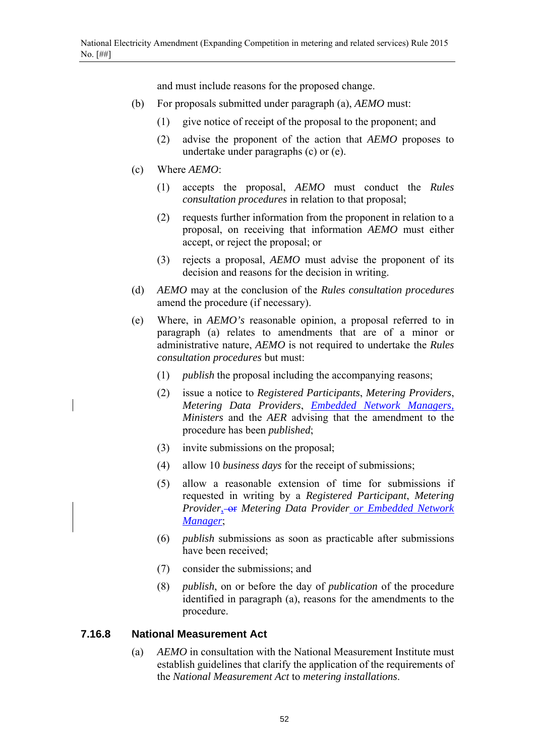and must include reasons for the proposed change.

- (b) For proposals submitted under paragraph (a), *AEMO* must:
	- (1) give notice of receipt of the proposal to the proponent; and
	- (2) advise the proponent of the action that *AEMO* proposes to undertake under paragraphs (c) or (e).
- (c) Where *AEMO*:
	- (1) accepts the proposal, *AEMO* must conduct the *Rules consultation procedures* in relation to that proposal;
	- (2) requests further information from the proponent in relation to a proposal, on receiving that information *AEMO* must either accept, or reject the proposal; or
	- (3) rejects a proposal, *AEMO* must advise the proponent of its decision and reasons for the decision in writing.
- (d) *AEMO* may at the conclusion of the *Rules consultation procedures* amend the procedure (if necessary).
- (e) Where, in *AEMO's* reasonable opinion, a proposal referred to in paragraph (a) relates to amendments that are of a minor or administrative nature, *AEMO* is not required to undertake the *Rules consultation procedures* but must:
	- (1) *publish* the proposal including the accompanying reasons;
	- (2) issue a notice to *Registered Participants*, *Metering Providers*, *Metering Data Providers*, *Embedded Network Managers, Ministers* and the *AER* advising that the amendment to the procedure has been *published*;
	- (3) invite submissions on the proposal;
	- (4) allow 10 *business days* for the receipt of submissions;
	- (5) allow a reasonable extension of time for submissions if requested in writing by a *Registered Participant*, *Metering Provider*, **or** *Metering Data Provider or Embedded Network Manager*;
	- (6) *publish* submissions as soon as practicable after submissions have been received;
	- (7) consider the submissions; and
	- (8) *publish*, on or before the day of *publication* of the procedure identified in paragraph (a), reasons for the amendments to the procedure.

#### **7.16.8 National Measurement Act**

(a) *AEMO* in consultation with the National Measurement Institute must establish guidelines that clarify the application of the requirements of the *National Measurement Act* to *metering installations*.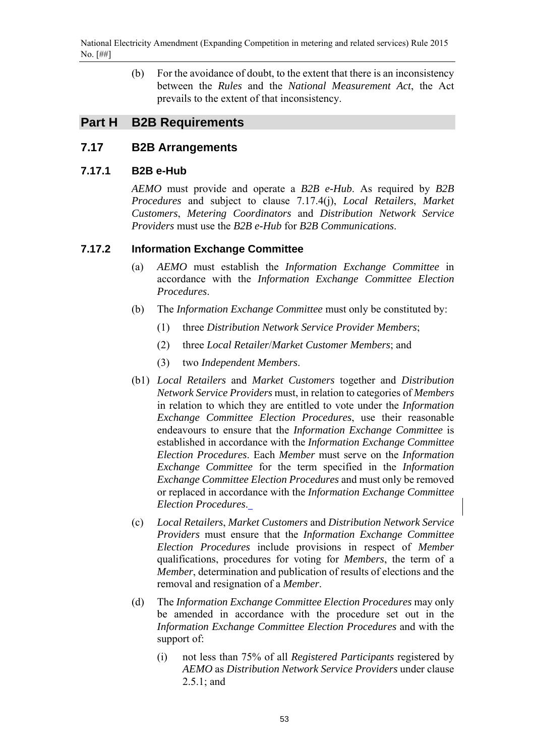National Electricity Amendment (Expanding Competition in metering and related services) Rule 2015 No. [##]

> (b) For the avoidance of doubt, to the extent that there is an inconsistency between the *Rules* and the *National Measurement Act*, the Act prevails to the extent of that inconsistency.

## **Part H B2B Requirements**

## **7.17 B2B Arrangements**

#### **7.17.1 B2B e-Hub**

*AEMO* must provide and operate a *B2B e-Hub*. As required by *B2B Procedures* and subject to clause 7.17.4(j), *Local Retailers*, *Market Customers*, *Metering Coordinators* and *Distribution Network Service Providers* must use the *B2B e-Hub* for *B2B Communications*.

#### **7.17.2 Information Exchange Committee**

- (a) *AEMO* must establish the *Information Exchange Committee* in accordance with the *Information Exchange Committee Election Procedures*.
- (b) The *Information Exchange Committee* must only be constituted by:
	- (1) three *Distribution Network Service Provider Members*;
	- (2) three *Local Retailer*/*Market Customer Members*; and
	- (3) two *Independent Members*.
- (b1) *Local Retailers* and *Market Customers* together and *Distribution Network Service Providers* must, in relation to categories of *Members* in relation to which they are entitled to vote under the *Information Exchange Committee Election Procedures*, use their reasonable endeavours to ensure that the *Information Exchange Committee* is established in accordance with the *Information Exchange Committee Election Procedures*. Each *Member* must serve on the *Information Exchange Committee* for the term specified in the *Information Exchange Committee Election Procedures* and must only be removed or replaced in accordance with the *Information Exchange Committee Election Procedures*.
- (c) *Local Retailers*, *Market Customers* and *Distribution Network Service Providers* must ensure that the *Information Exchange Committee Election Procedures* include provisions in respect of *Member* qualifications, procedures for voting for *Members*, the term of a *Member*, determination and publication of results of elections and the removal and resignation of a *Member*.
- (d) The *Information Exchange Committee Election Procedures* may only be amended in accordance with the procedure set out in the *Information Exchange Committee Election Procedures* and with the support of:
	- (i) not less than 75% of all *Registered Participants* registered by *AEMO* as *Distribution Network Service Providers* under clause 2.5.1; and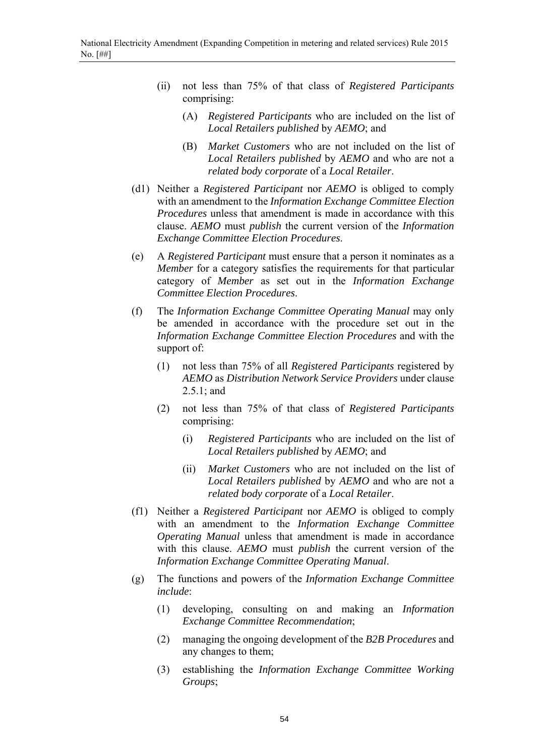- (ii) not less than 75% of that class of *Registered Participants* comprising:
	- (A) *Registered Participants* who are included on the list of *Local Retailers published* by *AEMO*; and
	- (B) *Market Customers* who are not included on the list of *Local Retailers published* by *AEMO* and who are not a *related body corporate* of a *Local Retailer*.
- (d1) Neither a *Registered Participant* nor *AEMO* is obliged to comply with an amendment to the *Information Exchange Committee Election Procedures* unless that amendment is made in accordance with this clause. *AEMO* must *publish* the current version of the *Information Exchange Committee Election Procedures*.
- (e) A *Registered Participant* must ensure that a person it nominates as a *Member* for a category satisfies the requirements for that particular category of *Member* as set out in the *Information Exchange Committee Election Procedures*.
- (f) The *Information Exchange Committee Operating Manual* may only be amended in accordance with the procedure set out in the *Information Exchange Committee Election Procedures* and with the support of:
	- (1) not less than 75% of all *Registered Participants* registered by *AEMO* as *Distribution Network Service Providers* under clause 2.5.1; and
	- (2) not less than 75% of that class of *Registered Participants* comprising:
		- (i) *Registered Participants* who are included on the list of *Local Retailers published* by *AEMO*; and
		- (ii) *Market Customers* who are not included on the list of *Local Retailers published* by *AEMO* and who are not a *related body corporate* of a *Local Retailer*.
- (f1) Neither a *Registered Participant* nor *AEMO* is obliged to comply with an amendment to the *Information Exchange Committee Operating Manual* unless that amendment is made in accordance with this clause. *AEMO* must *publish* the current version of the *Information Exchange Committee Operating Manual*.
- (g) The functions and powers of the *Information Exchange Committee include*:
	- (1) developing, consulting on and making an *Information Exchange Committee Recommendation*;
	- (2) managing the ongoing development of the *B2B Procedures* and any changes to them;
	- (3) establishing the *Information Exchange Committee Working Groups*;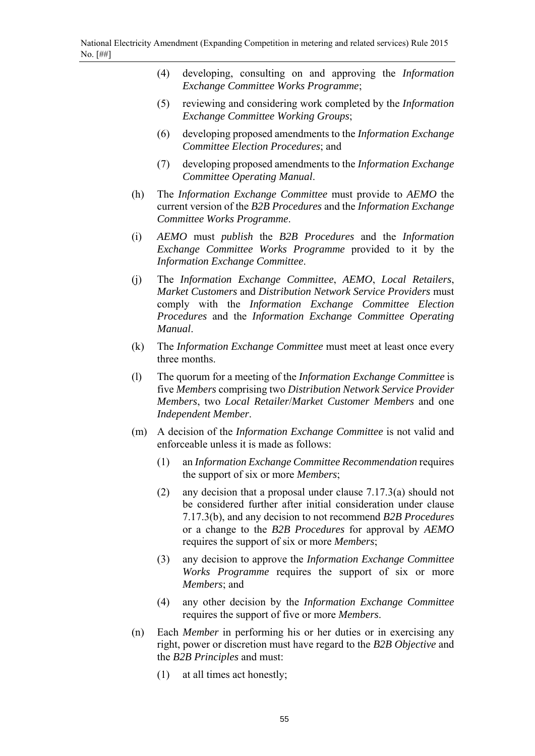- (4) developing, consulting on and approving the *Information Exchange Committee Works Programme*;
- (5) reviewing and considering work completed by the *Information Exchange Committee Working Groups*;
- (6) developing proposed amendments to the *Information Exchange Committee Election Procedures*; and
- (7) developing proposed amendments to the *Information Exchange Committee Operating Manual*.
- (h) The *Information Exchange Committee* must provide to *AEMO* the current version of the *B2B Procedures* and the *Information Exchange Committee Works Programme*.
- (i) *AEMO* must *publish* the *B2B Procedures* and the *Information Exchange Committee Works Programme* provided to it by the *Information Exchange Committee*.
- (j) The *Information Exchange Committee*, *AEMO*, *Local Retailers*, *Market Customers* and *Distribution Network Service Providers* must comply with the *Information Exchange Committee Election Procedures* and the *Information Exchange Committee Operating Manual*.
- (k) The *Information Exchange Committee* must meet at least once every three months.
- (l) The quorum for a meeting of the *Information Exchange Committee* is five *Members* comprising two *Distribution Network Service Provider Members*, two *Local Retailer*/*Market Customer Members* and one *Independent Member*.
- (m) A decision of the *Information Exchange Committee* is not valid and enforceable unless it is made as follows:
	- (1) an *Information Exchange Committee Recommendation* requires the support of six or more *Members*;
	- (2) any decision that a proposal under clause 7.17.3(a) should not be considered further after initial consideration under clause 7.17.3(b), and any decision to not recommend *B2B Procedures* or a change to the *B2B Procedures* for approval by *AEMO* requires the support of six or more *Members*;
	- (3) any decision to approve the *Information Exchange Committee Works Programme* requires the support of six or more *Members*; and
	- (4) any other decision by the *Information Exchange Committee* requires the support of five or more *Members*.
- (n) Each *Member* in performing his or her duties or in exercising any right, power or discretion must have regard to the *B2B Objective* and the *B2B Principles* and must:
	- (1) at all times act honestly;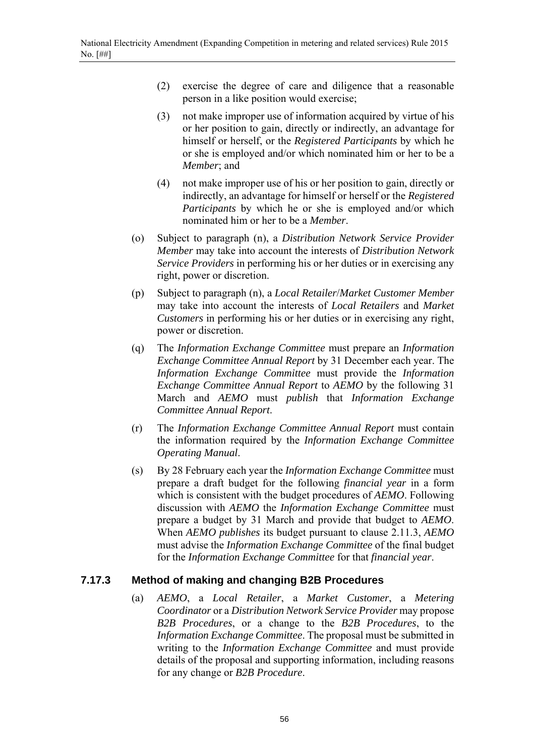- (2) exercise the degree of care and diligence that a reasonable person in a like position would exercise;
- (3) not make improper use of information acquired by virtue of his or her position to gain, directly or indirectly, an advantage for himself or herself, or the *Registered Participants* by which he or she is employed and/or which nominated him or her to be a *Member*; and
- (4) not make improper use of his or her position to gain, directly or indirectly, an advantage for himself or herself or the *Registered Participants* by which he or she is employed and/or which nominated him or her to be a *Member*.
- (o) Subject to paragraph (n), a *Distribution Network Service Provider Member* may take into account the interests of *Distribution Network Service Providers* in performing his or her duties or in exercising any right, power or discretion.
- (p) Subject to paragraph (n), a *Local Retailer*/*Market Customer Member* may take into account the interests of *Local Retailers* and *Market Customers* in performing his or her duties or in exercising any right, power or discretion.
- (q) The *Information Exchange Committee* must prepare an *Information Exchange Committee Annual Report* by 31 December each year. The *Information Exchange Committee* must provide the *Information Exchange Committee Annual Report* to *AEMO* by the following 31 March and *AEMO* must *publish* that *Information Exchange Committee Annual Report*.
- (r) The *Information Exchange Committee Annual Report* must contain the information required by the *Information Exchange Committee Operating Manual*.
- (s) By 28 February each year the *Information Exchange Committee* must prepare a draft budget for the following *financial year* in a form which is consistent with the budget procedures of *AEMO*. Following discussion with *AEMO* the *Information Exchange Committee* must prepare a budget by 31 March and provide that budget to *AEMO*. When *AEMO publishes* its budget pursuant to clause 2.11.3, *AEMO* must advise the *Information Exchange Committee* of the final budget for the *Information Exchange Committee* for that *financial year*.

## **7.17.3 Method of making and changing B2B Procedures**

(a) *AEMO*, a *Local Retailer*, a *Market Customer*, a *Metering Coordinator* or a *Distribution Network Service Provider* may propose *B2B Procedures*, or a change to the *B2B Procedures*, to the *Information Exchange Committee*. The proposal must be submitted in writing to the *Information Exchange Committee* and must provide details of the proposal and supporting information, including reasons for any change or *B2B Procedure*.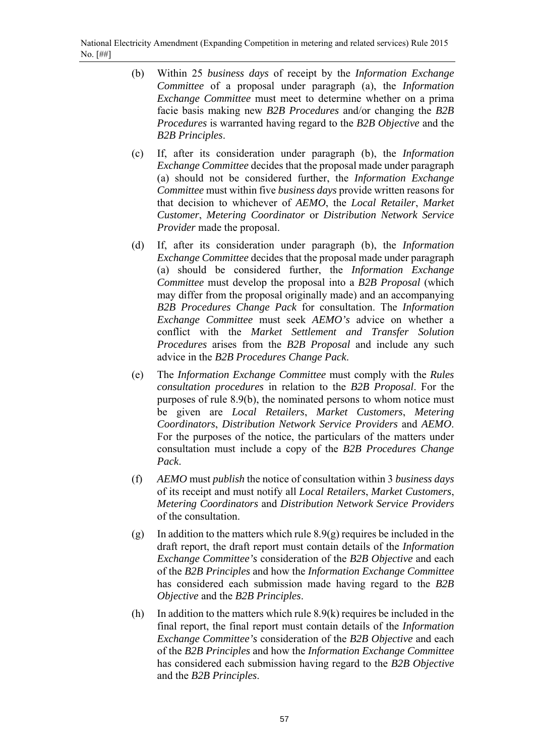- (b) Within 25 *business days* of receipt by the *Information Exchange Committee* of a proposal under paragraph (a), the *Information Exchange Committee* must meet to determine whether on a prima facie basis making new *B2B Procedures* and/or changing the *B2B Procedures* is warranted having regard to the *B2B Objective* and the *B2B Principles*.
- (c) If, after its consideration under paragraph (b), the *Information Exchange Committee* decides that the proposal made under paragraph (a) should not be considered further, the *Information Exchange Committee* must within five *business days* provide written reasons for that decision to whichever of *AEMO*, the *Local Retailer*, *Market Customer*, *Metering Coordinator* or *Distribution Network Service Provider* made the proposal.
- (d) If, after its consideration under paragraph (b), the *Information Exchange Committee* decides that the proposal made under paragraph (a) should be considered further, the *Information Exchange Committee* must develop the proposal into a *B2B Proposal* (which may differ from the proposal originally made) and an accompanying *B2B Procedures Change Pack* for consultation. The *Information Exchange Committee* must seek *AEMO's* advice on whether a conflict with the *Market Settlement and Transfer Solution Procedures* arises from the *B2B Proposal* and include any such advice in the *B2B Procedures Change Pack*.
- (e) The *Information Exchange Committee* must comply with the *Rules consultation procedures* in relation to the *B2B Proposal*. For the purposes of rule 8.9(b), the nominated persons to whom notice must be given are *Local Retailers*, *Market Customers*, *Metering Coordinators*, *Distribution Network Service Providers* and *AEMO*. For the purposes of the notice, the particulars of the matters under consultation must include a copy of the *B2B Procedures Change Pack*.
- (f) *AEMO* must *publish* the notice of consultation within 3 *business days* of its receipt and must notify all *Local Retailers*, *Market Customers*, *Metering Coordinators* and *Distribution Network Service Providers* of the consultation.
- (g) In addition to the matters which rule 8.9(g) requires be included in the draft report, the draft report must contain details of the *Information Exchange Committee's* consideration of the *B2B Objective* and each of the *B2B Principles* and how the *Information Exchange Committee* has considered each submission made having regard to the *B2B Objective* and the *B2B Principles*.
- (h) In addition to the matters which rule 8.9(k) requires be included in the final report, the final report must contain details of the *Information Exchange Committee's* consideration of the *B2B Objective* and each of the *B2B Principles* and how the *Information Exchange Committee* has considered each submission having regard to the *B2B Objective* and the *B2B Principles*.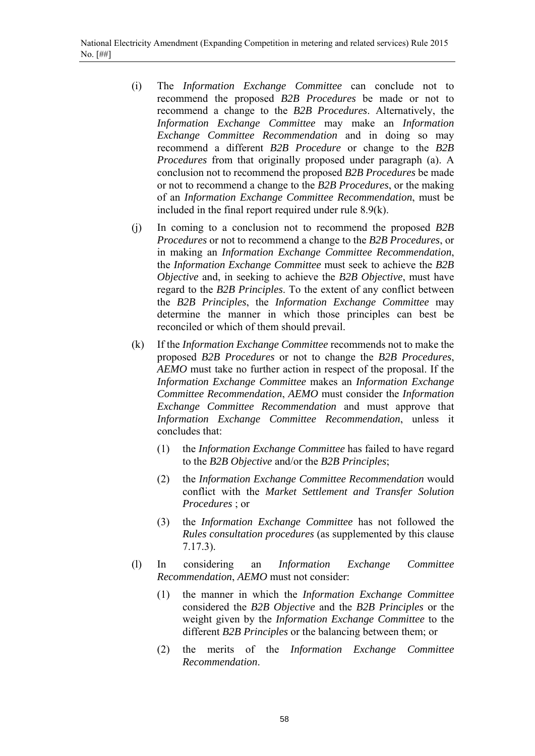- (i) The *Information Exchange Committee* can conclude not to recommend the proposed *B2B Procedures* be made or not to recommend a change to the *B2B Procedures*. Alternatively, the *Information Exchange Committee* may make an *Information Exchange Committee Recommendation* and in doing so may recommend a different *B2B Procedure* or change to the *B2B Procedures* from that originally proposed under paragraph (a). A conclusion not to recommend the proposed *B2B Procedures* be made or not to recommend a change to the *B2B Procedures*, or the making of an *Information Exchange Committee Recommendation*, must be included in the final report required under rule 8.9(k).
- (j) In coming to a conclusion not to recommend the proposed *B2B Procedures* or not to recommend a change to the *B2B Procedures*, or in making an *Information Exchange Committee Recommendation*, the *Information Exchange Committee* must seek to achieve the *B2B Objective* and, in seeking to achieve the *B2B Objective*, must have regard to the *B2B Principles*. To the extent of any conflict between the *B2B Principles*, the *Information Exchange Committee* may determine the manner in which those principles can best be reconciled or which of them should prevail.
- (k) If the *Information Exchange Committee* recommends not to make the proposed *B2B Procedures* or not to change the *B2B Procedures*, *AEMO* must take no further action in respect of the proposal. If the *Information Exchange Committee* makes an *Information Exchange Committee Recommendation*, *AEMO* must consider the *Information Exchange Committee Recommendation* and must approve that *Information Exchange Committee Recommendation*, unless it concludes that:
	- (1) the *Information Exchange Committee* has failed to have regard to the *B2B Objective* and/or the *B2B Principles*;
	- (2) the *Information Exchange Committee Recommendation* would conflict with the *Market Settlement and Transfer Solution Procedures* ; or
	- (3) the *Information Exchange Committee* has not followed the *Rules consultation procedures* (as supplemented by this clause 7.17.3).
- (l) In considering an *Information Exchange Committee Recommendation*, *AEMO* must not consider:
	- (1) the manner in which the *Information Exchange Committee* considered the *B2B Objective* and the *B2B Principles* or the weight given by the *Information Exchange Committee* to the different *B2B Principles* or the balancing between them; or
	- (2) the merits of the *Information Exchange Committee Recommendation*.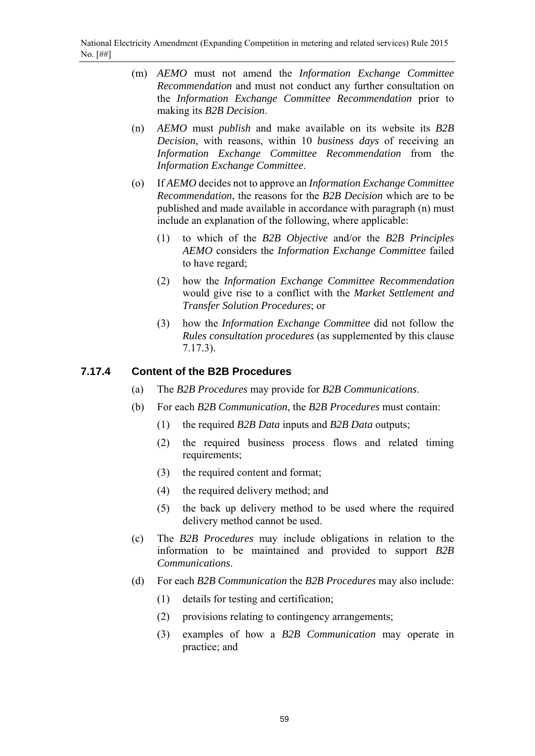- (m) *AEMO* must not amend the *Information Exchange Committee Recommendation* and must not conduct any further consultation on the *Information Exchange Committee Recommendation* prior to making its *B2B Decision*.
- (n) *AEMO* must *publish* and make available on its website its *B2B Decision*, with reasons, within 10 *business days* of receiving an *Information Exchange Committee Recommendation* from the *Information Exchange Committee*.
- (o) If *AEMO* decides not to approve an *Information Exchange Committee Recommendation*, the reasons for the *B2B Decision* which are to be published and made available in accordance with paragraph (n) must include an explanation of the following, where applicable:
	- (1) to which of the *B2B Objective* and/or the *B2B Principles AEMO* considers the *Information Exchange Committee* failed to have regard;
	- (2) how the *Information Exchange Committee Recommendation* would give rise to a conflict with the *Market Settlement and Transfer Solution Procedures*; or
	- (3) how the *Information Exchange Committee* did not follow the *Rules consultation procedures* (as supplemented by this clause 7.17.3).

## **7.17.4 Content of the B2B Procedures**

- (a) The *B2B Procedures* may provide for *B2B Communications*.
- (b) For each *B2B Communication*, the *B2B Procedures* must contain:
	- (1) the required *B2B Data* inputs and *B2B Data* outputs;
	- (2) the required business process flows and related timing requirements;
	- (3) the required content and format;
	- (4) the required delivery method; and
	- (5) the back up delivery method to be used where the required delivery method cannot be used.
- (c) The *B2B Procedures* may include obligations in relation to the information to be maintained and provided to support *B2B Communications*.
- (d) For each *B2B Communication* the *B2B Procedures* may also include:
	- (1) details for testing and certification;
	- (2) provisions relating to contingency arrangements;
	- (3) examples of how a *B2B Communication* may operate in practice; and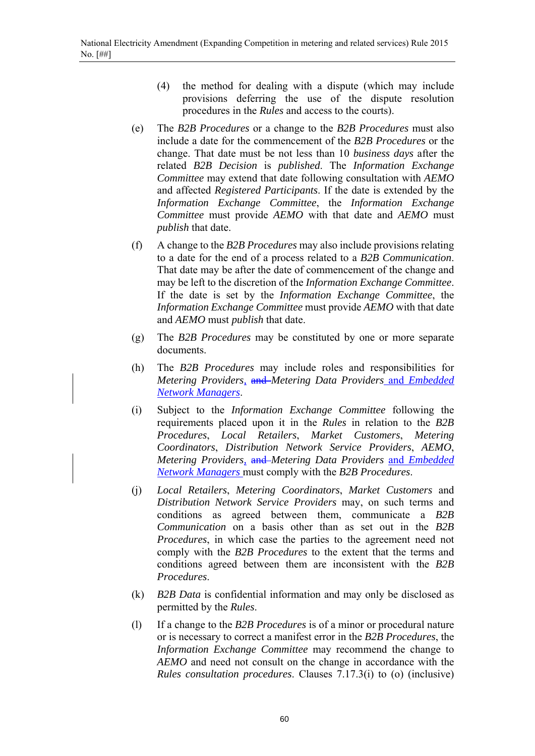- (4) the method for dealing with a dispute (which may include provisions deferring the use of the dispute resolution procedures in the *Rules* and access to the courts).
- (e) The *B2B Procedures* or a change to the *B2B Procedures* must also include a date for the commencement of the *B2B Procedures* or the change. That date must be not less than 10 *business days* after the related *B2B Decision* is *published*. The *Information Exchange Committee* may extend that date following consultation with *AEMO* and affected *Registered Participants*. If the date is extended by the *Information Exchange Committee*, the *Information Exchange Committee* must provide *AEMO* with that date and *AEMO* must *publish* that date.
- (f) A change to the *B2B Procedures* may also include provisions relating to a date for the end of a process related to a *B2B Communication*. That date may be after the date of commencement of the change and may be left to the discretion of the *Information Exchange Committee*. If the date is set by the *Information Exchange Committee*, the *Information Exchange Committee* must provide *AEMO* with that date and *AEMO* must *publish* that date.
- (g) The *B2B Procedures* may be constituted by one or more separate documents.
- (h) The *B2B Procedures* may include roles and responsibilities for *Metering Providers,* and *Metering Data Providers* and *Embedded Network Managers*.
- (i) Subject to the *Information Exchange Committee* following the requirements placed upon it in the *Rules* in relation to the *B2B Procedures*, *Local Retailers*, *Market Customers*, *Metering Coordinators*, *Distribution Network Service Providers*, *AEMO*, *Metering Providers,* and *Metering Data Providers* and *Embedded Network Managers* must comply with the *B2B Procedures*.
- (j) *Local Retailers*, *Metering Coordinators*, *Market Customers* and *Distribution Network Service Providers* may, on such terms and conditions as agreed between them, communicate a *B2B Communication* on a basis other than as set out in the *B2B Procedures*, in which case the parties to the agreement need not comply with the *B2B Procedures* to the extent that the terms and conditions agreed between them are inconsistent with the *B2B Procedures*.
- (k) *B2B Data* is confidential information and may only be disclosed as permitted by the *Rules*.
- (l) If a change to the *B2B Procedures* is of a minor or procedural nature or is necessary to correct a manifest error in the *B2B Procedures*, the *Information Exchange Committee* may recommend the change to *AEMO* and need not consult on the change in accordance with the *Rules consultation procedures*. Clauses 7.17.3(i) to (o) (inclusive)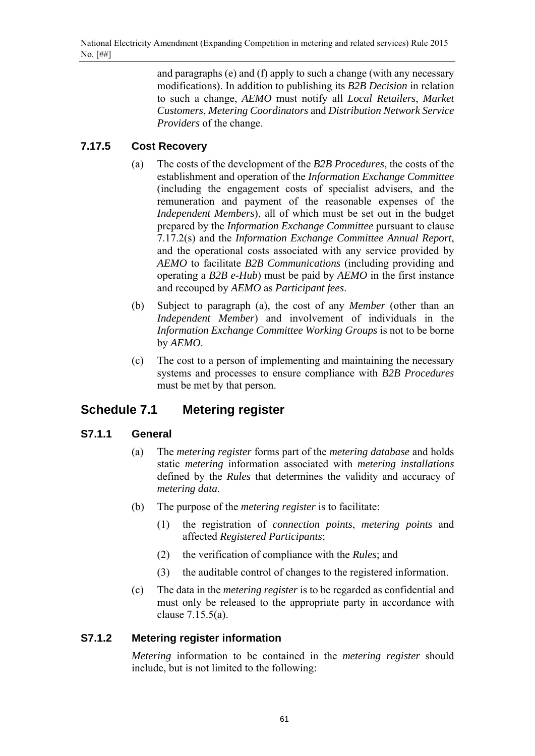and paragraphs (e) and (f) apply to such a change (with any necessary modifications). In addition to publishing its *B2B Decision* in relation to such a change, *AEMO* must notify all *Local Retailers*, *Market Customers*, *Metering Coordinators* and *Distribution Network Service Providers* of the change.

# **7.17.5 Cost Recovery**

- (a) The costs of the development of the *B2B Procedures*, the costs of the establishment and operation of the *Information Exchange Committee* (including the engagement costs of specialist advisers, and the remuneration and payment of the reasonable expenses of the *Independent Members*), all of which must be set out in the budget prepared by the *Information Exchange Committee* pursuant to clause 7.17.2(s) and the *Information Exchange Committee Annual Report*, and the operational costs associated with any service provided by *AEMO* to facilitate *B2B Communications* (including providing and operating a *B2B e-Hub*) must be paid by *AEMO* in the first instance and recouped by *AEMO* as *Participant fees*.
- (b) Subject to paragraph (a), the cost of any *Member* (other than an *Independent Member*) and involvement of individuals in the *Information Exchange Committee Working Groups* is not to be borne by *AEMO*.
- (c) The cost to a person of implementing and maintaining the necessary systems and processes to ensure compliance with *B2B Procedures* must be met by that person.

# **Schedule 7.1 Metering register**

## **S7.1.1 General**

- (a) The *metering register* forms part of the *metering database* and holds static *metering* information associated with *metering installations* defined by the *Rules* that determines the validity and accuracy of *metering data*.
- (b) The purpose of the *metering register* is to facilitate:
	- (1) the registration of *connection points*, *metering points* and affected *Registered Participants*;
	- (2) the verification of compliance with the *Rules*; and
	- (3) the auditable control of changes to the registered information.
- (c) The data in the *metering register* is to be regarded as confidential and must only be released to the appropriate party in accordance with clause 7.15.5(a).

## **S7.1.2 Metering register information**

*Metering* information to be contained in the *metering register* should include, but is not limited to the following: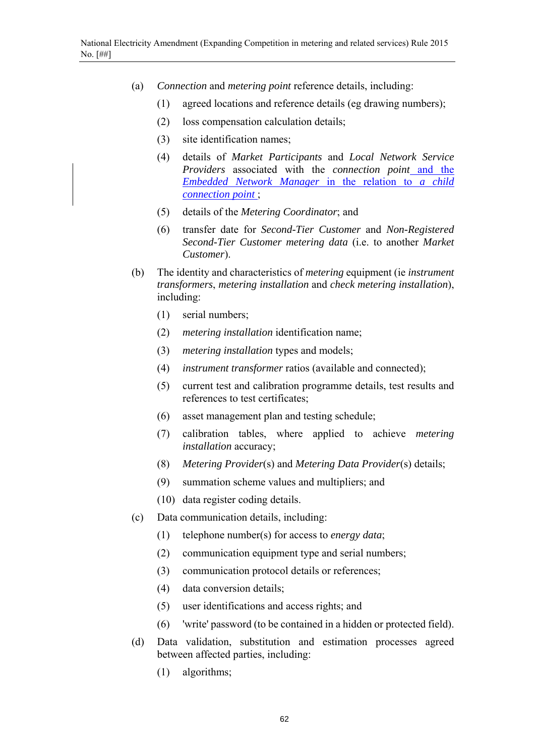- (a) *Connection* and *metering point* reference details, including:
	- (1) agreed locations and reference details (eg drawing numbers);
	- (2) loss compensation calculation details;
	- (3) site identification names;
	- (4) details of *Market Participants* and *Local Network Service Providers* associated with the *connection point* and the *Embedded Network Manager* in the relation to *a child connection point* ;
	- (5) details of the *Metering Coordinator*; and
	- (6) transfer date for *Second-Tier Customer* and *Non-Registered Second-Tier Customer metering data* (i.e. to another *Market Customer*).
- (b) The identity and characteristics of *metering* equipment (ie *instrument transformers*, *metering installation* and *check metering installation*), including:
	- (1) serial numbers;
	- (2) *metering installation* identification name;
	- (3) *metering installation* types and models;
	- (4) *instrument transformer* ratios (available and connected);
	- (5) current test and calibration programme details, test results and references to test certificates;
	- (6) asset management plan and testing schedule;
	- (7) calibration tables, where applied to achieve *metering installation* accuracy;
	- (8) *Metering Provider*(s) and *Metering Data Provider*(s) details;
	- (9) summation scheme values and multipliers; and
	- (10) data register coding details.
- (c) Data communication details, including:
	- (1) telephone number(s) for access to *energy data*;
	- (2) communication equipment type and serial numbers;
	- (3) communication protocol details or references;
	- (4) data conversion details;
	- (5) user identifications and access rights; and
	- (6) 'write' password (to be contained in a hidden or protected field).
- (d) Data validation, substitution and estimation processes agreed between affected parties, including:
	- (1) algorithms;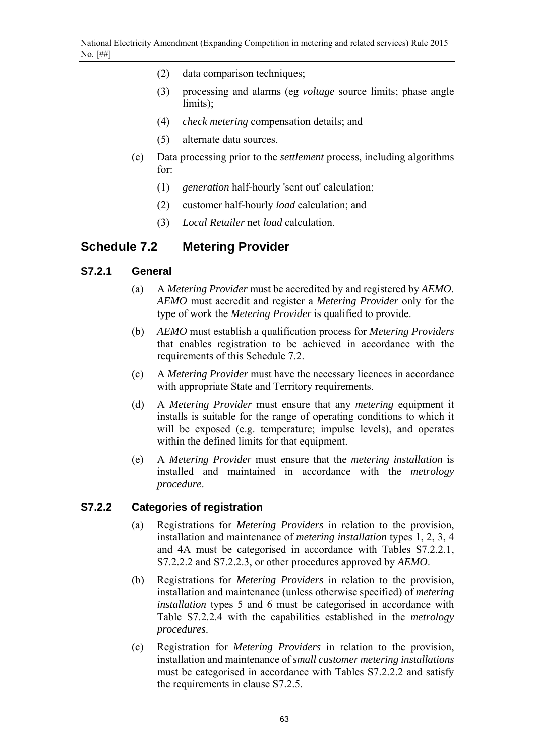- (2) data comparison techniques;
- (3) processing and alarms (eg *voltage* source limits; phase angle limits);
- (4) *check metering* compensation details; and
- (5) alternate data sources.
- (e) Data processing prior to the *settlement* process, including algorithms for:
	- (1) *generation* half-hourly 'sent out' calculation;
	- (2) customer half-hourly *load* calculation; and
	- (3) *Local Retailer* net *load* calculation.

## **Schedule 7.2 Metering Provider**

#### **S7.2.1 General**

- (a) A *Metering Provider* must be accredited by and registered by *AEMO*. *AEMO* must accredit and register a *Metering Provider* only for the type of work the *Metering Provider* is qualified to provide.
- (b) *AEMO* must establish a qualification process for *Metering Providers* that enables registration to be achieved in accordance with the requirements of this Schedule 7.2.
- (c) A *Metering Provider* must have the necessary licences in accordance with appropriate State and Territory requirements.
- (d) A *Metering Provider* must ensure that any *metering* equipment it installs is suitable for the range of operating conditions to which it will be exposed (e.g. temperature; impulse levels), and operates within the defined limits for that equipment.
- (e) A *Metering Provider* must ensure that the *metering installation* is installed and maintained in accordance with the *metrology procedure*.

#### **S7.2.2 Categories of registration**

- (a) Registrations for *Metering Providers* in relation to the provision, installation and maintenance of *metering installation* types 1, 2, 3, 4 and 4A must be categorised in accordance with Tables S7.2.2.1, S7.2.2.2 and S7.2.2.3, or other procedures approved by *AEMO*.
- (b) Registrations for *Metering Providers* in relation to the provision, installation and maintenance (unless otherwise specified) of *metering installation* types 5 and 6 must be categorised in accordance with Table S7.2.2.4 with the capabilities established in the *metrology procedures*.
- (c) Registration for *Metering Providers* in relation to the provision, installation and maintenance of *small customer metering installations* must be categorised in accordance with Tables S7.2.2.2 and satisfy the requirements in clause S7.2.5.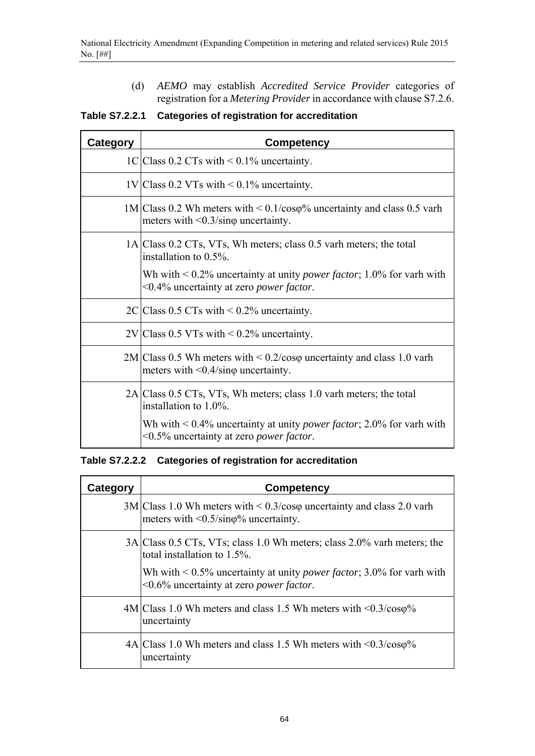(d) *AEMO* may establish *Accredited Service Provider* categories of registration for a *Metering Provider* in accordance with clause S7.2.6.

**Table S7.2.2.1 Categories of registration for accreditation** 

| Category                                                                                    | <b>Competency</b>                                                                                                                      |  |  |  |  |  |
|---------------------------------------------------------------------------------------------|----------------------------------------------------------------------------------------------------------------------------------------|--|--|--|--|--|
|                                                                                             | 1C Class 0.2 CTs with $\leq$ 0.1% uncertainty.                                                                                         |  |  |  |  |  |
|                                                                                             | $1V$ Class 0.2 VTs with < 0.1% uncertainty.                                                                                            |  |  |  |  |  |
|                                                                                             | $1M/Class 0.2$ Wh meters with $\leq 0.1/\cos\varphi$ uncertainty and class 0.5 varh<br>meters with $\leq 0.3/\sin\varphi$ uncertainty. |  |  |  |  |  |
|                                                                                             | 1A Class 0.2 CTs, VTs, Wh meters; class 0.5 varh meters; the total<br>installation to $0.5\%$ .                                        |  |  |  |  |  |
|                                                                                             | Wh with $\leq 0.2\%$ uncertainty at unity <i>power factor</i> ; 1.0% for varh with<br><0.4% uncertainty at zero <i>power factor</i> .  |  |  |  |  |  |
|                                                                                             | $2C/Class 0.5 CTs with < 0.2\%$ uncertainty.                                                                                           |  |  |  |  |  |
|                                                                                             | $2V$ Class 0.5 VTs with < 0.2% uncertainty.                                                                                            |  |  |  |  |  |
|                                                                                             | $2M$ Class 0.5 Wh meters with $\leq 0.2$ /coso uncertainty and class 1.0 varh<br>meters with $\leq 0.4/\sin\phi$ uncertainty.          |  |  |  |  |  |
| 2A Class 0.5 CTs, VTs, Wh meters; class 1.0 varh meters; the total<br>installation to 1.0%. |                                                                                                                                        |  |  |  |  |  |
|                                                                                             | Wh with $\leq 0.4\%$ uncertainty at unity <i>power factor</i> ; 2.0% for varh with<br><0.5% uncertainty at zero <i>power factor</i> .  |  |  |  |  |  |

**Table S7.2.2.2 Categories of registration for accreditation** 

| Category | <b>Competency</b>                                                                                                                        |  |  |  |  |
|----------|------------------------------------------------------------------------------------------------------------------------------------------|--|--|--|--|
|          | $3M/Class 1.0 Wh$ meters with $\leq 0.3/\cos\varphi$ uncertainty and class 2.0 varh<br>meters with $\langle 0.5/\sin\phi\%$ uncertainty. |  |  |  |  |
|          | 3A Class 0.5 CTs, VTs; class 1.0 Wh meters; class 2.0% varh meters; the<br>total installation to $1.5\%$ .                               |  |  |  |  |
|          | Wh with $\leq 0.5\%$ uncertainty at unity <i>power factor</i> ; 3.0% for varh with<br><0.6% uncertainty at zero <i>power factor</i> .    |  |  |  |  |
|          | $4M/Class 1.0 Wh$ meters and class 1.5 Wh meters with $\leq 0.3/\cos\varphi\%$<br>uncertainty                                            |  |  |  |  |
|          | $4A Class 1.0 Wh$ meters and class 1.5 Wh meters with $\leq 0.3/\cos\varphi\%$<br>uncertainty                                            |  |  |  |  |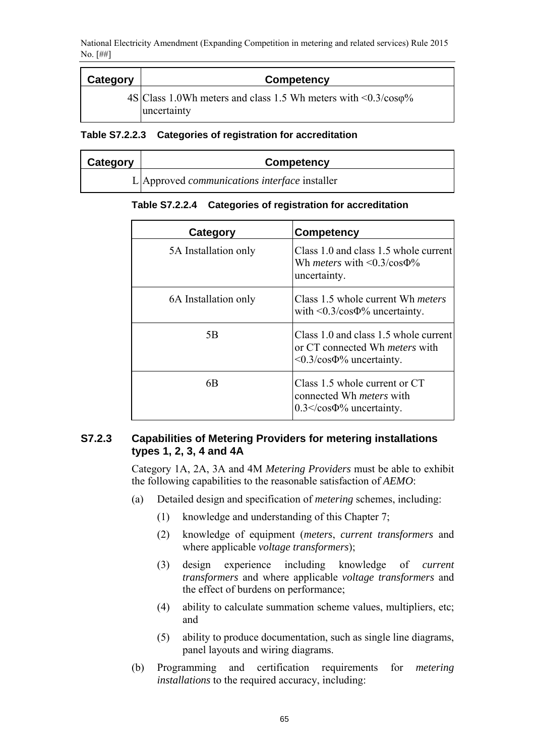| Category | Competency                                                                                   |  |  |  |  |
|----------|----------------------------------------------------------------------------------------------|--|--|--|--|
|          | $4S/Class 1.0Wh$ meters and class 1.5 Wh meters with $\leq 0.3/\cos\varphi$ %<br>uncertainty |  |  |  |  |

**Table S7.2.2.3 Categories of registration for accreditation** 

| Category | Competency                                           |
|----------|------------------------------------------------------|
|          | L Approved <i>communications interface</i> installer |

**Table S7.2.2.4 Categories of registration for accreditation** 

| Category             | <b>Competency</b>                                                                                                       |
|----------------------|-------------------------------------------------------------------------------------------------------------------------|
| 5A Installation only | Class 1.0 and class 1.5 whole current<br>Wh <i>meters</i> with $\langle 0.3/\cos 9\% \rangle$<br>uncertainty.           |
| 6A Installation only | Class 1.5 whole current Wh <i>meters</i><br>with $\leq 0.3$ /cos $\Phi\%$ uncertainty.                                  |
| 5B                   | Class 1.0 and class 1.5 whole current<br>or CT connected Wh <i>meters</i> with<br>$\langle 0.3/\cos\Phi\%$ uncertainty. |
| 6B                   | Class 1.5 whole current or CT<br>connected Wh <i>meters</i> with<br>$0.3 \le \cos 4\%$ uncertainty.                     |

## **S7.2.3 Capabilities of Metering Providers for metering installations types 1, 2, 3, 4 and 4A**

Category 1A, 2A, 3A and 4M *Metering Providers* must be able to exhibit the following capabilities to the reasonable satisfaction of *AEMO*:

- (a) Detailed design and specification of *metering* schemes, including:
	- (1) knowledge and understanding of this Chapter 7;
	- (2) knowledge of equipment (*meters*, *current transformers* and where applicable *voltage transformers*);
	- (3) design experience including knowledge of *current transformers* and where applicable *voltage transformers* and the effect of burdens on performance;
	- (4) ability to calculate summation scheme values, multipliers, etc; and
	- (5) ability to produce documentation, such as single line diagrams, panel layouts and wiring diagrams.
- (b) Programming and certification requirements for *metering installations* to the required accuracy, including: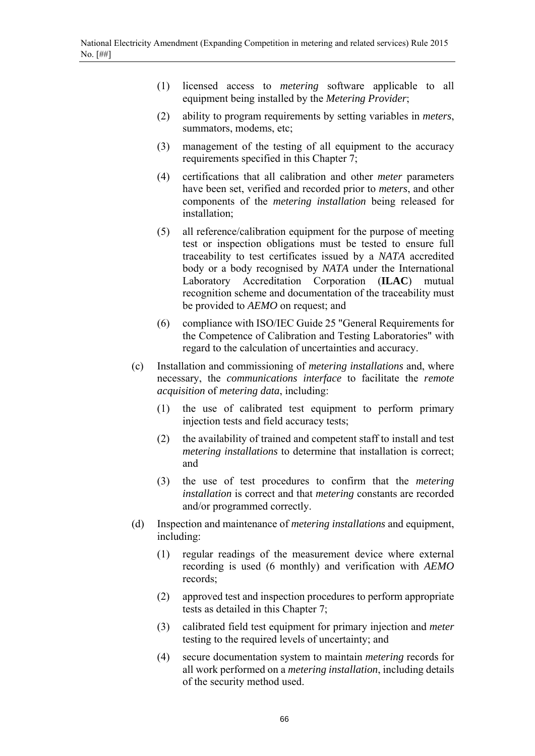- (1) licensed access to *metering* software applicable to all equipment being installed by the *Metering Provider*;
- (2) ability to program requirements by setting variables in *meters*, summators, modems, etc;
- (3) management of the testing of all equipment to the accuracy requirements specified in this Chapter 7;
- (4) certifications that all calibration and other *meter* parameters have been set, verified and recorded prior to *meters*, and other components of the *metering installation* being released for installation;
- (5) all reference/calibration equipment for the purpose of meeting test or inspection obligations must be tested to ensure full traceability to test certificates issued by a *NATA* accredited body or a body recognised by *NATA* under the International Laboratory Accreditation Corporation (**ILAC**) mutual recognition scheme and documentation of the traceability must be provided to *AEMO* on request; and
- (6) compliance with ISO/IEC Guide 25 "General Requirements for the Competence of Calibration and Testing Laboratories" with regard to the calculation of uncertainties and accuracy.
- (c) Installation and commissioning of *metering installations* and, where necessary, the *communications interface* to facilitate the *remote acquisition* of *metering data*, including:
	- (1) the use of calibrated test equipment to perform primary injection tests and field accuracy tests;
	- (2) the availability of trained and competent staff to install and test *metering installations* to determine that installation is correct; and
	- (3) the use of test procedures to confirm that the *metering installation* is correct and that *metering* constants are recorded and/or programmed correctly.
- (d) Inspection and maintenance of *metering installations* and equipment, including:
	- (1) regular readings of the measurement device where external recording is used (6 monthly) and verification with *AEMO* records;
	- (2) approved test and inspection procedures to perform appropriate tests as detailed in this Chapter 7;
	- (3) calibrated field test equipment for primary injection and *meter* testing to the required levels of uncertainty; and
	- (4) secure documentation system to maintain *metering* records for all work performed on a *metering installation*, including details of the security method used.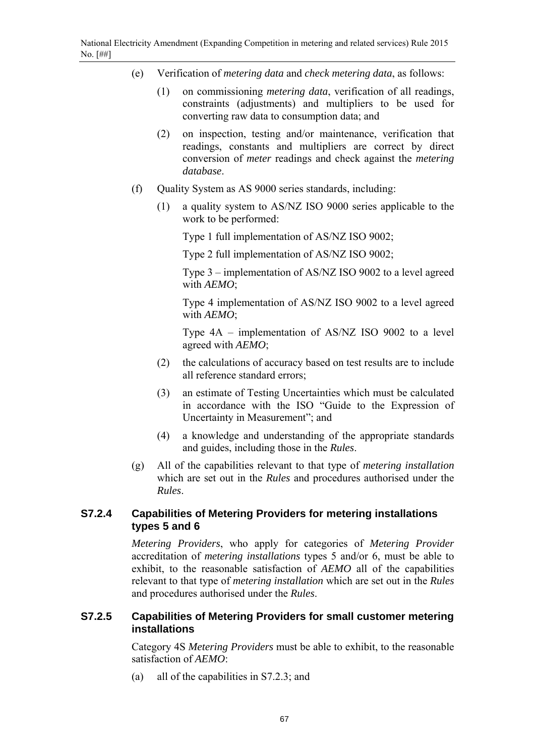- (e) Verification of *metering data* and *check metering data*, as follows:
	- (1) on commissioning *metering data*, verification of all readings, constraints (adjustments) and multipliers to be used for converting raw data to consumption data; and
	- (2) on inspection, testing and/or maintenance, verification that readings, constants and multipliers are correct by direct conversion of *meter* readings and check against the *metering database*.
- (f) Quality System as AS 9000 series standards, including:
	- (1) a quality system to AS/NZ ISO 9000 series applicable to the work to be performed:

Type 1 full implementation of AS/NZ ISO 9002;

Type 2 full implementation of AS/NZ ISO 9002;

Type 3 – implementation of AS/NZ ISO 9002 to a level agreed with *AEMO*;

Type 4 implementation of AS/NZ ISO 9002 to a level agreed with *AEMO*;

Type 4A – implementation of AS/NZ ISO 9002 to a level agreed with *AEMO*;

- (2) the calculations of accuracy based on test results are to include all reference standard errors;
- (3) an estimate of Testing Uncertainties which must be calculated in accordance with the ISO "Guide to the Expression of Uncertainty in Measurement"; and
- (4) a knowledge and understanding of the appropriate standards and guides, including those in the *Rules*.
- (g) All of the capabilities relevant to that type of *metering installation* which are set out in the *Rules* and procedures authorised under the *Rules*.

## **S7.2.4 Capabilities of Metering Providers for metering installations types 5 and 6**

*Metering Providers*, who apply for categories of *Metering Provider* accreditation of *metering installations* types 5 and/or 6, must be able to exhibit, to the reasonable satisfaction of *AEMO* all of the capabilities relevant to that type of *metering installation* which are set out in the *Rules* and procedures authorised under the *Rules*.

## **S7.2.5 Capabilities of Metering Providers for small customer metering installations**

Category 4S *Metering Providers* must be able to exhibit, to the reasonable satisfaction of *AEMO*:

(a) all of the capabilities in S7.2.3; and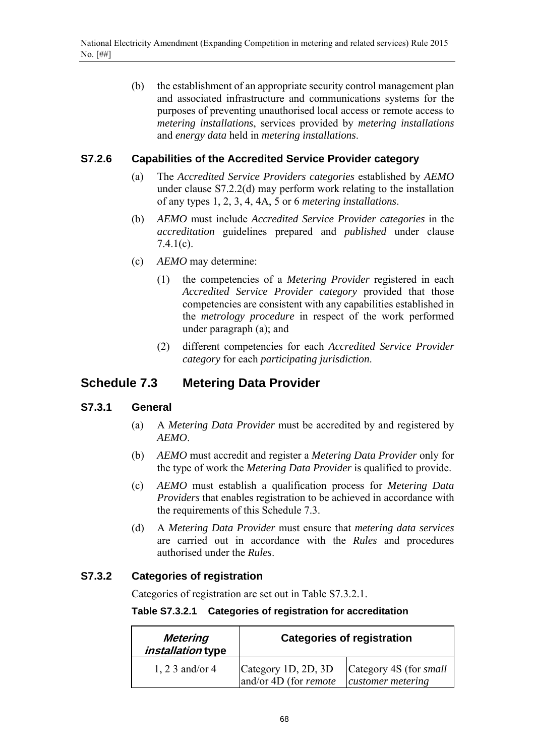(b) the establishment of an appropriate security control management plan and associated infrastructure and communications systems for the purposes of preventing unauthorised local access or remote access to *metering installations*, services provided by *metering installations* and *energy data* held in *metering installations*.

## **S7.2.6 Capabilities of the Accredited Service Provider category**

- (a) The *Accredited Service Providers categories* established by *AEMO* under clause S7.2.2(d) may perform work relating to the installation of any types 1, 2, 3, 4, 4A, 5 or 6 *metering installations*.
- (b) *AEMO* must include *Accredited Service Provider categories* in the *accreditation* guidelines prepared and *published* under clause 7.4.1(c).
- (c) *AEMO* may determine:
	- (1) the competencies of a *Metering Provider* registered in each *Accredited Service Provider category* provided that those competencies are consistent with any capabilities established in the *metrology procedure* in respect of the work performed under paragraph (a); and
	- (2) different competencies for each *Accredited Service Provider category* for each *participating jurisdiction*.

# **Schedule 7.3 Metering Data Provider**

## **S7.3.1 General**

- (a) A *Metering Data Provider* must be accredited by and registered by *AEMO*.
- (b) *AEMO* must accredit and register a *Metering Data Provider* only for the type of work the *Metering Data Provider* is qualified to provide.
- (c) *AEMO* must establish a qualification process for *Metering Data Providers* that enables registration to be achieved in accordance with the requirements of this Schedule 7.3.
- (d) A *Metering Data Provider* must ensure that *metering data services* are carried out in accordance with the *Rules* and procedures authorised under the *Rules*.

## **S7.3.2 Categories of registration**

Categories of registration are set out in Table S7.3.2.1.

**Table S7.3.2.1 Categories of registration for accreditation** 

| <b>Metering</b><br><i>installation</i> type | <b>Categories of registration</b>            |                                             |  |
|---------------------------------------------|----------------------------------------------|---------------------------------------------|--|
| 1, 2 3 and/or 4                             | Category 1D, 2D, 3D<br>and/or 4D (for remote | Category 4S (for small<br>customer metering |  |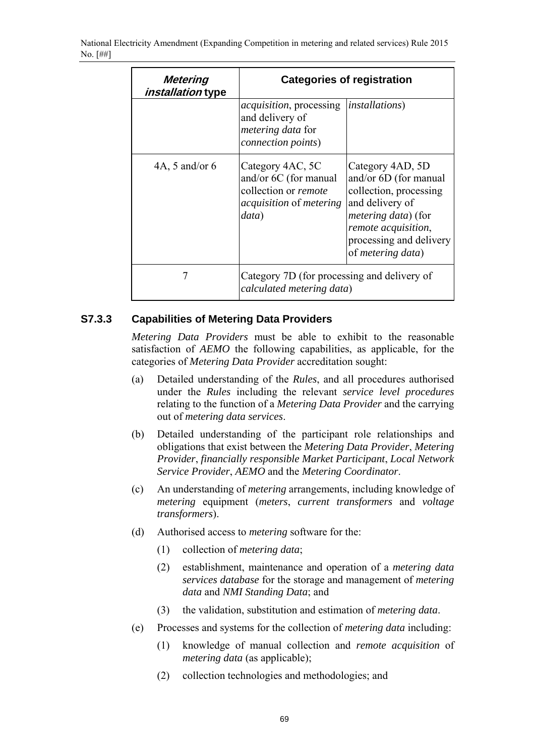National Electricity Amendment (Expanding Competition in metering and related services) Rule 2015 No. [##]

| Metering<br><i>installation</i> type | <b>Categories of registration</b>                                                                                   |                                                                                                                                                                                                      |  |
|--------------------------------------|---------------------------------------------------------------------------------------------------------------------|------------------------------------------------------------------------------------------------------------------------------------------------------------------------------------------------------|--|
|                                      | <i>acquisition</i> , processing<br>and delivery of<br>metering data for<br>connection points)                       | <i>installations</i> )                                                                                                                                                                               |  |
| 4A, 5 and/or $6$                     | Category 4AC, 5C<br>and/or 6C (for manual<br>collection or remote<br><i>acquisition</i> of <i>metering</i><br>data) | Category 4AD, 5D<br>and/or 6D (for manual<br>collection, processing<br>and delivery of<br><i>metering data</i> ) (for<br>remote acquisition,<br>processing and delivery<br>of <i>metering data</i> ) |  |
|                                      | Category 7D (for processing and delivery of<br>calculated metering data)                                            |                                                                                                                                                                                                      |  |

## **S7.3.3 Capabilities of Metering Data Providers**

*Metering Data Providers* must be able to exhibit to the reasonable satisfaction of *AEMO* the following capabilities, as applicable, for the categories of *Metering Data Provider* accreditation sought:

- (a) Detailed understanding of the *Rules*, and all procedures authorised under the *Rules* including the relevant *service level procedures* relating to the function of a *Metering Data Provider* and the carrying out of *metering data services*.
- (b) Detailed understanding of the participant role relationships and obligations that exist between the *Metering Data Provider*, *Metering Provider*, *financially responsible Market Participant*, *Local Network Service Provider*, *AEMO* and the *Metering Coordinator*.
- (c) An understanding of *metering* arrangements, including knowledge of *metering* equipment (*meters*, *current transformers* and *voltage transformers*).
- (d) Authorised access to *metering* software for the:
	- (1) collection of *metering data*;
	- (2) establishment, maintenance and operation of a *metering data services database* for the storage and management of *metering data* and *NMI Standing Data*; and
	- (3) the validation, substitution and estimation of *metering data*.
- (e) Processes and systems for the collection of *metering data* including:
	- (1) knowledge of manual collection and *remote acquisition* of *metering data* (as applicable);
	- (2) collection technologies and methodologies; and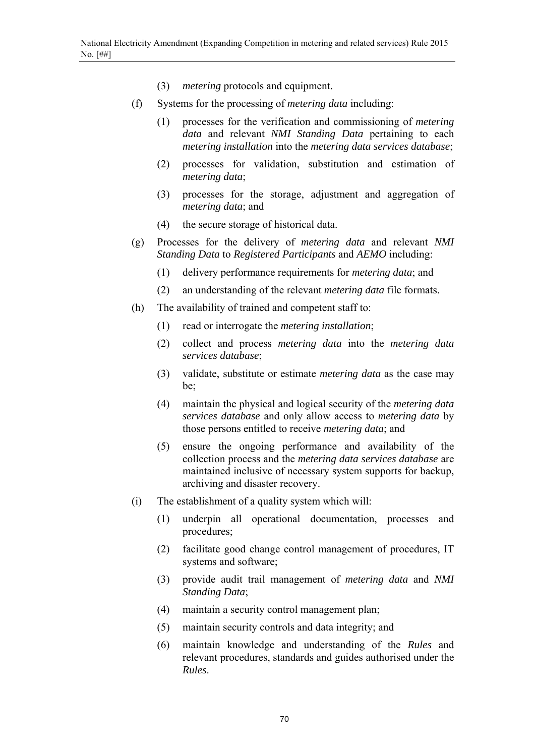- (3) *metering* protocols and equipment.
- (f) Systems for the processing of *metering data* including:
	- (1) processes for the verification and commissioning of *metering data* and relevant *NMI Standing Data* pertaining to each *metering installation* into the *metering data services database*;
	- (2) processes for validation, substitution and estimation of *metering data*;
	- (3) processes for the storage, adjustment and aggregation of *metering data*; and
	- (4) the secure storage of historical data.
- (g) Processes for the delivery of *metering data* and relevant *NMI Standing Data* to *Registered Participants* and *AEMO* including:
	- (1) delivery performance requirements for *metering data*; and
	- (2) an understanding of the relevant *metering data* file formats.
- (h) The availability of trained and competent staff to:
	- (1) read or interrogate the *metering installation*;
	- (2) collect and process *metering data* into the *metering data services database*;
	- (3) validate, substitute or estimate *metering data* as the case may be;
	- (4) maintain the physical and logical security of the *metering data services database* and only allow access to *metering data* by those persons entitled to receive *metering data*; and
	- (5) ensure the ongoing performance and availability of the collection process and the *metering data services database* are maintained inclusive of necessary system supports for backup, archiving and disaster recovery.
- (i) The establishment of a quality system which will:
	- (1) underpin all operational documentation, processes and procedures;
	- (2) facilitate good change control management of procedures, IT systems and software;
	- (3) provide audit trail management of *metering data* and *NMI Standing Data*;
	- (4) maintain a security control management plan;
	- (5) maintain security controls and data integrity; and
	- (6) maintain knowledge and understanding of the *Rules* and relevant procedures, standards and guides authorised under the *Rules*.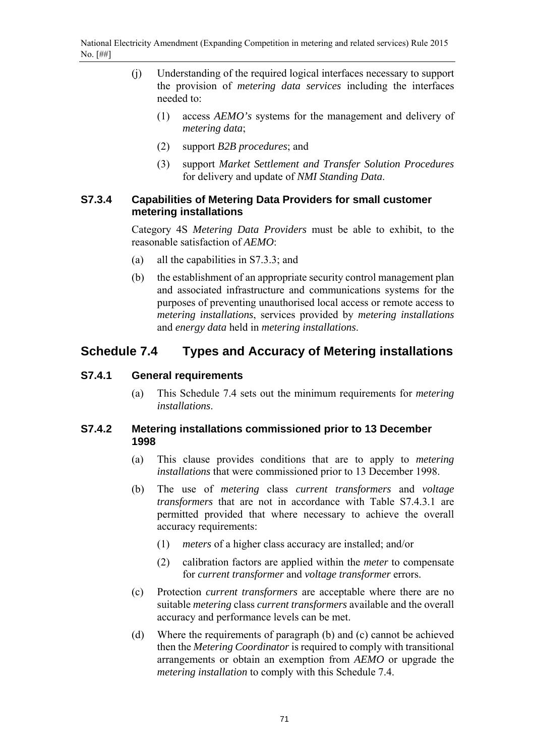- (j) Understanding of the required logical interfaces necessary to support the provision of *metering data services* including the interfaces needed to:
	- (1) access *AEMO's* systems for the management and delivery of *metering data*;
	- (2) support *B2B procedures*; and
	- (3) support *Market Settlement and Transfer Solution Procedures* for delivery and update of *NMI Standing Data*.

### **S7.3.4 Capabilities of Metering Data Providers for small customer metering installations**

Category 4S *Metering Data Providers* must be able to exhibit, to the reasonable satisfaction of *AEMO*:

- (a) all the capabilities in S7.3.3; and
- (b) the establishment of an appropriate security control management plan and associated infrastructure and communications systems for the purposes of preventing unauthorised local access or remote access to *metering installations*, services provided by *metering installations* and *energy data* held in *metering installations*.

# **Schedule 7.4 Types and Accuracy of Metering installations**

## **S7.4.1 General requirements**

(a) This Schedule 7.4 sets out the minimum requirements for *metering installations*.

### **S7.4.2 Metering installations commissioned prior to 13 December 1998**

- (a) This clause provides conditions that are to apply to *metering installations* that were commissioned prior to 13 December 1998.
- (b) The use of *metering* class *current transformers* and *voltage transformers* that are not in accordance with Table S7.4.3.1 are permitted provided that where necessary to achieve the overall accuracy requirements:
	- (1) *meters* of a higher class accuracy are installed; and/or
	- (2) calibration factors are applied within the *meter* to compensate for *current transformer* and *voltage transformer* errors.
- (c) Protection *current transformers* are acceptable where there are no suitable *metering* class *current transformers* available and the overall accuracy and performance levels can be met.
- (d) Where the requirements of paragraph (b) and (c) cannot be achieved then the *Metering Coordinator* is required to comply with transitional arrangements or obtain an exemption from *AEMO* or upgrade the *metering installation* to comply with this Schedule 7.4.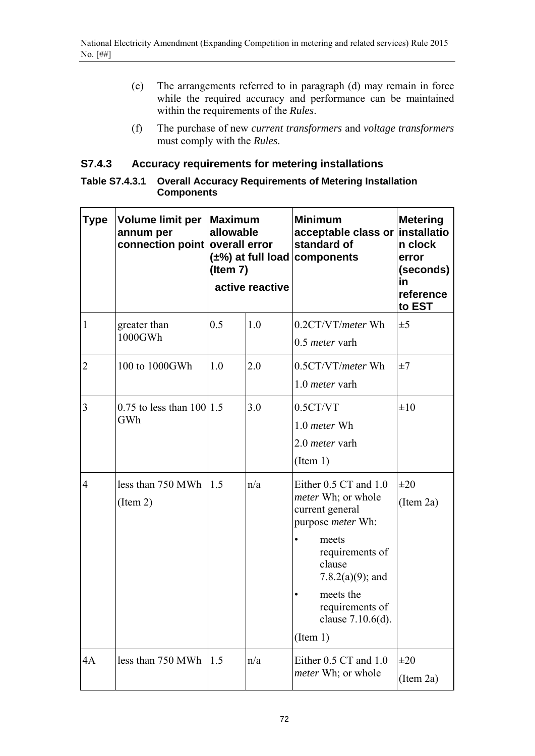- (e) The arrangements referred to in paragraph (d) may remain in force while the required accuracy and performance can be maintained within the requirements of the *Rules*.
- (f) The purchase of new *current transformers* and *voltage transformers* must comply with the *Rules*.

## **S7.4.3 Accuracy requirements for metering installations**

| Table S7.4.3.1 Overall Accuracy Requirements of Metering Installation |
|-----------------------------------------------------------------------|
| <b>Components</b>                                                     |

| <b>Type</b>    | Volume limit per<br>annum per<br>connection point overall error | Maximum<br>allowable<br>(Item $7$ ) | active reactive | <b>Minimum</b><br>acceptable class or installatio<br>standard of<br>$(\pm\%)$ at full load components                                                                                                                                          | <b>Metering</b><br>n clock<br>error<br>(seconds)<br>in<br>reference<br>to EST |
|----------------|-----------------------------------------------------------------|-------------------------------------|-----------------|------------------------------------------------------------------------------------------------------------------------------------------------------------------------------------------------------------------------------------------------|-------------------------------------------------------------------------------|
| $\mathbf{1}$   | greater than<br>1000GWh                                         | 0.5                                 | 1.0             | 0.2CT/VT/meter Wh<br>0.5 <i>meter</i> varh                                                                                                                                                                                                     | $\pm 5$                                                                       |
| $\overline{2}$ | 100 to 1000GWh                                                  | 1.0                                 | 2.0             | 0.5CT/VT/meter Wh<br>1.0 <i>meter</i> varh                                                                                                                                                                                                     | $\pm 7$                                                                       |
| 3              | 0.75 to less than $100 1.5$<br>GWh                              |                                     | 3.0             | 0.5CT/VT<br>1.0 meter Wh<br>2.0 <i>meter</i> varh<br>(Item 1)                                                                                                                                                                                  | $\pm 10$                                                                      |
| $\overline{4}$ | less than 750 MWh<br>(Item 2)                                   | 1.5                                 | n/a             | Either 0.5 CT and 1.0<br><i>meter</i> Wh; or whole<br>current general<br>purpose <i>meter</i> Wh:<br>meets<br>$\bullet$<br>requirements of<br>clause<br>7.8.2(a)(9); and<br>meets the<br>٠<br>requirements of<br>clause 7.10.6(d).<br>(Item 1) | $\pm 20$<br>(Item 2a)                                                         |
| 4A             | less than 750 MWh                                               | 1.5                                 | n/a             | Either 0.5 CT and 1.0<br><i>meter</i> Wh; or whole                                                                                                                                                                                             | $\pm 20$<br>(Item 2a)                                                         |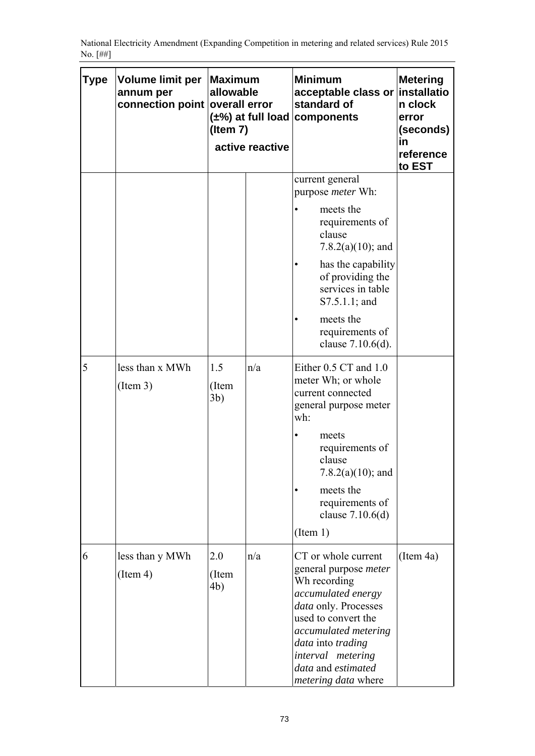| Type | Volume limit per<br>annum per<br>connection point | <b>Maximum</b><br>allowable<br>overall error<br>$(\pm\%)$ at full load components<br>(Item $7$ )<br>active reactive |     | <b>Minimum</b><br>acceptable class or<br>standard of                                                                                                                                                                                                           | <b>Metering</b><br>installatio<br>n clock<br>error<br>(seconds)<br>in<br>reference<br>to EST |
|------|---------------------------------------------------|---------------------------------------------------------------------------------------------------------------------|-----|----------------------------------------------------------------------------------------------------------------------------------------------------------------------------------------------------------------------------------------------------------------|----------------------------------------------------------------------------------------------|
|      |                                                   |                                                                                                                     |     | current general<br>purpose <i>meter</i> Wh:<br>meets the<br>requirements of<br>clause<br>7.8.2(a)(10); and<br>has the capability<br>of providing the<br>services in table<br>$S7.5.1.1$ ; and<br>meets the<br>requirements of<br>clause 7.10.6(d).             |                                                                                              |
| 5    | less than x MWh<br>(Item 3)                       | 1.5<br>(Item<br>3 <sub>b</sub>                                                                                      | n/a | Either 0.5 CT and 1.0<br>meter Wh; or whole<br>current connected<br>general purpose meter<br>wh:<br>meets<br>requirements of<br>clause<br>7.8.2(a)(10); and<br>meets the<br>requirements of<br>clause $7.10.6(d)$<br>(Item 1)                                  |                                                                                              |
| 6    | less than y MWh<br>(Item 4)                       | 2.0<br>(Item<br>4b)                                                                                                 | n/a | CT or whole current<br>general purpose <i>meter</i><br>Wh recording<br>accumulated energy<br>data only. Processes<br>used to convert the<br>accumulated metering<br>data into trading<br>interval metering<br>data and estimated<br><i>metering data</i> where | (Item 4a)                                                                                    |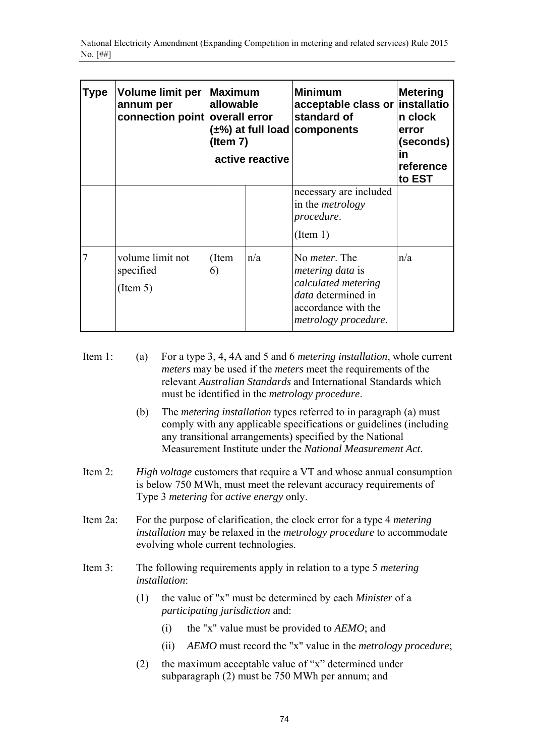| Type | <b>Volume limit per</b><br>annum per<br>connection point overall error | <b>Maximum</b><br>allowable<br>$(\pm\%)$ at full load components<br>$($ ltem 7 $)$<br>active reactive |     | <b>Minimum</b><br>acceptable class or installatio<br>standard of                                                                                    | Metering<br>n clock<br>error<br>(seconds)<br>in<br>reference<br>to EST |
|------|------------------------------------------------------------------------|-------------------------------------------------------------------------------------------------------|-----|-----------------------------------------------------------------------------------------------------------------------------------------------------|------------------------------------------------------------------------|
|      |                                                                        |                                                                                                       |     | necessary are included<br>in the <i>metrology</i><br>procedure.<br>(Item 1)                                                                         |                                                                        |
| 7    | volume limit not<br>specified<br>(Item 5)                              | (Item<br>6)                                                                                           | n/a | No <i>meter</i> . The<br><i>metering data</i> is<br>calculated metering<br>data determined in<br>accordance with the<br><i>metrology procedure.</i> | n/a                                                                    |

- Item 1: (a) For a type 3, 4, 4A and 5 and 6 *metering installation*, whole current *meters* may be used if the *meters* meet the requirements of the relevant *Australian Standards* and International Standards which must be identified in the *metrology procedure*.
	- (b) The *metering installation* types referred to in paragraph (a) must comply with any applicable specifications or guidelines (including any transitional arrangements) specified by the National Measurement Institute under the *National Measurement Act*.
- Item 2: *High voltage* customers that require a VT and whose annual consumption is below 750 MWh, must meet the relevant accuracy requirements of Type 3 *metering* for *active energy* only.
- Item 2a: For the purpose of clarification, the clock error for a type 4 *metering installation* may be relaxed in the *metrology procedure* to accommodate evolving whole current technologies.
- Item 3: The following requirements apply in relation to a type 5 *metering installation*:
	- (1) the value of "x" must be determined by each *Minister* of a *participating jurisdiction* and:
		- (i) the "x" value must be provided to *AEMO*; and
		- (ii) *AEMO* must record the "x" value in the *metrology procedure*;
	- (2) the maximum acceptable value of "x" determined under subparagraph (2) must be 750 MWh per annum; and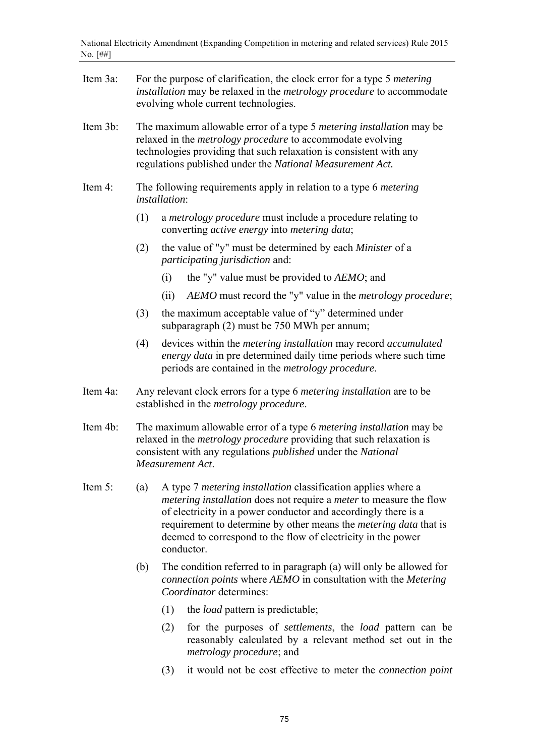| Item 3a: |     | For the purpose of clarification, the clock error for a type 5 <i>metering</i><br>installation may be relaxed in the metrology procedure to accommodate<br>evolving whole current technologies.                                                                                                                                                                                      |  |  |  |  |  |
|----------|-----|--------------------------------------------------------------------------------------------------------------------------------------------------------------------------------------------------------------------------------------------------------------------------------------------------------------------------------------------------------------------------------------|--|--|--|--|--|
| Item 3b: |     | The maximum allowable error of a type 5 <i>metering installation</i> may be<br>relaxed in the <i>metrology procedure</i> to accommodate evolving<br>technologies providing that such relaxation is consistent with any<br>regulations published under the National Measurement Act.                                                                                                  |  |  |  |  |  |
| Item 4:  |     | The following requirements apply in relation to a type 6 <i>metering</i><br><i>installation</i> :                                                                                                                                                                                                                                                                                    |  |  |  |  |  |
|          | (1) | a <i>metrology procedure</i> must include a procedure relating to<br>converting <i>active energy</i> into <i>metering data</i> ;                                                                                                                                                                                                                                                     |  |  |  |  |  |
|          | (2) | the value of "y" must be determined by each Minister of a<br><i>participating jurisdiction and:</i>                                                                                                                                                                                                                                                                                  |  |  |  |  |  |
|          |     | the "y" value must be provided to AEMO; and<br>(i)                                                                                                                                                                                                                                                                                                                                   |  |  |  |  |  |
|          |     | AEMO must record the "y" value in the metrology procedure;<br>(ii)                                                                                                                                                                                                                                                                                                                   |  |  |  |  |  |
|          | (3) | the maximum acceptable value of "y" determined under<br>subparagraph (2) must be 750 MWh per annum;                                                                                                                                                                                                                                                                                  |  |  |  |  |  |
|          | (4) | devices within the <i>metering</i> installation may record <i>accumulated</i><br>energy data in pre determined daily time periods where such time<br>periods are contained in the <i>metrology procedure</i> .                                                                                                                                                                       |  |  |  |  |  |
| Item 4a: |     | Any relevant clock errors for a type 6 <i>metering installation</i> are to be<br>established in the <i>metrology procedure</i> .                                                                                                                                                                                                                                                     |  |  |  |  |  |
| Item 4b: |     | The maximum allowable error of a type 6 metering installation may be<br>relaxed in the <i>metrology procedure</i> providing that such relaxation is<br>consistent with any regulations <i>published</i> under the <i>National</i><br>Measurement Act.                                                                                                                                |  |  |  |  |  |
| Item 5:  | (a) | A type 7 <i>metering installation</i> classification applies where a<br><i>metering installation</i> does not require a <i>meter</i> to measure the flow<br>of electricity in a power conductor and accordingly there is a<br>requirement to determine by other means the <i>metering data</i> that is<br>deemed to correspond to the flow of electricity in the power<br>conductor. |  |  |  |  |  |
|          | (b) | The condition referred to in paragraph (a) will only be allowed for<br>connection points where AEMO in consultation with the Metering<br>Coordinator determines:                                                                                                                                                                                                                     |  |  |  |  |  |
|          |     | (1)<br>the <i>load</i> pattern is predictable;                                                                                                                                                                                                                                                                                                                                       |  |  |  |  |  |
|          |     | (2)<br>for the purposes of <i>settlements</i> , the <i>load</i> pattern can be<br>reasonably calculated by a relevant method set out in the<br><i>metrology procedure; and</i>                                                                                                                                                                                                       |  |  |  |  |  |

(3) it would not be cost effective to meter the *connection point*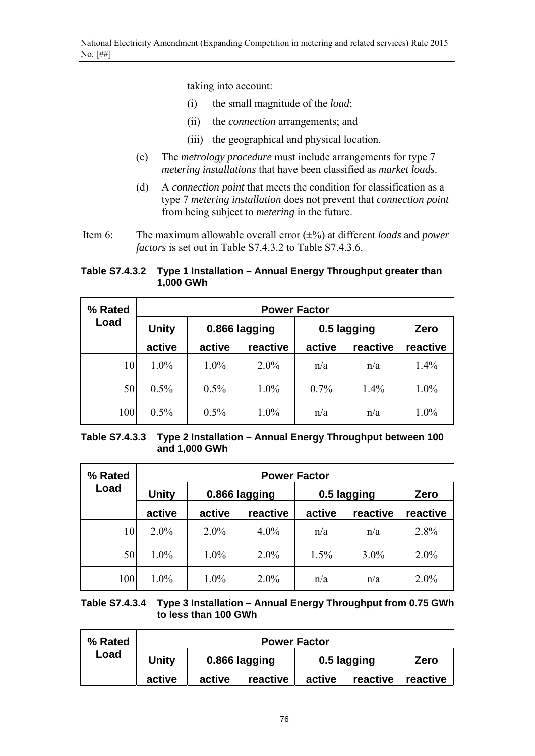taking into account:

- (i) the small magnitude of the *load*;
- (ii) the *connection* arrangements; and
- (iii) the geographical and physical location.
- (c) The *metrology procedure* must include arrangements for type 7 *metering installations* that have been classified as *market loads*.
- (d) A *connection point* that meets the condition for classification as a type 7 *metering installation* does not prevent that *connection point* from being subject to *metering* in the future.
- Item 6: The maximum allowable overall error (±%) at different *loads* and *power factors* is set out in Table S7.4.3.2 to Table S7.4.3.6.

### **Table S7.4.3.2 Type 1 Installation – Annual Energy Throughput greater than 1,000 GWh**

| % Rated | <b>Power Factor</b> |               |          |             |          |          |  |
|---------|---------------------|---------------|----------|-------------|----------|----------|--|
| Load    | <b>Unity</b>        | 0.866 lagging |          | 0.5 lagging |          | Zero     |  |
|         | active              | active        | reactive | active      | reactive | reactive |  |
| 10      | 1.0%                | 1.0%          | $2.0\%$  | n/a         | n/a      | 1.4%     |  |
| 50      | 0.5%                | 0.5%          | 1.0%     | $0.7\%$     | 1.4%     | 1.0%     |  |
| 100     | 0.5%                | $0.5\%$       | 1.0%     | n/a         | n/a      | 1.0%     |  |

**Table S7.4.3.3 Type 2 Installation – Annual Energy Throughput between 100 and 1,000 GWh** 

| % Rated | <b>Power Factor</b> |               |          |             |          |          |  |
|---------|---------------------|---------------|----------|-------------|----------|----------|--|
| Load    | <b>Unity</b>        | 0.866 lagging |          | 0.5 lagging |          | Zero     |  |
|         | active              | active        | reactive | active      | reactive | reactive |  |
| 10      | $2.0\%$             | $2.0\%$       | $4.0\%$  | n/a         | n/a      | 2.8%     |  |
| 50      | 1.0%                | 1.0%          | $2.0\%$  | 1.5%        | $3.0\%$  | $2.0\%$  |  |
| 100     | 1.0%                | 1.0%          | $2.0\%$  | n/a         | n/a      | 2.0%     |  |

**Table S7.4.3.4 Type 3 Installation – Annual Energy Throughput from 0.75 GWh to less than 100 GWh** 

| % Rated | <b>Power Factor</b> |               |          |             |          |          |
|---------|---------------------|---------------|----------|-------------|----------|----------|
| Load    | Unitv               | 0.866 lagging |          | 0.5 lagging |          | Zero     |
|         | active              | active        | reactive | active      | reactive | reactive |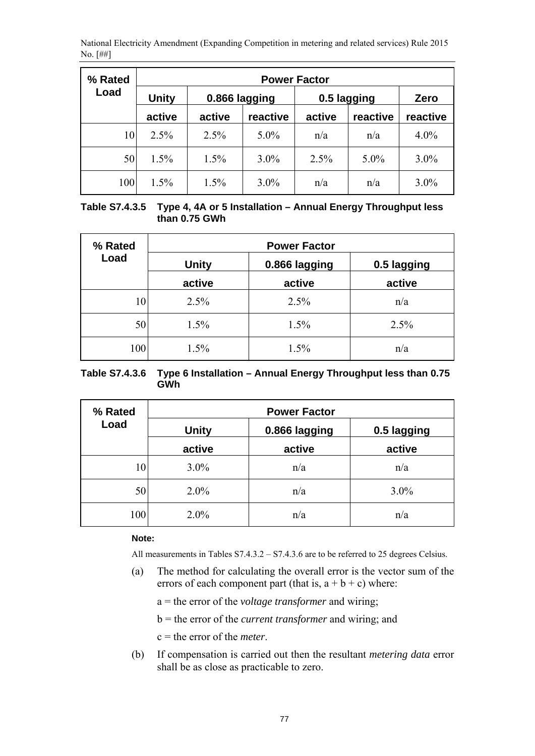| % Rated | <b>Power Factor</b> |               |          |             |          |          |  |
|---------|---------------------|---------------|----------|-------------|----------|----------|--|
| Load    | <b>Unity</b>        | 0.866 lagging |          | 0.5 lagging |          | Zero     |  |
|         | active              | active        | reactive | active      | reactive | reactive |  |
| 10      | 2.5%                | 2.5%          | $5.0\%$  | n/a         | n/a      | $4.0\%$  |  |
| 50      | $1.5\%$             | 1.5%          | $3.0\%$  | 2.5%        | $5.0\%$  | $3.0\%$  |  |
| 100     | 1.5%                | 1.5%          | $3.0\%$  | n/a         | n/a      | $3.0\%$  |  |

| Table S7.4.3.5 Type 4, 4A or 5 Installation – Annual Energy Throughput less |
|-----------------------------------------------------------------------------|
| than 0.75 GWh                                                               |

| % Rated | <b>Power Factor</b> |               |             |  |  |
|---------|---------------------|---------------|-------------|--|--|
| Load    | <b>Unity</b>        | 0.866 lagging | 0.5 lagging |  |  |
|         | active              | active        | active      |  |  |
| 10      | 2.5%                | 2.5%          | n/a         |  |  |
| 50      | 1.5%                | 1.5%          | 2.5%        |  |  |
| 100     | 1.5%                | 1.5%          | n/a         |  |  |

| Table S7.4.3.6 Type 6 Installation – Annual Energy Throughput less than 0.75 |
|------------------------------------------------------------------------------|
| GWh                                                                          |

| % Rated | <b>Power Factor</b> |               |             |  |  |
|---------|---------------------|---------------|-------------|--|--|
| Load    | <b>Unity</b>        | 0.866 lagging | 0.5 lagging |  |  |
|         | active              | active        | active      |  |  |
| 10      | $3.0\%$             | n/a           | n/a         |  |  |
| 50      | $2.0\%$             | n/a           | $3.0\%$     |  |  |
| 100     | $2.0\%$             | n/a           | n/a         |  |  |

#### **Note:**

All measurements in Tables S7.4.3.2 – S7.4.3.6 are to be referred to 25 degrees Celsius.

(a) The method for calculating the overall error is the vector sum of the errors of each component part (that is,  $a + b + c$ ) where:

a = the error of the *voltage transformer* and wiring;

b = the error of the *current transformer* and wiring; and

c = the error of the *meter*.

(b) If compensation is carried out then the resultant *metering data* error shall be as close as practicable to zero.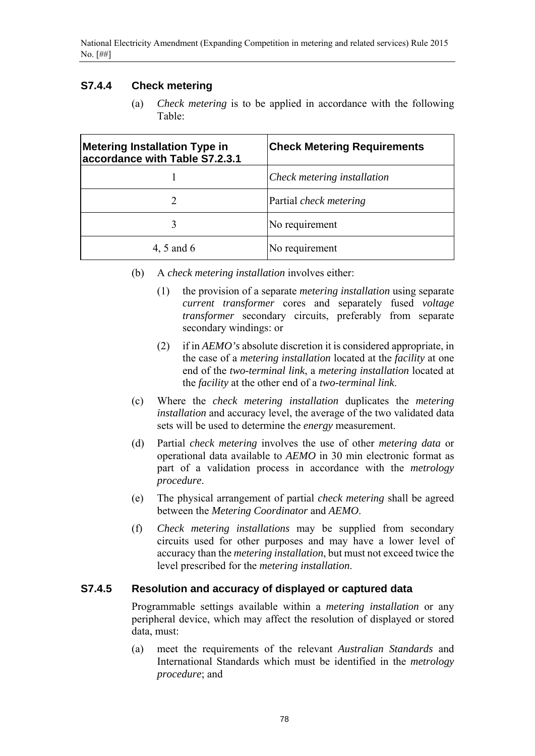## **S7.4.4 Check metering**

(a) *Check metering* is to be applied in accordance with the following Table:

| <b>Metering Installation Type in</b><br>accordance with Table S7.2.3.1 | <b>Check Metering Requirements</b> |
|------------------------------------------------------------------------|------------------------------------|
|                                                                        | Check metering installation        |
|                                                                        | Partial <i>check metering</i>      |
| 3                                                                      | No requirement                     |
| 4, 5 and 6                                                             | No requirement                     |

- (b) A *check metering installation* involves either:
	- (1) the provision of a separate *metering installation* using separate *current transformer* cores and separately fused *voltage transformer* secondary circuits, preferably from separate secondary windings: or
	- (2) if in *AEMO's* absolute discretion it is considered appropriate, in the case of a *metering installation* located at the *facility* at one end of the *two-terminal link*, a *metering installation* located at the *facility* at the other end of a *two-terminal link*.
- (c) Where the *check metering installation* duplicates the *metering installation* and accuracy level, the average of the two validated data sets will be used to determine the *energy* measurement.
- (d) Partial *check metering* involves the use of other *metering data* or operational data available to *AEMO* in 30 min electronic format as part of a validation process in accordance with the *metrology procedure*.
- (e) The physical arrangement of partial *check metering* shall be agreed between the *Metering Coordinator* and *AEMO*.
- (f) *Check metering installations* may be supplied from secondary circuits used for other purposes and may have a lower level of accuracy than the *metering installation*, but must not exceed twice the level prescribed for the *metering installation*.

### **S7.4.5 Resolution and accuracy of displayed or captured data**

Programmable settings available within a *metering installation* or any peripheral device, which may affect the resolution of displayed or stored data, must:

(a) meet the requirements of the relevant *Australian Standards* and International Standards which must be identified in the *metrology procedure*; and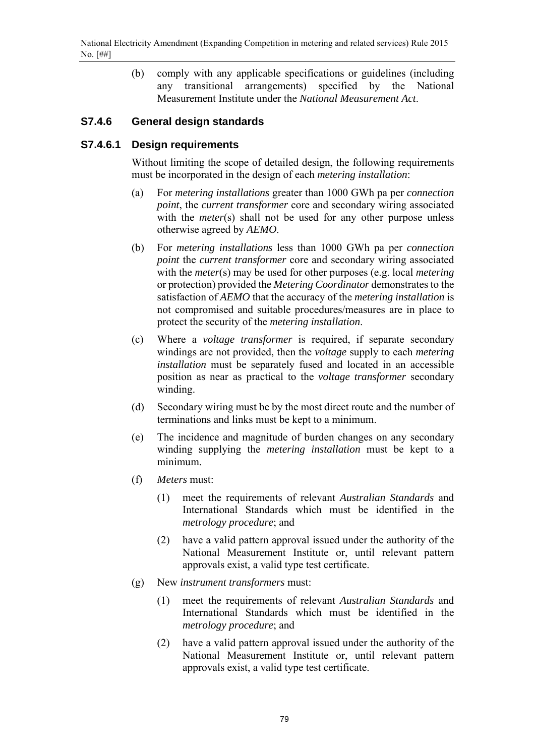(b) comply with any applicable specifications or guidelines (including any transitional arrangements) specified by the National Measurement Institute under the *National Measurement Act*.

### **S7.4.6 General design standards**

### **S7.4.6.1 Design requirements**

Without limiting the scope of detailed design, the following requirements must be incorporated in the design of each *metering installation*:

- (a) For *metering installations* greater than 1000 GWh pa per *connection point*, the *current transformer* core and secondary wiring associated with the *meter*(s) shall not be used for any other purpose unless otherwise agreed by *AEMO*.
- (b) For *metering installations* less than 1000 GWh pa per *connection point* the *current transformer* core and secondary wiring associated with the *meter*(s) may be used for other purposes (e.g. local *metering* or protection) provided the *Metering Coordinator* demonstrates to the satisfaction of *AEMO* that the accuracy of the *metering installation* is not compromised and suitable procedures/measures are in place to protect the security of the *metering installation*.
- (c) Where a *voltage transformer* is required, if separate secondary windings are not provided, then the *voltage* supply to each *metering installation* must be separately fused and located in an accessible position as near as practical to the *voltage transformer* secondary winding.
- (d) Secondary wiring must be by the most direct route and the number of terminations and links must be kept to a minimum.
- (e) The incidence and magnitude of burden changes on any secondary winding supplying the *metering installation* must be kept to a minimum.
- (f) *Meters* must:
	- (1) meet the requirements of relevant *Australian Standards* and International Standards which must be identified in the *metrology procedure*; and
	- (2) have a valid pattern approval issued under the authority of the National Measurement Institute or, until relevant pattern approvals exist, a valid type test certificate.
- (g) New *instrument transformers* must:
	- (1) meet the requirements of relevant *Australian Standards* and International Standards which must be identified in the *metrology procedure*; and
	- (2) have a valid pattern approval issued under the authority of the National Measurement Institute or, until relevant pattern approvals exist, a valid type test certificate.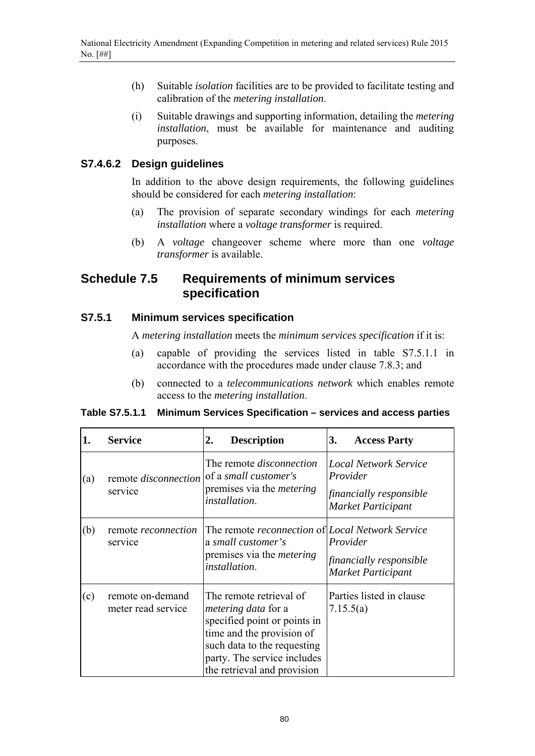- (h) Suitable *isolation* facilities are to be provided to facilitate testing and calibration of the *metering installation*.
- (i) Suitable drawings and supporting information, detailing the *metering installation*, must be available for maintenance and auditing purposes.

### **S7.4.6.2 Design guidelines**

In addition to the above design requirements, the following guidelines should be considered for each *metering installation*:

- (a) The provision of separate secondary windings for each *metering installation* where a *voltage transformer* is required.
- (b) A *voltage* changeover scheme where more than one *voltage transformer* is available.

## **Schedule 7.5 Requirements of minimum services specification**

### **S7.5.1 Minimum services specification**

A *metering installation* meets the *minimum services specification* if it is:

- (a) capable of providing the services listed in table S7.5.1.1 in accordance with the procedures made under clause 7.8.3; and
- (b) connected to a *telecommunications network* which enables remote access to the *metering installation*.

#### **Table S7.5.1.1 Minimum Services Specification – services and access parties**

| 1.  | <b>Service</b>                         | <b>Description</b><br>2.                                                                                                                                                                                        | <b>Access Party</b><br>3.                                                                        |
|-----|----------------------------------------|-----------------------------------------------------------------------------------------------------------------------------------------------------------------------------------------------------------------|--------------------------------------------------------------------------------------------------|
| (a) | remote disconnection<br>service        | The remote <i>disconnection</i><br>of a small customer's<br>premises via the <i>metering</i><br><i>installation.</i>                                                                                            | <b>Local Network Service</b><br>Provider<br>financially responsible<br><b>Market Participant</b> |
| (b) | remote <i>reconnection</i><br>service  | The remote <i>reconnection</i> of <i>Local Network Service</i><br>a small customer's<br>premises via the <i>metering</i><br><i>installation.</i>                                                                | Provider<br>financially responsible<br>Market Participant                                        |
| (c) | remote on-demand<br>meter read service | The remote retrieval of<br><i>metering data</i> for a<br>specified point or points in<br>time and the provision of<br>such data to the requesting<br>party. The service includes<br>the retrieval and provision | Parties listed in clause<br>7.15.5(a)                                                            |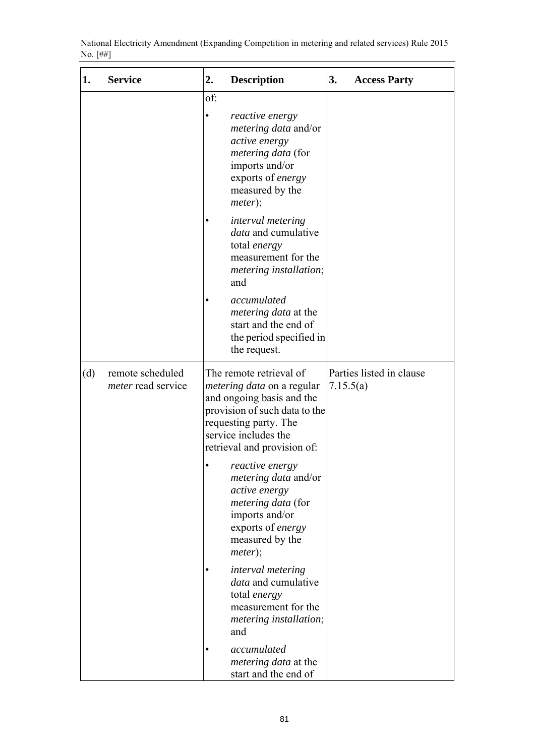| 1.  | <b>Service</b>                                | 2.  | <b>Description</b>                                                                                                                                                                                         | 3.        | <b>Access Party</b>      |
|-----|-----------------------------------------------|-----|------------------------------------------------------------------------------------------------------------------------------------------------------------------------------------------------------------|-----------|--------------------------|
|     |                                               | of: | reactive energy<br><i>metering data</i> and/or<br>active energy<br>metering data (for<br>imports and/or<br>exports of energy<br>measured by the<br>meter);                                                 |           |                          |
|     |                                               |     | interval metering<br>data and cumulative<br>total energy<br>measurement for the<br>metering installation;<br>and                                                                                           |           |                          |
|     |                                               |     | accumulated<br><i>metering data</i> at the<br>start and the end of<br>the period specified in<br>the request.                                                                                              |           |                          |
| (d) | remote scheduled<br><i>meter</i> read service |     | The remote retrieval of<br><i>metering data</i> on a regular<br>and ongoing basis and the<br>provision of such data to the<br>requesting party. The<br>service includes the<br>retrieval and provision of: | 7.15.5(a) | Parties listed in clause |
|     |                                               |     | reactive energy<br><i>metering data</i> and/or<br>active energy<br><i>metering data</i> (for<br>imports and/or<br>exports of energy<br>measured by the<br>meter);                                          |           |                          |
|     |                                               |     | interval metering<br><i>data</i> and cumulative<br>total energy<br>measurement for the<br>metering installation;<br>and                                                                                    |           |                          |
|     |                                               |     | accumulated<br>metering data at the<br>start and the end of                                                                                                                                                |           |                          |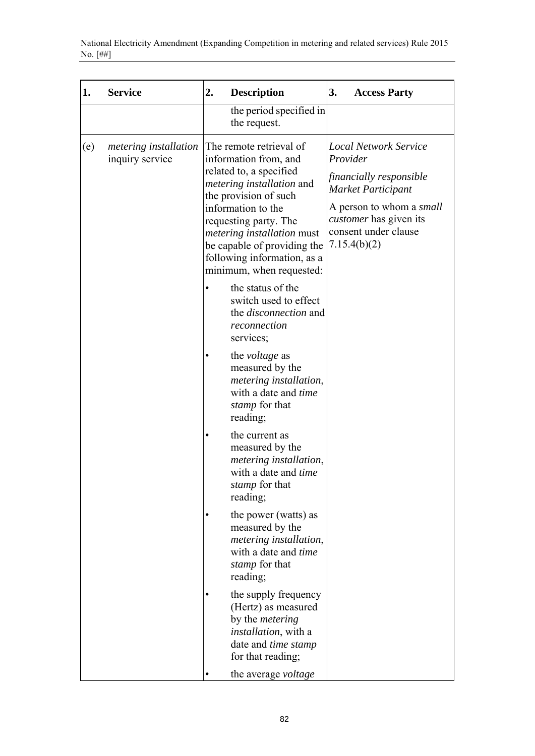| 1.  | <b>Service</b>                                  | 2.<br><b>Description</b>                                                                                                                                                                                                                                                                                        | 3.<br><b>Access Party</b>                                                                                                                                                                      |
|-----|-------------------------------------------------|-----------------------------------------------------------------------------------------------------------------------------------------------------------------------------------------------------------------------------------------------------------------------------------------------------------------|------------------------------------------------------------------------------------------------------------------------------------------------------------------------------------------------|
|     |                                                 | the period specified in<br>the request.                                                                                                                                                                                                                                                                         |                                                                                                                                                                                                |
| (e) | <i>metering installation</i><br>inquiry service | The remote retrieval of<br>information from, and<br>related to, a specified<br><i>metering installation</i> and<br>the provision of such<br>information to the<br>requesting party. The<br>metering installation must<br>be capable of providing the<br>following information, as a<br>minimum, when requested: | <b>Local Network Service</b><br>Provider<br>financially responsible<br>Market Participant<br>A person to whom a <i>small</i><br>customer has given its<br>consent under clause<br>7.15.4(b)(2) |
|     |                                                 | the status of the<br>switch used to effect<br>the <i>disconnection</i> and<br>reconnection<br>services;                                                                                                                                                                                                         |                                                                                                                                                                                                |
|     |                                                 | the <i>voltage</i> as<br>measured by the<br>metering installation,<br>with a date and time<br>stamp for that<br>reading;                                                                                                                                                                                        |                                                                                                                                                                                                |
|     |                                                 | the current as<br>measured by the<br>metering installation,<br>with a date and <i>time</i><br>stamp for that<br>reading;                                                                                                                                                                                        |                                                                                                                                                                                                |
|     |                                                 | the power (watts) as<br>measured by the<br>metering installation,<br>with a date and time<br>stamp for that<br>reading;                                                                                                                                                                                         |                                                                                                                                                                                                |
|     |                                                 | the supply frequency<br>(Hertz) as measured<br>by the <i>metering</i><br><i>installation</i> , with a<br>date and time stamp<br>for that reading;<br>the average voltage                                                                                                                                        |                                                                                                                                                                                                |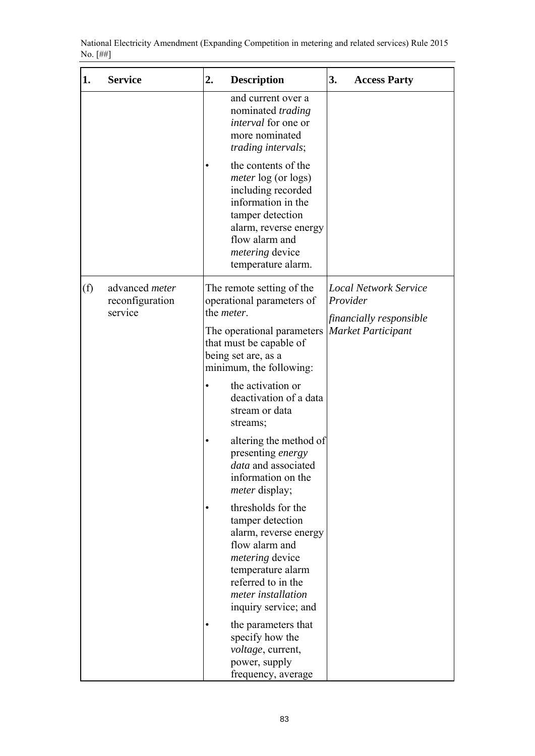|          | National Electricity Amendment (Expanding Competition in metering and related services) Rule 2015 |  |  |
|----------|---------------------------------------------------------------------------------------------------|--|--|
| No. [##] |                                                                                                   |  |  |

| 1.  | <b>Service</b>                               | 2.                 | <b>Description</b>                                                                                                                                                                                           | 3.       | <b>Access Party</b>                                  |
|-----|----------------------------------------------|--------------------|--------------------------------------------------------------------------------------------------------------------------------------------------------------------------------------------------------------|----------|------------------------------------------------------|
|     |                                              |                    | and current over a<br>nominated <i>trading</i><br><i>interval</i> for one or<br>more nominated<br>trading intervals;                                                                                         |          |                                                      |
|     |                                              | $\bullet$          | the contents of the<br><i>meter</i> log (or logs)<br>including recorded<br>information in the<br>tamper detection<br>alarm, reverse energy<br>flow alarm and<br><i>metering</i> device<br>temperature alarm. |          |                                                      |
| (f) | advanced meter<br>reconfiguration<br>service | the <i>meter</i> . | The remote setting of the<br>operational parameters of                                                                                                                                                       | Provider | <b>Local Network Service</b>                         |
|     |                                              |                    | The operational parameters<br>that must be capable of<br>being set are, as a<br>minimum, the following:                                                                                                      |          | financially responsible<br><b>Market Participant</b> |
|     |                                              | ٠                  | the activation or<br>deactivation of a data<br>stream or data<br>streams;                                                                                                                                    |          |                                                      |
|     |                                              | $\bullet$          | altering the method of<br>presenting energy<br>data and associated<br>information on the<br><i>meter</i> display;                                                                                            |          |                                                      |
|     |                                              | ٠                  | thresholds for the<br>tamper detection<br>alarm, reverse energy<br>flow alarm and<br><i>metering</i> device<br>temperature alarm<br>referred to in the<br>meter installation<br>inquiry service; and         |          |                                                      |
|     |                                              |                    | the parameters that<br>specify how the<br>voltage, current,<br>power, supply<br>frequency, average                                                                                                           |          |                                                      |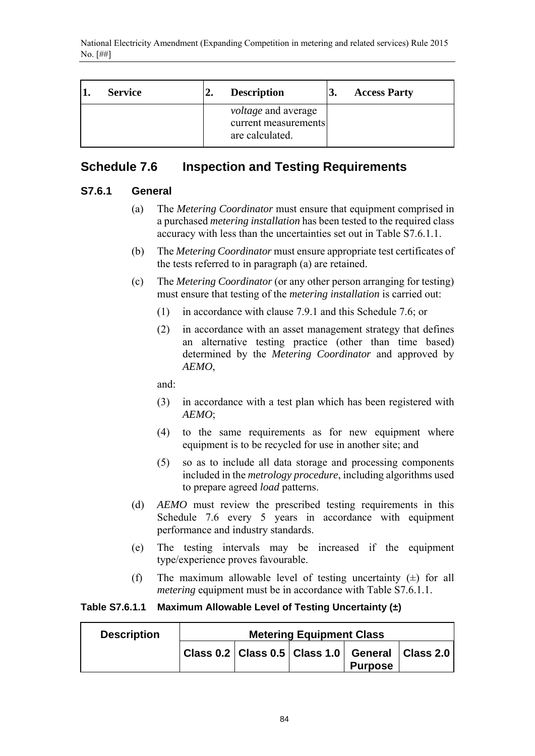| <b>Service</b> | <b>Description</b>                                                    | J. | <b>Access Party</b> |
|----------------|-----------------------------------------------------------------------|----|---------------------|
|                | <i>voltage</i> and average<br>current measurements<br>are calculated. |    |                     |

# **Schedule 7.6 Inspection and Testing Requirements**

### **S7.6.1 General**

- (a) The *Metering Coordinator* must ensure that equipment comprised in a purchased *metering installation* has been tested to the required class accuracy with less than the uncertainties set out in Table S7.6.1.1.
- (b) The *Metering Coordinator* must ensure appropriate test certificates of the tests referred to in paragraph (a) are retained.
- (c) The *Metering Coordinator* (or any other person arranging for testing) must ensure that testing of the *metering installation* is carried out:
	- (1) in accordance with clause 7.9.1 and this Schedule 7.6; or
	- (2) in accordance with an asset management strategy that defines an alternative testing practice (other than time based) determined by the *Metering Coordinator* and approved by *AEMO*,

and:

- (3) in accordance with a test plan which has been registered with *AEMO*;
- (4) to the same requirements as for new equipment where equipment is to be recycled for use in another site; and
- (5) so as to include all data storage and processing components included in the *metrology procedure*, including algorithms used to prepare agreed *load* patterns.
- (d) *AEMO* must review the prescribed testing requirements in this Schedule 7.6 every 5 years in accordance with equipment performance and industry standards.
- (e) The testing intervals may be increased if the equipment type/experience proves favourable.
- (f) The maximum allowable level of testing uncertainty  $(\pm)$  for all *metering* equipment must be in accordance with Table S7.6.1.1.

### **Table S7.6.1.1 Maximum Allowable Level of Testing Uncertainty (±)**

| <b>Metering Equipment Class</b> |  |  |  |                                                                             |
|---------------------------------|--|--|--|-----------------------------------------------------------------------------|
|                                 |  |  |  |                                                                             |
|                                 |  |  |  | Class 0.2   Class 0.5   Class 1.0   General   Class 2.0  <br><b>Purpose</b> |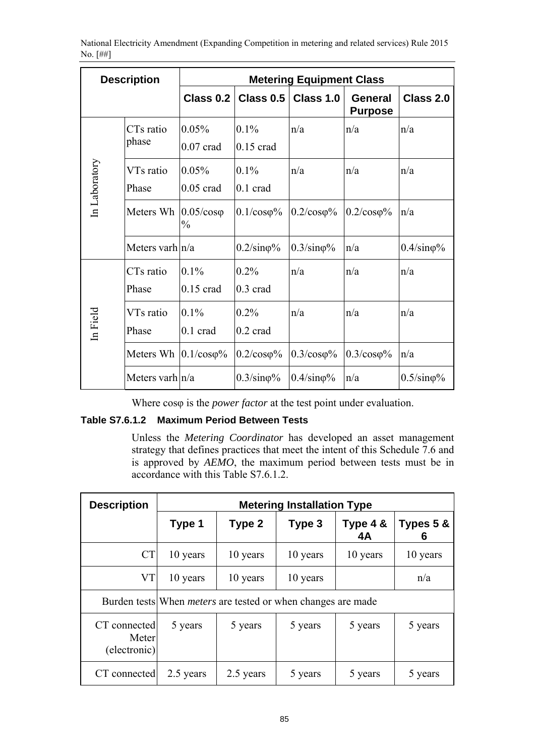| <b>Description</b> |                                | <b>Metering Equipment Class</b>    |                            |                           |                           |                           |  |
|--------------------|--------------------------------|------------------------------------|----------------------------|---------------------------|---------------------------|---------------------------|--|
|                    |                                | Class 0.2                          | Class 0.5                  | Class 1.0                 | General<br><b>Purpose</b> | Class 2.0                 |  |
|                    | CTs ratio<br>phase             | 0.05%<br>$0.07$ crad               | $0.1\%$<br>$0.15$ crad     | n/a                       | n/a                       | n/a                       |  |
| In Laboratory      | VTs ratio<br>Phase             | 0.05%<br>$0.05$ crad               | $0.1\%$<br>$0.1$ crad      | n/a                       | n/a                       | n/a                       |  |
|                    | Meters Wh                      | $0.05/cos\varphi$<br>$\frac{0}{0}$ | $0.1/\cos\varphi\%$        | $0.2/\cos\varphi\%$       | $0.2/\cos\varphi\%$       | n/a                       |  |
|                    | Meters varh $n/a$              |                                    | $0.2/\text{sin}\varphi\%$  | $0.3/\text{sin}\varphi\%$ | n/a                       | $0.4/\text{sin}\varphi\%$ |  |
|                    | CTs ratio<br>Phase             | $0.1\%$<br>$0.15$ crad             | 0.2%<br>$0.3 \text{ grad}$ | n/a                       | n/a                       | n/a                       |  |
| In Field           | VTs ratio<br>Phase             | $0.1\%$<br>$0.1$ crad              | 0.2%<br>$0.2 \text{ grad}$ | n/a                       | n/a                       | n/a                       |  |
|                    | Meters Wh $ 0.1/\cos\varphi\%$ |                                    | $0.2/\cos\varphi\%$        | $0.3/\cos\varphi\%$       | $0.3/\cos\varphi\%$       | n/a                       |  |
|                    | Meters varh $ n/a $            |                                    | $0.3/\text{sin}\varphi\%$  | $0.4/\text{sin}\varphi\%$ | n/a                       | $0.5/\text{sin}\varphi\%$ |  |

Where cosφ is the *power factor* at the test point under evaluation.

### **Table S7.6.1.2 Maximum Period Between Tests**

Unless the *Metering Coordinator* has developed an asset management strategy that defines practices that meet the intent of this Schedule 7.6 and is approved by *AEMO*, the maximum period between tests must be in accordance with this Table S7.6.1.2.

| <b>Description</b>                    | <b>Metering Installation Type</b> |                                                                     |          |                |                |  |
|---------------------------------------|-----------------------------------|---------------------------------------------------------------------|----------|----------------|----------------|--|
|                                       | Type 1                            | Type 2                                                              | Type 3   | Type 4 &<br>4A | Types 5 &<br>6 |  |
| <b>CT</b>                             | 10 years                          | 10 years                                                            | 10 years | 10 years       | 10 years       |  |
| <b>VT</b>                             | 10 years                          | 10 years                                                            | 10 years |                | n/a            |  |
|                                       |                                   | Burden tests When <i>meters</i> are tested or when changes are made |          |                |                |  |
| CT connected<br>Meter<br>(electronic) | 5 years                           | 5 years                                                             | 5 years  | 5 years        | 5 years        |  |
| CT connected                          | 2.5 years                         | 2.5 years                                                           | 5 years  | 5 years        | 5 years        |  |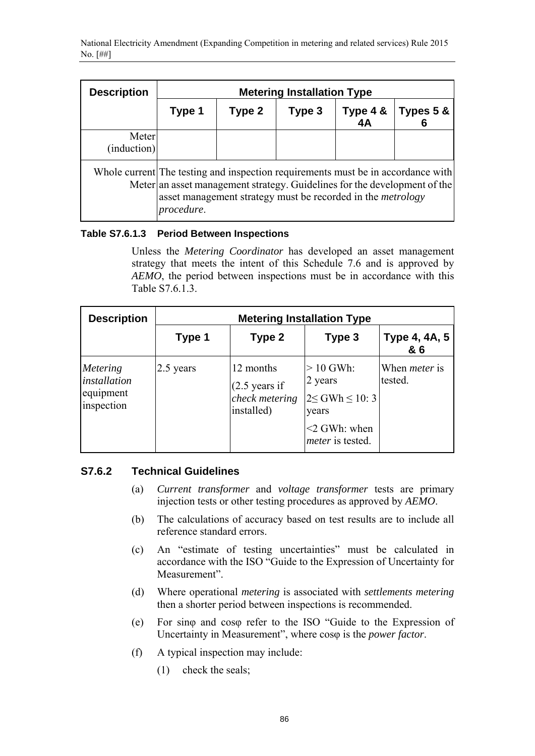| <b>Description</b>   | <b>Metering Installation Type</b>                                                                                                                                                                                                                 |        |        |                |                |  |
|----------------------|---------------------------------------------------------------------------------------------------------------------------------------------------------------------------------------------------------------------------------------------------|--------|--------|----------------|----------------|--|
|                      | Type 1                                                                                                                                                                                                                                            | Type 2 | Type 3 | Type 4 &<br>4A | Types 5 &<br>6 |  |
| Meter<br>(induction) |                                                                                                                                                                                                                                                   |        |        |                |                |  |
|                      | Whole current The testing and inspection requirements must be in accordance with<br>Meter an asset management strategy. Guidelines for the development of the<br>asset management strategy must be recorded in the <i>metrology</i><br>procedure. |        |        |                |                |  |

### **Table S7.6.1.3 Period Between Inspections**

Unless the *Metering Coordinator* has developed an asset management strategy that meets the intent of this Schedule 7.6 and is approved by *AEMO*, the period between inspections must be in accordance with this Table S7.6.1.3.

| <b>Description</b>                                  | <b>Metering Installation Type</b> |                                                                       |                                                                                                           |                                 |  |
|-----------------------------------------------------|-----------------------------------|-----------------------------------------------------------------------|-----------------------------------------------------------------------------------------------------------|---------------------------------|--|
|                                                     | Type 1                            | Type 2                                                                | Type 3                                                                                                    | Type 4, 4A, 5<br>& 6            |  |
| Metering<br>installation<br>equipment<br>inspection | 2.5 years                         | 12 months<br>$(2.5 \text{ years if})$<br>check metering<br>installed) | $>10$ GWh:<br>2 years<br>$2 \leq$ GWh $\leq$ 10: 3<br>years<br>$<$ 2 GWh: when<br><i>meter</i> is tested. | When <i>meter</i> is<br>tested. |  |

### **S7.6.2 Technical Guidelines**

- (a) *Current transformer* and *voltage transformer* tests are primary injection tests or other testing procedures as approved by *AEMO*.
- (b) The calculations of accuracy based on test results are to include all reference standard errors.
- (c) An "estimate of testing uncertainties" must be calculated in accordance with the ISO "Guide to the Expression of Uncertainty for Measurement".
- (d) Where operational *metering* is associated with *settlements metering* then a shorter period between inspections is recommended.
- (e) For sinφ and cosφ refer to the ISO "Guide to the Expression of Uncertainty in Measurement", where cosφ is the *power factor*.
- (f) A typical inspection may include:
	- (1) check the seals;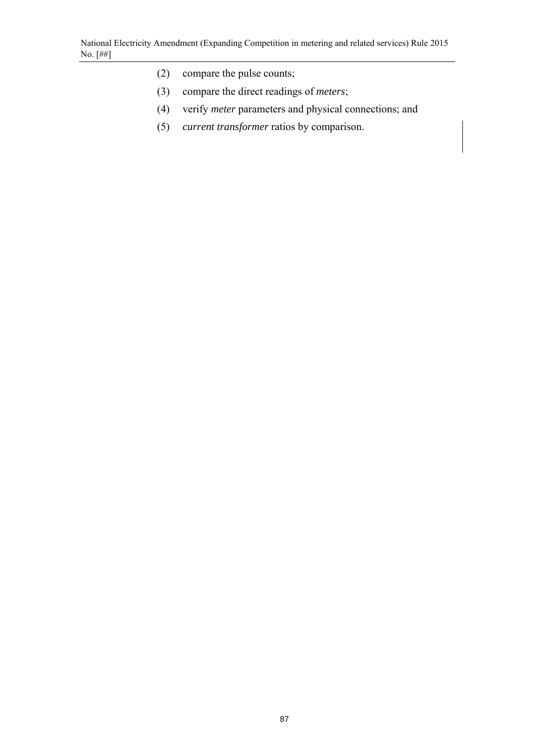- (2) compare the pulse counts;
- (3) compare the direct readings of *meters*;
- (4) verify *meter* parameters and physical connections; and
- (5) *current transformer* ratios by comparison.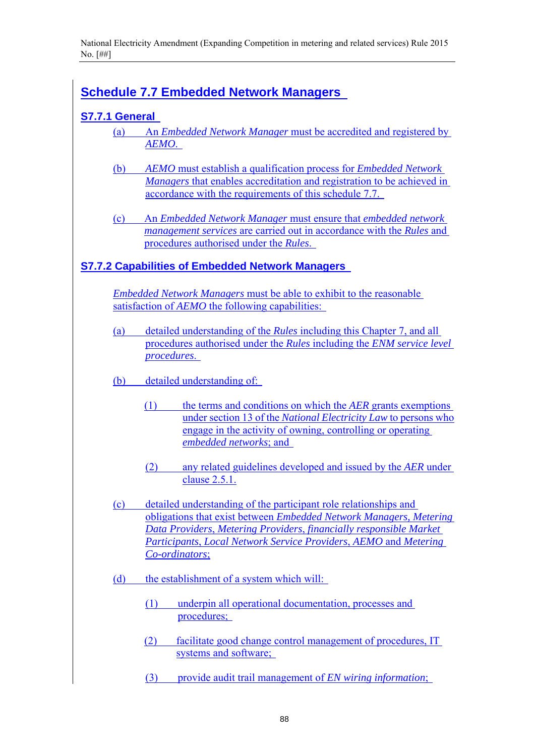# **Schedule 7.7 Embedded Network Managers**

# **S7.7.1 General**

- (a) An *Embedded Network Manager* must be accredited and registered by *AEMO*.
- (b) *AEMO* must establish a qualification process for *Embedded Network Managers* that enables accreditation and registration to be achieved in accordance with the requirements of this schedule 7.7.
- (c) An *Embedded Network Manager* must ensure that *embedded network management services* are carried out in accordance with the *Rules* and procedures authorised under the *Rules*.

### **S7.7.2 Capabilities of Embedded Network Managers**

*Embedded Network Managers* must be able to exhibit to the reasonable satisfaction of *AEMO* the following capabilities:

- (a) detailed understanding of the *Rules* including this Chapter 7, and all procedures authorised under the *Rules* including the *ENM service level procedures*.
- (b) detailed understanding of:
	- (1) the terms and conditions on which the *AER* grants exemptions under section 13 of the *National Electricity Law* to persons who engage in the activity of owning, controlling or operating *embedded networks*; and
	- (2) any related guidelines developed and issued by the *AER* under clause 2.5.1.
- (c) detailed understanding of the participant role relationships and obligations that exist between *Embedded Network Managers, Metering Data Providers*, *Metering Providers*, *financially responsible Market Participants*, *Local Network Service Providers*, *AEMO* and *Metering Co-ordinators*;
- (d) the establishment of a system which will:
	- (1) underpin all operational documentation, processes and procedures;
	- (2) facilitate good change control management of procedures, IT systems and software;
	- (3) provide audit trail management of *EN wiring information*;